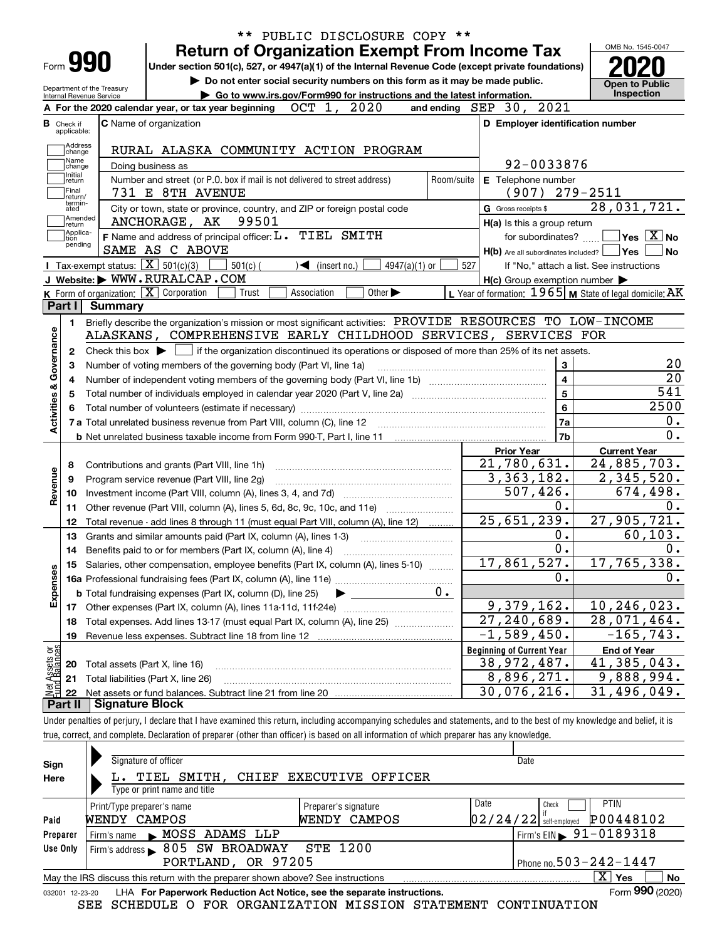| applicable:                                                                                                                                                                                                                                                                                                                                                                                                                                                                                                                                                                                                                                                                                                                                                                                                                                                                                                                                                                                                                                                                                                                                                                                                                                                                                                                                                                                                                                                                                                                                                                                                                                                                                                                                                                                                                                                                                                                                                                                                                                                                                                                                                                                                                                  |                                |                                                                                                                                                                                                                                                                                                                                                                                                                                                                                                                                                                                                                                               |                                                                                                                                                                                                                                                                                                                                                                                                                                                                                                                                                                                                                                                                                                                                                                                         |  |  |                           |  |                    |
|----------------------------------------------------------------------------------------------------------------------------------------------------------------------------------------------------------------------------------------------------------------------------------------------------------------------------------------------------------------------------------------------------------------------------------------------------------------------------------------------------------------------------------------------------------------------------------------------------------------------------------------------------------------------------------------------------------------------------------------------------------------------------------------------------------------------------------------------------------------------------------------------------------------------------------------------------------------------------------------------------------------------------------------------------------------------------------------------------------------------------------------------------------------------------------------------------------------------------------------------------------------------------------------------------------------------------------------------------------------------------------------------------------------------------------------------------------------------------------------------------------------------------------------------------------------------------------------------------------------------------------------------------------------------------------------------------------------------------------------------------------------------------------------------------------------------------------------------------------------------------------------------------------------------------------------------------------------------------------------------------------------------------------------------------------------------------------------------------------------------------------------------------------------------------------------------------------------------------------------------|--------------------------------|-----------------------------------------------------------------------------------------------------------------------------------------------------------------------------------------------------------------------------------------------------------------------------------------------------------------------------------------------------------------------------------------------------------------------------------------------------------------------------------------------------------------------------------------------------------------------------------------------------------------------------------------------|-----------------------------------------------------------------------------------------------------------------------------------------------------------------------------------------------------------------------------------------------------------------------------------------------------------------------------------------------------------------------------------------------------------------------------------------------------------------------------------------------------------------------------------------------------------------------------------------------------------------------------------------------------------------------------------------------------------------------------------------------------------------------------------------|--|--|---------------------------|--|--------------------|
| Address<br>change                                                                                                                                                                                                                                                                                                                                                                                                                                                                                                                                                                                                                                                                                                                                                                                                                                                                                                                                                                                                                                                                                                                                                                                                                                                                                                                                                                                                                                                                                                                                                                                                                                                                                                                                                                                                                                                                                                                                                                                                                                                                                                                                                                                                                            |                                | D Employer identification number<br>92-0033876<br>Room/suite<br>E Telephone number<br>$(907)$ 279-2511<br>G Gross receipts \$<br>H(a) Is this a group return<br>$\sqrt{}$ Yes $\sqrt{}$ X $\sqrt{}$ No<br>for subordinates?<br>$H(b)$ Are all subordinates included? $\Box$ Yes<br><b>No</b><br>$501(c)$ (<br>$\triangleleft$ (insert no.)<br>527<br>$4947(a)(1)$ or<br>If "No," attach a list. See instructions<br>$H(c)$ Group exemption number $\blacktriangleright$<br>Trust<br>Association<br>Other $\blacktriangleright$<br>Briefly describe the organization's mission or most significant activities: PROVIDE RESOURCES TO LOW-INCOME |                                                                                                                                                                                                                                                                                                                                                                                                                                                                                                                                                                                                                                                                                                                                                                                         |  |  |                           |  |                    |
| Name<br>change                                                                                                                                                                                                                                                                                                                                                                                                                                                                                                                                                                                                                                                                                                                                                                                                                                                                                                                                                                                                                                                                                                                                                                                                                                                                                                                                                                                                                                                                                                                                                                                                                                                                                                                                                                                                                                                                                                                                                                                                                                                                                                                                                                                                                               |                                |                                                                                                                                                                                                                                                                                                                                                                                                                                                                                                                                                                                                                                               | ** PUBLIC DISCLOSURE COPY **<br>OMB No. 1545-0047<br><b>Open to Public</b><br>Inspection<br>OCT 1, 2020<br>and ending SEP 30, 2021<br>28,031,721.<br>L Year of formation: $1965$ M State of legal domicile: AK<br>20<br>3<br>$\overline{20}$<br>$\overline{\mathbf{4}}$<br>$\overline{541}$<br>5<br>2500<br>$6\phantom{a}$<br>0.<br>7a<br>$\overline{0}$ .<br>7b<br><b>Current Year</b><br><b>Prior Year</b><br>24,885,703.<br>21,780,631.<br>3,363,182.<br>2,345,520.<br>507,426.<br>674,498.<br>$\mathbf 0$ .<br>0.<br>25,651,239.<br>27,905,721.<br>60, 103.<br>0.<br>0.<br>0.<br>17,861,527.<br>17,765,338.<br>$\mathbf 0$ .<br>0.<br>$0$ .<br>9,379,162.<br>10,246,023.<br>$\overline{27,240,689}$ .<br>$\overline{28}$ , 071, 464.<br>$\overline{-1}$ , 589, 450.<br>$-165, 743.$ |  |  |                           |  |                    |
| Initial<br>return                                                                                                                                                                                                                                                                                                                                                                                                                                                                                                                                                                                                                                                                                                                                                                                                                                                                                                                                                                                                                                                                                                                                                                                                                                                                                                                                                                                                                                                                                                                                                                                                                                                                                                                                                                                                                                                                                                                                                                                                                                                                                                                                                                                                                            |                                |                                                                                                                                                                                                                                                                                                                                                                                                                                                                                                                                                                                                                                               |                                                                                                                                                                                                                                                                                                                                                                                                                                                                                                                                                                                                                                                                                                                                                                                         |  |  |                           |  |                    |
| Final<br>return/                                                                                                                                                                                                                                                                                                                                                                                                                                                                                                                                                                                                                                                                                                                                                                                                                                                                                                                                                                                                                                                                                                                                                                                                                                                                                                                                                                                                                                                                                                                                                                                                                                                                                                                                                                                                                                                                                                                                                                                                                                                                                                                                                                                                                             |                                |                                                                                                                                                                                                                                                                                                                                                                                                                                                                                                                                                                                                                                               |                                                                                                                                                                                                                                                                                                                                                                                                                                                                                                                                                                                                                                                                                                                                                                                         |  |  |                           |  |                    |
| ated                                                                                                                                                                                                                                                                                                                                                                                                                                                                                                                                                                                                                                                                                                                                                                                                                                                                                                                                                                                                                                                                                                                                                                                                                                                                                                                                                                                                                                                                                                                                                                                                                                                                                                                                                                                                                                                                                                                                                                                                                                                                                                                                                                                                                                         |                                |                                                                                                                                                                                                                                                                                                                                                                                                                                                                                                                                                                                                                                               |                                                                                                                                                                                                                                                                                                                                                                                                                                                                                                                                                                                                                                                                                                                                                                                         |  |  |                           |  |                    |
| ∣return                                                                                                                                                                                                                                                                                                                                                                                                                                                                                                                                                                                                                                                                                                                                                                                                                                                                                                                                                                                                                                                                                                                                                                                                                                                                                                                                                                                                                                                                                                                                                                                                                                                                                                                                                                                                                                                                                                                                                                                                                                                                                                                                                                                                                                      |                                |                                                                                                                                                                                                                                                                                                                                                                                                                                                                                                                                                                                                                                               |                                                                                                                                                                                                                                                                                                                                                                                                                                                                                                                                                                                                                                                                                                                                                                                         |  |  |                           |  |                    |
| tion                                                                                                                                                                                                                                                                                                                                                                                                                                                                                                                                                                                                                                                                                                                                                                                                                                                                                                                                                                                                                                                                                                                                                                                                                                                                                                                                                                                                                                                                                                                                                                                                                                                                                                                                                                                                                                                                                                                                                                                                                                                                                                                                                                                                                                         |                                |                                                                                                                                                                                                                                                                                                                                                                                                                                                                                                                                                                                                                                               |                                                                                                                                                                                                                                                                                                                                                                                                                                                                                                                                                                                                                                                                                                                                                                                         |  |  |                           |  |                    |
|                                                                                                                                                                                                                                                                                                                                                                                                                                                                                                                                                                                                                                                                                                                                                                                                                                                                                                                                                                                                                                                                                                                                                                                                                                                                                                                                                                                                                                                                                                                                                                                                                                                                                                                                                                                                                                                                                                                                                                                                                                                                                                                                                                                                                                              |                                |                                                                                                                                                                                                                                                                                                                                                                                                                                                                                                                                                                                                                                               |                                                                                                                                                                                                                                                                                                                                                                                                                                                                                                                                                                                                                                                                                                                                                                                         |  |  |                           |  |                    |
|                                                                                                                                                                                                                                                                                                                                                                                                                                                                                                                                                                                                                                                                                                                                                                                                                                                                                                                                                                                                                                                                                                                                                                                                                                                                                                                                                                                                                                                                                                                                                                                                                                                                                                                                                                                                                                                                                                                                                                                                                                                                                                                                                                                                                                              |                                |                                                                                                                                                                                                                                                                                                                                                                                                                                                                                                                                                                                                                                               |                                                                                                                                                                                                                                                                                                                                                                                                                                                                                                                                                                                                                                                                                                                                                                                         |  |  |                           |  |                    |
|                                                                                                                                                                                                                                                                                                                                                                                                                                                                                                                                                                                                                                                                                                                                                                                                                                                                                                                                                                                                                                                                                                                                                                                                                                                                                                                                                                                                                                                                                                                                                                                                                                                                                                                                                                                                                                                                                                                                                                                                                                                                                                                                                                                                                                              |                                |                                                                                                                                                                                                                                                                                                                                                                                                                                                                                                                                                                                                                                               |                                                                                                                                                                                                                                                                                                                                                                                                                                                                                                                                                                                                                                                                                                                                                                                         |  |  |                           |  |                    |
|                                                                                                                                                                                                                                                                                                                                                                                                                                                                                                                                                                                                                                                                                                                                                                                                                                                                                                                                                                                                                                                                                                                                                                                                                                                                                                                                                                                                                                                                                                                                                                                                                                                                                                                                                                                                                                                                                                                                                                                                                                                                                                                                                                                                                                              |                                |                                                                                                                                                                                                                                                                                                                                                                                                                                                                                                                                                                                                                                               |                                                                                                                                                                                                                                                                                                                                                                                                                                                                                                                                                                                                                                                                                                                                                                                         |  |  |                           |  |                    |
|                                                                                                                                                                                                                                                                                                                                                                                                                                                                                                                                                                                                                                                                                                                                                                                                                                                                                                                                                                                                                                                                                                                                                                                                                                                                                                                                                                                                                                                                                                                                                                                                                                                                                                                                                                                                                                                                                                                                                                                                                                                                                                                                                                                                                                              |                                |                                                                                                                                                                                                                                                                                                                                                                                                                                                                                                                                                                                                                                               |                                                                                                                                                                                                                                                                                                                                                                                                                                                                                                                                                                                                                                                                                                                                                                                         |  |  |                           |  |                    |
| 2                                                                                                                                                                                                                                                                                                                                                                                                                                                                                                                                                                                                                                                                                                                                                                                                                                                                                                                                                                                                                                                                                                                                                                                                                                                                                                                                                                                                                                                                                                                                                                                                                                                                                                                                                                                                                                                                                                                                                                                                                                                                                                                                                                                                                                            |                                |                                                                                                                                                                                                                                                                                                                                                                                                                                                                                                                                                                                                                                               |                                                                                                                                                                                                                                                                                                                                                                                                                                                                                                                                                                                                                                                                                                                                                                                         |  |  |                           |  |                    |
| з<br>4<br>5                                                                                                                                                                                                                                                                                                                                                                                                                                                                                                                                                                                                                                                                                                                                                                                                                                                                                                                                                                                                                                                                                                                                                                                                                                                                                                                                                                                                                                                                                                                                                                                                                                                                                                                                                                                                                                                                                                                                                                                                                                                                                                                                                                                                                                  |                                |                                                                                                                                                                                                                                                                                                                                                                                                                                                                                                                                                                                                                                               |                                                                                                                                                                                                                                                                                                                                                                                                                                                                                                                                                                                                                                                                                                                                                                                         |  |  |                           |  |                    |
|                                                                                                                                                                                                                                                                                                                                                                                                                                                                                                                                                                                                                                                                                                                                                                                                                                                                                                                                                                                                                                                                                                                                                                                                                                                                                                                                                                                                                                                                                                                                                                                                                                                                                                                                                                                                                                                                                                                                                                                                                                                                                                                                                                                                                                              |                                |                                                                                                                                                                                                                                                                                                                                                                                                                                                                                                                                                                                                                                               |                                                                                                                                                                                                                                                                                                                                                                                                                                                                                                                                                                                                                                                                                                                                                                                         |  |  |                           |  |                    |
|                                                                                                                                                                                                                                                                                                                                                                                                                                                                                                                                                                                                                                                                                                                                                                                                                                                                                                                                                                                                                                                                                                                                                                                                                                                                                                                                                                                                                                                                                                                                                                                                                                                                                                                                                                                                                                                                                                                                                                                                                                                                                                                                                                                                                                              |                                |                                                                                                                                                                                                                                                                                                                                                                                                                                                                                                                                                                                                                                               |                                                                                                                                                                                                                                                                                                                                                                                                                                                                                                                                                                                                                                                                                                                                                                                         |  |  |                           |  |                    |
| 8                                                                                                                                                                                                                                                                                                                                                                                                                                                                                                                                                                                                                                                                                                                                                                                                                                                                                                                                                                                                                                                                                                                                                                                                                                                                                                                                                                                                                                                                                                                                                                                                                                                                                                                                                                                                                                                                                                                                                                                                                                                                                                                                                                                                                                            |                                |                                                                                                                                                                                                                                                                                                                                                                                                                                                                                                                                                                                                                                               |                                                                                                                                                                                                                                                                                                                                                                                                                                                                                                                                                                                                                                                                                                                                                                                         |  |  |                           |  |                    |
| 9                                                                                                                                                                                                                                                                                                                                                                                                                                                                                                                                                                                                                                                                                                                                                                                                                                                                                                                                                                                                                                                                                                                                                                                                                                                                                                                                                                                                                                                                                                                                                                                                                                                                                                                                                                                                                                                                                                                                                                                                                                                                                                                                                                                                                                            |                                |                                                                                                                                                                                                                                                                                                                                                                                                                                                                                                                                                                                                                                               |                                                                                                                                                                                                                                                                                                                                                                                                                                                                                                                                                                                                                                                                                                                                                                                         |  |  |                           |  |                    |
| 10                                                                                                                                                                                                                                                                                                                                                                                                                                                                                                                                                                                                                                                                                                                                                                                                                                                                                                                                                                                                                                                                                                                                                                                                                                                                                                                                                                                                                                                                                                                                                                                                                                                                                                                                                                                                                                                                                                                                                                                                                                                                                                                                                                                                                                           |                                |                                                                                                                                                                                                                                                                                                                                                                                                                                                                                                                                                                                                                                               |                                                                                                                                                                                                                                                                                                                                                                                                                                                                                                                                                                                                                                                                                                                                                                                         |  |  |                           |  |                    |
| 11                                                                                                                                                                                                                                                                                                                                                                                                                                                                                                                                                                                                                                                                                                                                                                                                                                                                                                                                                                                                                                                                                                                                                                                                                                                                                                                                                                                                                                                                                                                                                                                                                                                                                                                                                                                                                                                                                                                                                                                                                                                                                                                                                                                                                                           |                                |                                                                                                                                                                                                                                                                                                                                                                                                                                                                                                                                                                                                                                               |                                                                                                                                                                                                                                                                                                                                                                                                                                                                                                                                                                                                                                                                                                                                                                                         |  |  |                           |  |                    |
| 12                                                                                                                                                                                                                                                                                                                                                                                                                                                                                                                                                                                                                                                                                                                                                                                                                                                                                                                                                                                                                                                                                                                                                                                                                                                                                                                                                                                                                                                                                                                                                                                                                                                                                                                                                                                                                                                                                                                                                                                                                                                                                                                                                                                                                                           |                                |                                                                                                                                                                                                                                                                                                                                                                                                                                                                                                                                                                                                                                               |                                                                                                                                                                                                                                                                                                                                                                                                                                                                                                                                                                                                                                                                                                                                                                                         |  |  |                           |  |                    |
| 13                                                                                                                                                                                                                                                                                                                                                                                                                                                                                                                                                                                                                                                                                                                                                                                                                                                                                                                                                                                                                                                                                                                                                                                                                                                                                                                                                                                                                                                                                                                                                                                                                                                                                                                                                                                                                                                                                                                                                                                                                                                                                                                                                                                                                                           |                                |                                                                                                                                                                                                                                                                                                                                                                                                                                                                                                                                                                                                                                               |                                                                                                                                                                                                                                                                                                                                                                                                                                                                                                                                                                                                                                                                                                                                                                                         |  |  |                           |  |                    |
| 14                                                                                                                                                                                                                                                                                                                                                                                                                                                                                                                                                                                                                                                                                                                                                                                                                                                                                                                                                                                                                                                                                                                                                                                                                                                                                                                                                                                                                                                                                                                                                                                                                                                                                                                                                                                                                                                                                                                                                                                                                                                                                                                                                                                                                                           |                                |                                                                                                                                                                                                                                                                                                                                                                                                                                                                                                                                                                                                                                               |                                                                                                                                                                                                                                                                                                                                                                                                                                                                                                                                                                                                                                                                                                                                                                                         |  |  |                           |  |                    |
| 15                                                                                                                                                                                                                                                                                                                                                                                                                                                                                                                                                                                                                                                                                                                                                                                                                                                                                                                                                                                                                                                                                                                                                                                                                                                                                                                                                                                                                                                                                                                                                                                                                                                                                                                                                                                                                                                                                                                                                                                                                                                                                                                                                                                                                                           |                                |                                                                                                                                                                                                                                                                                                                                                                                                                                                                                                                                                                                                                                               |                                                                                                                                                                                                                                                                                                                                                                                                                                                                                                                                                                                                                                                                                                                                                                                         |  |  |                           |  |                    |
|                                                                                                                                                                                                                                                                                                                                                                                                                                                                                                                                                                                                                                                                                                                                                                                                                                                                                                                                                                                                                                                                                                                                                                                                                                                                                                                                                                                                                                                                                                                                                                                                                                                                                                                                                                                                                                                                                                                                                                                                                                                                                                                                                                                                                                              |                                |                                                                                                                                                                                                                                                                                                                                                                                                                                                                                                                                                                                                                                               |                                                                                                                                                                                                                                                                                                                                                                                                                                                                                                                                                                                                                                                                                                                                                                                         |  |  |                           |  |                    |
|                                                                                                                                                                                                                                                                                                                                                                                                                                                                                                                                                                                                                                                                                                                                                                                                                                                                                                                                                                                                                                                                                                                                                                                                                                                                                                                                                                                                                                                                                                                                                                                                                                                                                                                                                                                                                                                                                                                                                                                                                                                                                                                                                                                                                                              |                                |                                                                                                                                                                                                                                                                                                                                                                                                                                                                                                                                                                                                                                               |                                                                                                                                                                                                                                                                                                                                                                                                                                                                                                                                                                                                                                                                                                                                                                                         |  |  |                           |  |                    |
| 18                                                                                                                                                                                                                                                                                                                                                                                                                                                                                                                                                                                                                                                                                                                                                                                                                                                                                                                                                                                                                                                                                                                                                                                                                                                                                                                                                                                                                                                                                                                                                                                                                                                                                                                                                                                                                                                                                                                                                                                                                                                                                                                                                                                                                                           |                                |                                                                                                                                                                                                                                                                                                                                                                                                                                                                                                                                                                                                                                               |                                                                                                                                                                                                                                                                                                                                                                                                                                                                                                                                                                                                                                                                                                                                                                                         |  |  |                           |  |                    |
| 19                                                                                                                                                                                                                                                                                                                                                                                                                                                                                                                                                                                                                                                                                                                                                                                                                                                                                                                                                                                                                                                                                                                                                                                                                                                                                                                                                                                                                                                                                                                                                                                                                                                                                                                                                                                                                                                                                                                                                                                                                                                                                                                                                                                                                                           |                                |                                                                                                                                                                                                                                                                                                                                                                                                                                                                                                                                                                                                                                               |                                                                                                                                                                                                                                                                                                                                                                                                                                                                                                                                                                                                                                                                                                                                                                                         |  |  |                           |  |                    |
|                                                                                                                                                                                                                                                                                                                                                                                                                                                                                                                                                                                                                                                                                                                                                                                                                                                                                                                                                                                                                                                                                                                                                                                                                                                                                                                                                                                                                                                                                                                                                                                                                                                                                                                                                                                                                                                                                                                                                                                                                                                                                                                                                                                                                                              |                                |                                                                                                                                                                                                                                                                                                                                                                                                                                                                                                                                                                                                                                               |                                                                                                                                                                                                                                                                                                                                                                                                                                                                                                                                                                                                                                                                                                                                                                                         |  |  |                           |  | <b>End of Year</b> |
| Net Assets or<br>Fund Balances<br>20                                                                                                                                                                                                                                                                                                                                                                                                                                                                                                                                                                                                                                                                                                                                                                                                                                                                                                                                                                                                                                                                                                                                                                                                                                                                                                                                                                                                                                                                                                                                                                                                                                                                                                                                                                                                                                                                                                                                                                                                                                                                                                                                                                                                         | Total assets (Part X, line 16) |                                                                                                                                                                                                                                                                                                                                                                                                                                                                                                                                                                                                                                               |                                                                                                                                                                                                                                                                                                                                                                                                                                                                                                                                                                                                                                                                                                                                                                                         |  |  | 38,972,487.<br>8,896,271. |  | 41,385,043.        |
| <b>Return of Organization Exempt From Income Tax</b><br>Form 990<br>Under section 501(c), 527, or 4947(a)(1) of the Internal Revenue Code (except private foundations)<br>Do not enter social security numbers on this form as it may be made public.<br>Department of the Treasury<br>Go to www.irs.gov/Form990 for instructions and the latest information.<br>Internal Revenue Service<br>A For the 2020 calendar year, or tax year beginning<br>C Name of organization<br><b>B</b> Check if<br>RURAL ALASKA COMMUNITY ACTION PROGRAM<br>Doing business as<br>Number and street (or P.O. box if mail is not delivered to street address)<br>731 E 8TH AVENUE<br>termin-<br>City or town, state or province, country, and ZIP or foreign postal code<br>Amended<br>ANCHORAGE, AK 99501<br>Applica-<br>F Name and address of principal officer: L. TIEL SMITH<br>pending<br>SAME AS C ABOVE<br>Tax-exempt status: $\boxed{\mathbf{X}}$ 501(c)(3)<br>J Website: WWW.RURALCAP.COM<br><b>K</b> Form of organization: $\boxed{\mathbf{X}}$ Corporation<br>Part I<br><b>Summary</b><br>1.<br>Activities & Governance<br>ALASKANS, COMPREHENSIVE EARLY CHILDHOOD SERVICES, SERVICES FOR<br>Check this box $\blacktriangleright$ $\Box$ if the organization discontinued its operations or disposed of more than 25% of its net assets.<br>Number of voting members of the governing body (Part VI, line 1a)<br>Contributions and grants (Part VIII, line 1h)<br>Revenue<br>Program service revenue (Part VIII, line 2g)<br>Other revenue (Part VIII, column (A), lines 5, 6d, 8c, 9c, 10c, and 11e)<br>Total revenue - add lines 8 through 11 (must equal Part VIII, column (A), line 12)<br>Grants and similar amounts paid (Part IX, column (A), lines 1-3)<br>Benefits paid to or for members (Part IX, column (A), line 4)<br>Salaries, other compensation, employee benefits (Part IX, column (A), lines 5-10)<br>Expenses<br><b>b</b> Total fundraising expenses (Part IX, column (D), line 25)<br>17 Other expenses (Part IX, column (A), lines 11a-11d, 11f-24e)<br>Total expenses. Add lines 13-17 (must equal Part IX, column (A), line 25)<br>Revenue less expenses. Subtract line 18 from line 12<br><b>Beginning of Current Year</b> | 9,888,994.<br>31,496,049.      |                                                                                                                                                                                                                                                                                                                                                                                                                                                                                                                                                                                                                                               |                                                                                                                                                                                                                                                                                                                                                                                                                                                                                                                                                                                                                                                                                                                                                                                         |  |  |                           |  |                    |

true, correct, and complete. Declaration of preparer (other than officer) is based on all information of which preparer has any knowledge.

| Sign<br>Here    | Signature of officer<br>TIEL SMITH.<br><b>EXECUTIVE OFFICER</b><br>CHIEF<br>Type or print name and title | Date                                                                  |  |  |  |  |
|-----------------|----------------------------------------------------------------------------------------------------------|-----------------------------------------------------------------------|--|--|--|--|
| Paid            | Print/Type preparer's name<br>Preparer's signature<br>WENDY CAMPOS<br>WENDY CAMPOS                       | Date<br><b>PTIN</b><br>Check<br>P00448102<br>$02/24/22$ self-employed |  |  |  |  |
| Preparer        | $1$ Firm's EIN $\triangleright$ 91-0189318<br>Firm's name MOSS ADAMS LLP                                 |                                                                       |  |  |  |  |
| Use Only        | Firm's address 605 SW BROADWAY<br>STE 1200                                                               |                                                                       |  |  |  |  |
|                 | PORTLAND, OR 97205                                                                                       | Phone no. $503 - 242 - 1447$                                          |  |  |  |  |
|                 | May the IRS discuss this return with the preparer shown above? See instructions                          | $\overline{X}$ Yes<br>No                                              |  |  |  |  |
| 032001 12-23-20 | LHA For Paperwork Reduction Act Notice, see the separate instructions.                                   | Form 990 (2020)                                                       |  |  |  |  |

SEE SCHEDULE O FOR ORGANIZATION MISSION STATEMENT CONTINUATION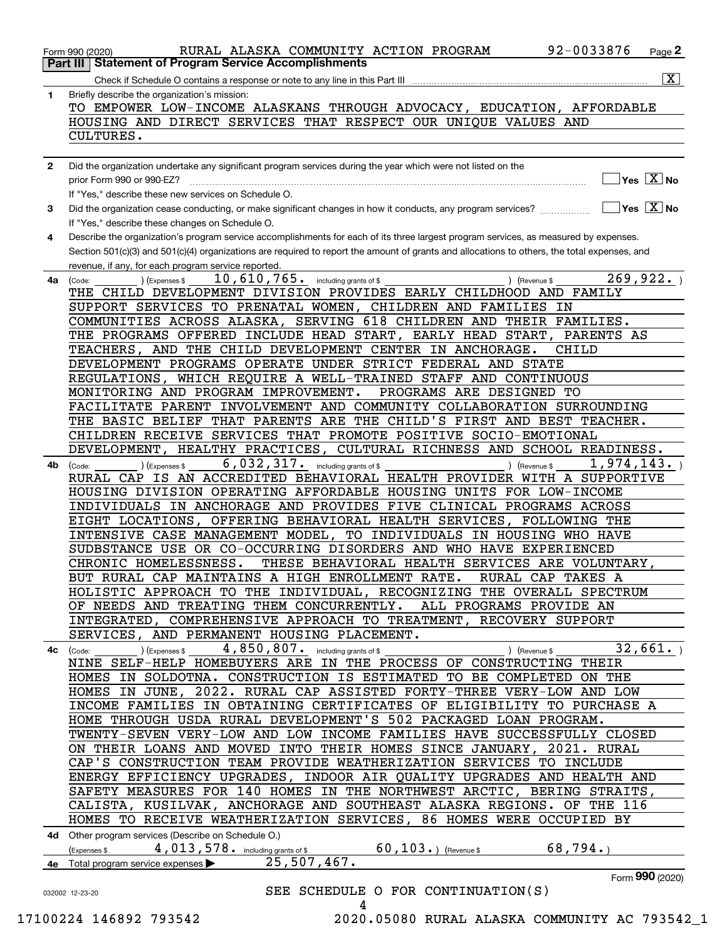|              | 92-0033876<br>RURAL ALASKA COMMUNITY ACTION PROGRAM<br>Page $2$<br>Form 990 (2020)                                                                                                                                                                                                   |
|--------------|--------------------------------------------------------------------------------------------------------------------------------------------------------------------------------------------------------------------------------------------------------------------------------------|
|              | <b>Statement of Program Service Accomplishments</b><br>Part III                                                                                                                                                                                                                      |
|              | $\overline{\mathtt{x}}$ )<br>Check if Schedule O contains a response or note to any line in this Part III                                                                                                                                                                            |
| 1            | Briefly describe the organization's mission:<br>TO EMPOWER LOW-INCOME ALASKANS THROUGH ADVOCACY, EDUCATION, AFFORDABLE                                                                                                                                                               |
|              | HOUSING AND DIRECT SERVICES THAT RESPECT OUR UNIQUE VALUES AND                                                                                                                                                                                                                       |
|              | CULTURES.                                                                                                                                                                                                                                                                            |
|              |                                                                                                                                                                                                                                                                                      |
| $\mathbf{2}$ | Did the organization undertake any significant program services during the year which were not listed on the                                                                                                                                                                         |
|              | $\overline{\mathsf{Yes} \ \mathbb{X}}$ No<br>prior Form 990 or 990-EZ?                                                                                                                                                                                                               |
|              | If "Yes," describe these new services on Schedule O.                                                                                                                                                                                                                                 |
| 3            | $\sqrt{}$ Yes $\sqrt{}$ X $\sqrt{}$ No<br>Did the organization cease conducting, or make significant changes in how it conducts, any program services?                                                                                                                               |
|              | If "Yes," describe these changes on Schedule O.                                                                                                                                                                                                                                      |
| 4            | Describe the organization's program service accomplishments for each of its three largest program services, as measured by expenses.<br>Section 501(c)(3) and 501(c)(4) organizations are required to report the amount of grants and allocations to others, the total expenses, and |
|              | revenue, if any, for each program service reported.                                                                                                                                                                                                                                  |
| 4a           | 269,922.<br>10, 610, 765. including grants of \$<br>(Expenses \$<br>) (Revenue \$<br>(Code:                                                                                                                                                                                          |
|              | THE CHILD DEVELOPMENT DIVISION PROVIDES EARLY CHILDHOOD AND FAMILY                                                                                                                                                                                                                   |
|              | SUPPORT SERVICES TO PRENATAL WOMEN, CHILDREN AND FAMILIES<br>ΙN                                                                                                                                                                                                                      |
|              | COMMUNITIES ACROSS ALASKA, SERVING 618 CHILDREN AND THEIR FAMILIES.                                                                                                                                                                                                                  |
|              | THE PROGRAMS OFFERED INCLUDE HEAD START, EARLY HEAD START,<br>PARENTS AS                                                                                                                                                                                                             |
|              | TEACHERS, AND THE CHILD DEVELOPMENT CENTER IN ANCHORAGE.<br>CHILD                                                                                                                                                                                                                    |
|              | DEVELOPMENT PROGRAMS OPERATE UNDER STRICT FEDERAL AND STATE                                                                                                                                                                                                                          |
|              | REGULATIONS, WHICH REQUIRE A WELL-TRAINED STAFF AND CONTINUOUS                                                                                                                                                                                                                       |
|              | MONITORING AND PROGRAM IMPROVEMENT.<br>PROGRAMS ARE DESIGNED TO                                                                                                                                                                                                                      |
|              | FACILITATE PARENT INVOLVEMENT AND COMMUNITY COLLABORATION SURROUNDING                                                                                                                                                                                                                |
|              | THE BASIC BELIEF THAT PARENTS ARE THE CHILD'S FIRST AND BEST TEACHER.                                                                                                                                                                                                                |
|              | CHILDREN RECEIVE SERVICES THAT PROMOTE POSITIVE SOCIO-EMOTIONAL                                                                                                                                                                                                                      |
|              | DEVELOPMENT, HEALTHY PRACTICES, CULTURAL RICHNESS AND SCHOOL READINESS.                                                                                                                                                                                                              |
| 4b           | 6,032,317.<br>1,974,143.<br>(Expenses \$<br>including grants of \$<br>) (Revenue \$<br>(Code:<br>RURAL CAP IS AN ACCREDITED BEHAVIORAL HEALTH PROVIDER WITH A SUPPORTIVE                                                                                                             |
|              | HOUSING DIVISION OPERATING AFFORDABLE HOUSING UNITS FOR LOW-INCOME                                                                                                                                                                                                                   |
|              | INDIVIDUALS IN ANCHORAGE AND PROVIDES FIVE CLINICAL PROGRAMS ACROSS                                                                                                                                                                                                                  |
|              | EIGHT LOCATIONS, OFFERING BEHAVIORAL HEALTH SERVICES, FOLLOWING THE                                                                                                                                                                                                                  |
|              | INTENSIVE CASE MANAGEMENT MODEL, TO INDIVIDUALS IN HOUSING WHO HAVE                                                                                                                                                                                                                  |
|              | SUDBSTANCE USE OR CO-OCCURRING DISORDERS AND WHO HAVE EXPERIENCED                                                                                                                                                                                                                    |
|              | CHRONIC HOMELESSNESS.<br>THESE BEHAVIORAL HEALTH SERVICES ARE VOLUNTARY,                                                                                                                                                                                                             |
|              | BUT RURAL CAP MAINTAINS A HIGH ENROLLMENT RATE. RURAL CAP TAKES A                                                                                                                                                                                                                    |
|              | HOLISTIC APPROACH TO THE INDIVIDUAL, RECOGNIZING THE OVERALL SPECTRUM                                                                                                                                                                                                                |
|              | OF NEEDS AND TREATING THEM CONCURRENTLY.<br>ALL PROGRAMS PROVIDE AN                                                                                                                                                                                                                  |
|              | INTEGRATED, COMPREHENSIVE APPROACH TO TREATMENT, RECOVERY SUPPORT                                                                                                                                                                                                                    |
|              | SERVICES, AND PERMANENT HOUSING PLACEMENT.                                                                                                                                                                                                                                           |
|              | 32,661.<br>4,850,807. including grants of \$<br>$\overline{4c}$ (Code: $\overline{\phantom{a}}$ ) (Expenses \$<br>$\left($ Revenue \$ $\right)$                                                                                                                                      |
|              | NINE SELF-HELP HOMEBUYERS ARE IN THE PROCESS OF CONSTRUCTING THEIR<br>HOMES IN SOLDOTNA. CONSTRUCTION IS ESTIMATED TO BE COMPLETED ON THE                                                                                                                                            |
|              | HOMES IN JUNE, 2022. RURAL CAP ASSISTED FORTY-THREE VERY-LOW AND LOW                                                                                                                                                                                                                 |
|              | INCOME FAMILIES IN OBTAINING CERTIFICATES OF ELIGIBILITY TO PURCHASE A                                                                                                                                                                                                               |
|              | HOME THROUGH USDA RURAL DEVELOPMENT'S 502 PACKAGED LOAN PROGRAM.                                                                                                                                                                                                                     |
|              | TWENTY-SEVEN VERY-LOW AND LOW INCOME FAMILIES HAVE SUCCESSFULLY CLOSED                                                                                                                                                                                                               |
|              | ON THEIR LOANS AND MOVED INTO THEIR HOMES SINCE JANUARY, 2021. RURAL                                                                                                                                                                                                                 |
|              | CAP'S CONSTRUCTION TEAM PROVIDE WEATHERIZATION SERVICES TO INCLUDE                                                                                                                                                                                                                   |
|              | ENERGY EFFICIENCY UPGRADES, INDOOR AIR QUALITY UPGRADES AND HEALTH AND                                                                                                                                                                                                               |
|              | SAFETY MEASURES FOR 140 HOMES IN THE NORTHWEST ARCTIC, BERING STRAITS,                                                                                                                                                                                                               |
|              | CALISTA, KUSILVAK, ANCHORAGE AND SOUTHEAST ALASKA REGIONS. OF THE 116                                                                                                                                                                                                                |
|              | HOMES TO RECEIVE WEATHERIZATION SERVICES, 86 HOMES WERE OCCUPIED BY                                                                                                                                                                                                                  |
|              | 4d Other program services (Describe on Schedule O.)                                                                                                                                                                                                                                  |
|              | 4,013,578. including grants of \$ 60,103.) (Revenue \$<br>68,794.<br>(Expenses \$                                                                                                                                                                                                    |
|              | 25,507,467.<br>4e Total program service expenses                                                                                                                                                                                                                                     |
|              | Form 990 (2020)<br>SEE SCHEDULE O FOR CONTINUATION(S)                                                                                                                                                                                                                                |
|              | 032002 12-23-20<br>4                                                                                                                                                                                                                                                                 |
|              |                                                                                                                                                                                                                                                                                      |

 <sup>17100224 146892 793542 2020.05080</sup> RURAL ALASKA COMMUNITY AC 793542\_1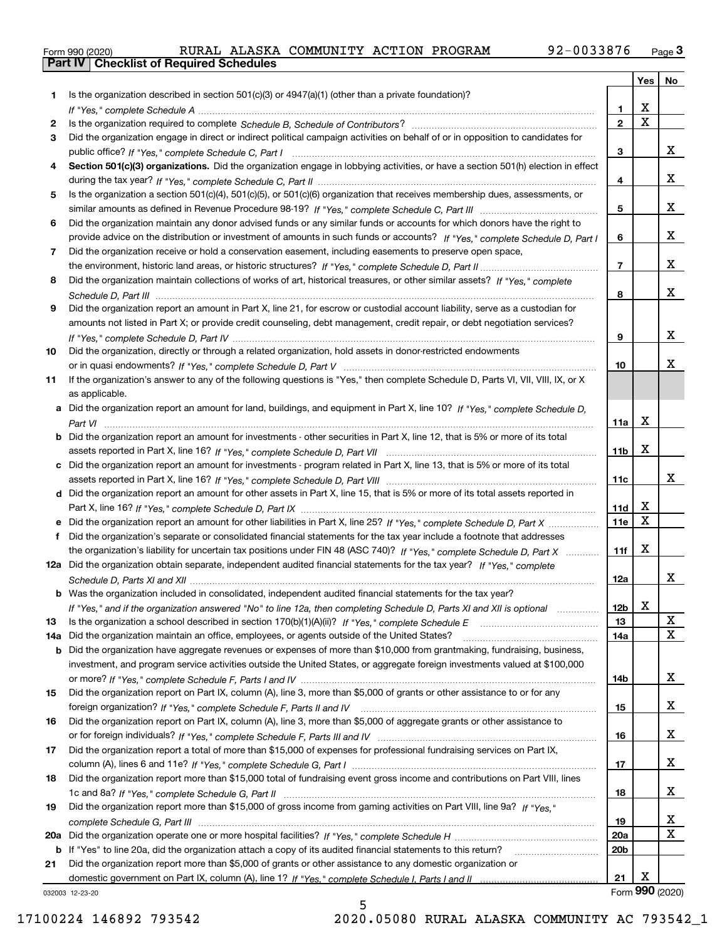|  | Form 990 (2020) |
|--|-----------------|

|     |                                                                                                                                       |                 | Yes $ $                 | No              |
|-----|---------------------------------------------------------------------------------------------------------------------------------------|-----------------|-------------------------|-----------------|
| 1.  | Is the organization described in section $501(c)(3)$ or $4947(a)(1)$ (other than a private foundation)?                               |                 |                         |                 |
|     |                                                                                                                                       | 1.              | х                       |                 |
| 2   |                                                                                                                                       | $\mathbf{2}$    | $\overline{\mathbf{x}}$ |                 |
| 3   | Did the organization engage in direct or indirect political campaign activities on behalf of or in opposition to candidates for       |                 |                         |                 |
|     |                                                                                                                                       | 3               |                         | x               |
| 4   | Section 501(c)(3) organizations. Did the organization engage in lobbying activities, or have a section 501(h) election in effect      |                 |                         |                 |
|     |                                                                                                                                       | 4               |                         | x               |
| 5   | Is the organization a section 501(c)(4), 501(c)(5), or 501(c)(6) organization that receives membership dues, assessments, or          |                 |                         |                 |
|     |                                                                                                                                       | 5               |                         | x               |
| 6   | Did the organization maintain any donor advised funds or any similar funds or accounts for which donors have the right to             |                 |                         |                 |
|     | provide advice on the distribution or investment of amounts in such funds or accounts? If "Yes," complete Schedule D, Part I          | 6               |                         | x               |
| 7   | Did the organization receive or hold a conservation easement, including easements to preserve open space,                             | $\overline{7}$  |                         | x               |
|     |                                                                                                                                       |                 |                         |                 |
| 8   | Did the organization maintain collections of works of art, historical treasures, or other similar assets? If "Yes," complete          |                 |                         | x               |
|     |                                                                                                                                       | 8               |                         |                 |
| 9   | Did the organization report an amount in Part X, line 21, for escrow or custodial account liability, serve as a custodian for         |                 |                         |                 |
|     | amounts not listed in Part X; or provide credit counseling, debt management, credit repair, or debt negotiation services?             | 9               |                         | x               |
| 10  |                                                                                                                                       |                 |                         |                 |
|     | Did the organization, directly or through a related organization, hold assets in donor-restricted endowments                          | 10              |                         | x               |
| 11  | If the organization's answer to any of the following questions is "Yes," then complete Schedule D, Parts VI, VII, VIII, IX, or X      |                 |                         |                 |
|     | as applicable.                                                                                                                        |                 |                         |                 |
|     | a Did the organization report an amount for land, buildings, and equipment in Part X, line 10? If "Yes," complete Schedule D,         |                 |                         |                 |
|     |                                                                                                                                       | 11a             | х                       |                 |
|     | <b>b</b> Did the organization report an amount for investments - other securities in Part X, line 12, that is 5% or more of its total |                 |                         |                 |
|     |                                                                                                                                       | 11b             | X                       |                 |
|     | c Did the organization report an amount for investments - program related in Part X, line 13, that is 5% or more of its total         |                 |                         |                 |
|     |                                                                                                                                       | 11c             |                         | x               |
|     | d Did the organization report an amount for other assets in Part X, line 15, that is 5% or more of its total assets reported in       |                 |                         |                 |
|     |                                                                                                                                       | 11d             | X                       |                 |
|     |                                                                                                                                       | 11e             | X                       |                 |
| f   | Did the organization's separate or consolidated financial statements for the tax year include a footnote that addresses               |                 |                         |                 |
|     | the organization's liability for uncertain tax positions under FIN 48 (ASC 740)? If "Yes," complete Schedule D, Part X                | 11f             | х                       |                 |
|     | 12a Did the organization obtain separate, independent audited financial statements for the tax year? If "Yes," complete               |                 |                         |                 |
|     |                                                                                                                                       | 12a             |                         | x               |
|     | <b>b</b> Was the organization included in consolidated, independent audited financial statements for the tax year?                    |                 |                         |                 |
|     | If "Yes," and if the organization answered "No" to line 12a, then completing Schedule D, Parts XI and XII is optional                 | 12 <sub>b</sub> | X                       |                 |
| 13  | Is the organization a school described in section 170(b)(1)(A)(ii)? If "Yes," complete Schedule E                                     | 13              |                         | X               |
| 14a | Did the organization maintain an office, employees, or agents outside of the United States?                                           | 14a             |                         | $\mathbf X$     |
| b   | Did the organization have aggregate revenues or expenses of more than \$10,000 from grantmaking, fundraising, business,               |                 |                         |                 |
|     | investment, and program service activities outside the United States, or aggregate foreign investments valued at \$100,000            |                 |                         |                 |
|     |                                                                                                                                       | 14b             |                         | X               |
| 15  | Did the organization report on Part IX, column (A), line 3, more than \$5,000 of grants or other assistance to or for any             |                 |                         |                 |
|     |                                                                                                                                       | 15              |                         | X               |
| 16  | Did the organization report on Part IX, column (A), line 3, more than \$5,000 of aggregate grants or other assistance to              |                 |                         |                 |
|     |                                                                                                                                       | 16              |                         | X               |
| 17  | Did the organization report a total of more than \$15,000 of expenses for professional fundraising services on Part IX,               |                 |                         |                 |
|     |                                                                                                                                       | 17              |                         | X               |
| 18  | Did the organization report more than \$15,000 total of fundraising event gross income and contributions on Part VIII, lines          |                 |                         |                 |
|     |                                                                                                                                       | 18              |                         | x               |
| 19  | Did the organization report more than \$15,000 of gross income from gaming activities on Part VIII, line 9a? If "Yes."                |                 |                         |                 |
|     |                                                                                                                                       | 19              |                         | X,              |
|     |                                                                                                                                       | 20a             |                         | $\mathbf{X}$    |
|     | b If "Yes" to line 20a, did the organization attach a copy of its audited financial statements to this return?                        | 20 <sub>b</sub> |                         |                 |
| 21  | Did the organization report more than \$5,000 of grants or other assistance to any domestic organization or                           |                 |                         |                 |
|     |                                                                                                                                       | 21              | х                       |                 |
|     | 032003 12-23-20                                                                                                                       |                 |                         | Form 990 (2020) |

032003 12-23-20

5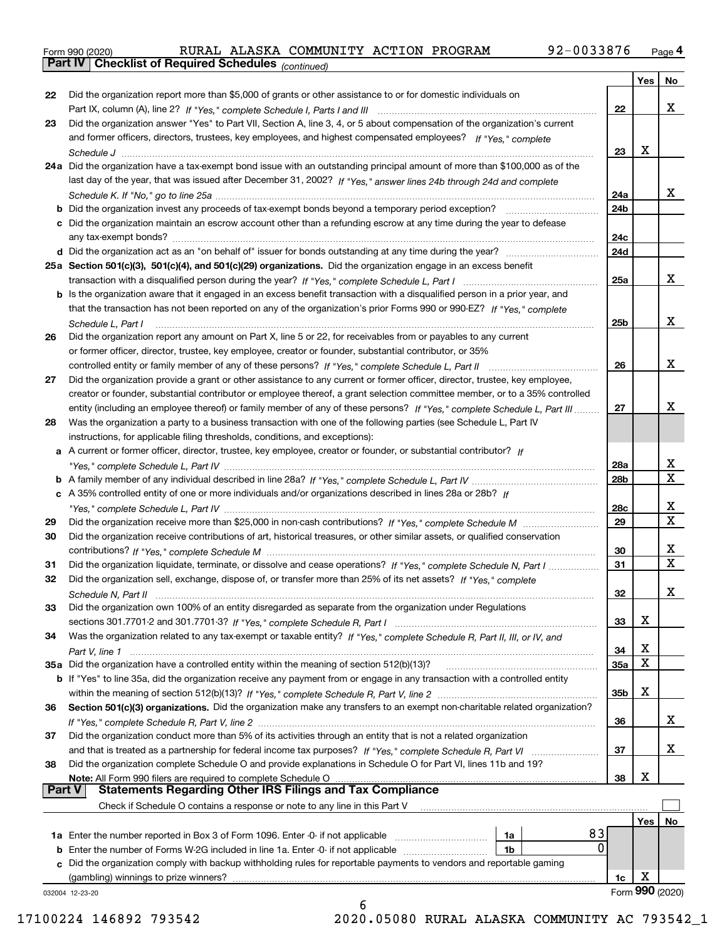|  | Form 990 (2020) |
|--|-----------------|
|  |                 |

*(continued)*

|               |                                                                                                                              |                 | Yes | No.             |
|---------------|------------------------------------------------------------------------------------------------------------------------------|-----------------|-----|-----------------|
| 22            | Did the organization report more than \$5,000 of grants or other assistance to or for domestic individuals on                |                 |     |                 |
|               |                                                                                                                              | 22              |     | x               |
| 23            | Did the organization answer "Yes" to Part VII, Section A, line 3, 4, or 5 about compensation of the organization's current   |                 |     |                 |
|               | and former officers, directors, trustees, key employees, and highest compensated employees? If "Yes," complete               |                 |     |                 |
|               |                                                                                                                              | 23              | X   |                 |
|               | 24a Did the organization have a tax-exempt bond issue with an outstanding principal amount of more than \$100,000 as of the  |                 |     |                 |
|               | last day of the year, that was issued after December 31, 2002? If "Yes," answer lines 24b through 24d and complete           |                 |     |                 |
|               |                                                                                                                              | 24a             |     | X.              |
|               |                                                                                                                              | 24 <sub>b</sub> |     |                 |
|               | c Did the organization maintain an escrow account other than a refunding escrow at any time during the year to defease       |                 |     |                 |
|               |                                                                                                                              | 24c             |     |                 |
|               |                                                                                                                              | 24d             |     |                 |
|               | 25a Section 501(c)(3), 501(c)(4), and 501(c)(29) organizations. Did the organization engage in an excess benefit             |                 |     |                 |
|               |                                                                                                                              | 25a             |     | x               |
|               | b Is the organization aware that it engaged in an excess benefit transaction with a disqualified person in a prior year, and |                 |     |                 |
|               | that the transaction has not been reported on any of the organization's prior Forms 990 or 990-EZ? If "Yes," complete        |                 |     |                 |
|               |                                                                                                                              |                 |     | x               |
|               | Schedule L, Part I                                                                                                           | 25b             |     |                 |
| 26            | Did the organization report any amount on Part X, line 5 or 22, for receivables from or payables to any current              |                 |     |                 |
|               | or former officer, director, trustee, key employee, creator or founder, substantial contributor, or 35%                      |                 |     |                 |
|               |                                                                                                                              | 26              |     | x               |
| 27            | Did the organization provide a grant or other assistance to any current or former officer, director, trustee, key employee,  |                 |     |                 |
|               | creator or founder, substantial contributor or employee thereof, a grant selection committee member, or to a 35% controlled  |                 |     |                 |
|               | entity (including an employee thereof) or family member of any of these persons? If "Yes," complete Schedule L, Part III     | 27              |     | х               |
| 28            | Was the organization a party to a business transaction with one of the following parties (see Schedule L, Part IV            |                 |     |                 |
|               | instructions, for applicable filing thresholds, conditions, and exceptions):                                                 |                 |     |                 |
|               | a A current or former officer, director, trustee, key employee, creator or founder, or substantial contributor? If           |                 |     |                 |
|               |                                                                                                                              | 28a             |     | x               |
|               |                                                                                                                              | 28 <sub>b</sub> |     | $\mathbf X$     |
|               | c A 35% controlled entity of one or more individuals and/or organizations described in lines 28a or 28b? If                  |                 |     |                 |
|               |                                                                                                                              | 28c             |     | x               |
| 29            |                                                                                                                              | 29              |     | $\mathbf X$     |
| 30            | Did the organization receive contributions of art, historical treasures, or other similar assets, or qualified conservation  |                 |     |                 |
|               |                                                                                                                              | 30              |     | х               |
| 31            | Did the organization liquidate, terminate, or dissolve and cease operations? If "Yes," complete Schedule N, Part I           | 31              |     | $\mathbf X$     |
| 32            | Did the organization sell, exchange, dispose of, or transfer more than 25% of its net assets? If "Yes." complete             |                 |     |                 |
|               |                                                                                                                              | 32              |     | х               |
| 33            | Did the organization own 100% of an entity disregarded as separate from the organization under Regulations                   |                 |     |                 |
|               |                                                                                                                              | 33              | х   |                 |
| 34            | Was the organization related to any tax-exempt or taxable entity? If "Yes," complete Schedule R, Part II, III, or IV, and    |                 |     |                 |
|               | Part V, line 1                                                                                                               | 34              | Χ   |                 |
|               | 35a Did the organization have a controlled entity within the meaning of section 512(b)(13)?                                  | <b>35a</b>      | X   |                 |
|               | b If "Yes" to line 35a, did the organization receive any payment from or engage in any transaction with a controlled entity  |                 |     |                 |
|               |                                                                                                                              | 35b             | х   |                 |
| 36            | Section 501(c)(3) organizations. Did the organization make any transfers to an exempt non-charitable related organization?   |                 |     |                 |
|               |                                                                                                                              | 36              |     | x               |
| 37            | Did the organization conduct more than 5% of its activities through an entity that is not a related organization             |                 |     |                 |
|               | and that is treated as a partnership for federal income tax purposes? If "Yes," complete Schedule R, Part VI                 | 37              |     | x               |
| 38            | Did the organization complete Schedule O and provide explanations in Schedule O for Part VI, lines 11b and 19?               |                 |     |                 |
|               | Note: All Form 990 filers are required to complete Schedule O                                                                | 38              | х   |                 |
| <b>Part V</b> | <b>Statements Regarding Other IRS Filings and Tax Compliance</b>                                                             |                 |     |                 |
|               | Check if Schedule O contains a response or note to any line in this Part V                                                   |                 |     |                 |
|               |                                                                                                                              |                 | Yes | No.             |
|               | 83<br><b>1a</b> Enter the number reported in Box 3 of Form 1096. Enter -0- if not applicable <i>mummumumum</i><br>1a         |                 |     |                 |
|               | $\Omega$<br><b>b</b> Enter the number of Forms W-2G included in line 1a. Enter -0- if not applicable<br>1b                   |                 |     |                 |
|               | c Did the organization comply with backup withholding rules for reportable payments to vendors and reportable gaming         |                 |     |                 |
|               | (gambling) winnings to prize winners?                                                                                        | 1c              | х   |                 |
|               | 032004 12-23-20                                                                                                              |                 |     | Form 990 (2020) |
|               | 6                                                                                                                            |                 |     |                 |

17100224 146892 793542 2020.05080 RURAL ALASKA COMMUNITY AC 793542\_1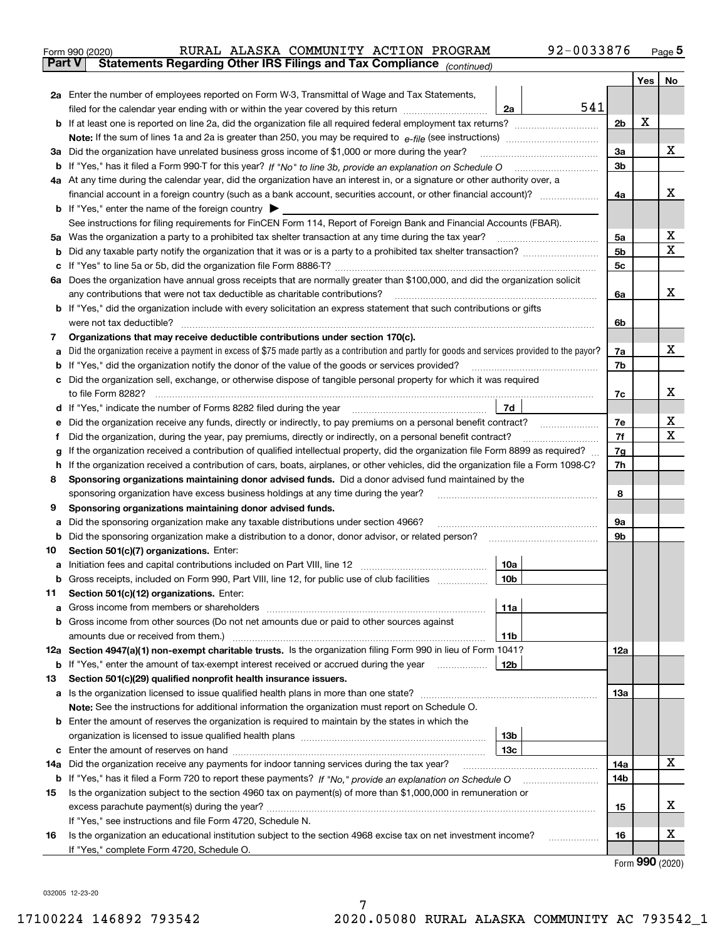| Form 990 (2020) |  | RURAL ALASKA COMMUNITY ACTION PROGRAM                                                          |  | 92-0033876 | Page 5 |
|-----------------|--|------------------------------------------------------------------------------------------------|--|------------|--------|
|                 |  | <b>Part V</b> Statements Regarding Other IRS Filings and Tax Compliance <sub>(continued)</sub> |  |            |        |

|     |                                                                                                                                                                                                     |                 |     |                | Yes | No |
|-----|-----------------------------------------------------------------------------------------------------------------------------------------------------------------------------------------------------|-----------------|-----|----------------|-----|----|
|     | 2a Enter the number of employees reported on Form W-3, Transmittal of Wage and Tax Statements,                                                                                                      |                 |     |                |     |    |
|     | filed for the calendar year ending with or within the year covered by this return                                                                                                                   | 2a              | 541 |                |     |    |
| b   |                                                                                                                                                                                                     |                 |     | 2 <sub>b</sub> | X   |    |
|     | <b>Note:</b> If the sum of lines 1a and 2a is greater than 250, you may be required to $e$ -file (see instructions)                                                                                 |                 |     |                |     |    |
| За  | Did the organization have unrelated business gross income of \$1,000 or more during the year?                                                                                                       |                 |     | За             |     | x  |
| b   |                                                                                                                                                                                                     |                 |     | 3b             |     |    |
|     | 4a At any time during the calendar year, did the organization have an interest in, or a signature or other authority over, a                                                                        |                 |     |                |     |    |
|     | financial account in a foreign country (such as a bank account, securities account, or other financial account)?                                                                                    |                 |     | 4a             |     | х  |
|     | <b>b</b> If "Yes," enter the name of the foreign country $\blacktriangleright$                                                                                                                      |                 |     |                |     |    |
|     | See instructions for filing requirements for FinCEN Form 114, Report of Foreign Bank and Financial Accounts (FBAR).                                                                                 |                 |     |                |     |    |
| 5a  |                                                                                                                                                                                                     |                 |     | 5a             |     | х  |
| b   |                                                                                                                                                                                                     |                 |     | 5 <sub>b</sub> |     | х  |
| с   |                                                                                                                                                                                                     |                 |     | 5c             |     |    |
| 6a  | Does the organization have annual gross receipts that are normally greater than \$100,000, and did the organization solicit                                                                         |                 |     |                |     | x  |
|     | any contributions that were not tax deductible as charitable contributions?<br>If "Yes," did the organization include with every solicitation an express statement that such contributions or gifts |                 |     | 6a             |     |    |
| b   | were not tax deductible?                                                                                                                                                                            |                 |     | 6b             |     |    |
| 7   | Organizations that may receive deductible contributions under section 170(c).                                                                                                                       |                 |     |                |     |    |
| а   | Did the organization receive a payment in excess of \$75 made partly as a contribution and partly for goods and services provided to the payor?                                                     |                 |     | 7a             |     | х  |
| b   | If "Yes," did the organization notify the donor of the value of the goods or services provided?                                                                                                     |                 |     | 7b             |     |    |
| с   | Did the organization sell, exchange, or otherwise dispose of tangible personal property for which it was required                                                                                   |                 |     |                |     |    |
|     |                                                                                                                                                                                                     |                 |     | 7c             |     | х  |
| d   |                                                                                                                                                                                                     | 7d              |     |                |     |    |
| е   | Did the organization receive any funds, directly or indirectly, to pay premiums on a personal benefit contract?                                                                                     |                 |     | 7е             |     | х  |
|     | Did the organization, during the year, pay premiums, directly or indirectly, on a personal benefit contract?                                                                                        |                 |     | 7f             |     | Χ  |
| g   | If the organization received a contribution of qualified intellectual property, did the organization file Form 8899 as required?                                                                    |                 |     | 7g             |     |    |
| h   | If the organization received a contribution of cars, boats, airplanes, or other vehicles, did the organization file a Form 1098-C?                                                                  |                 |     | 7h             |     |    |
| 8   | Sponsoring organizations maintaining donor advised funds. Did a donor advised fund maintained by the                                                                                                |                 |     |                |     |    |
|     | sponsoring organization have excess business holdings at any time during the year?                                                                                                                  |                 |     | 8              |     |    |
| 9   | Sponsoring organizations maintaining donor advised funds.                                                                                                                                           |                 |     |                |     |    |
| а   | Did the sponsoring organization make any taxable distributions under section 4966?                                                                                                                  |                 |     | 9а             |     |    |
| b   | Did the sponsoring organization make a distribution to a donor, donor advisor, or related person?                                                                                                   |                 |     | 9b             |     |    |
| 10  | Section 501(c)(7) organizations. Enter:                                                                                                                                                             |                 |     |                |     |    |
| а   |                                                                                                                                                                                                     | 10a             |     |                |     |    |
| b   | Gross receipts, included on Form 990, Part VIII, line 12, for public use of club facilities                                                                                                         | 10 <sub>b</sub> |     |                |     |    |
| 11  | Section 501(c)(12) organizations. Enter:                                                                                                                                                            |                 |     |                |     |    |
| а   |                                                                                                                                                                                                     | 11a             |     |                |     |    |
| b   | Gross income from other sources (Do not net amounts due or paid to other sources against                                                                                                            |                 |     |                |     |    |
|     | amounts due or received from them.)<br>12a Section 4947(a)(1) non-exempt charitable trusts. Is the organization filing Form 990 in lieu of Form 1041?                                               | 11b             |     | 12a            |     |    |
| b   | If "Yes," enter the amount of tax-exempt interest received or accrued during the year                                                                                                               | 12 <sub>b</sub> |     |                |     |    |
| 13  | Section 501(c)(29) qualified nonprofit health insurance issuers.                                                                                                                                    |                 |     |                |     |    |
| а   | Is the organization licensed to issue qualified health plans in more than one state?                                                                                                                |                 |     | 13a            |     |    |
|     | Note: See the instructions for additional information the organization must report on Schedule O.                                                                                                   |                 |     |                |     |    |
| b   | Enter the amount of reserves the organization is required to maintain by the states in which the                                                                                                    |                 |     |                |     |    |
|     |                                                                                                                                                                                                     | 13 <sub>b</sub> |     |                |     |    |
| с   |                                                                                                                                                                                                     | 13 <sub>c</sub> |     |                |     |    |
| 14a | Did the organization receive any payments for indoor tanning services during the tax year?                                                                                                          |                 |     | 14a            |     | x  |
|     | <b>b</b> If "Yes," has it filed a Form 720 to report these payments? If "No," provide an explanation on Schedule O                                                                                  |                 |     | 14b            |     |    |
| 15  | Is the organization subject to the section 4960 tax on payment(s) of more than \$1,000,000 in remuneration or                                                                                       |                 |     |                |     |    |
|     |                                                                                                                                                                                                     |                 |     | 15             |     | х  |
|     | If "Yes," see instructions and file Form 4720, Schedule N.                                                                                                                                          |                 |     |                |     |    |
| 16  | Is the organization an educational institution subject to the section 4968 excise tax on net investment income?                                                                                     |                 |     | 16             |     | x  |
|     | If "Yes," complete Form 4720, Schedule O.                                                                                                                                                           |                 |     |                |     |    |

Form (2020) **990**

032005 12-23-20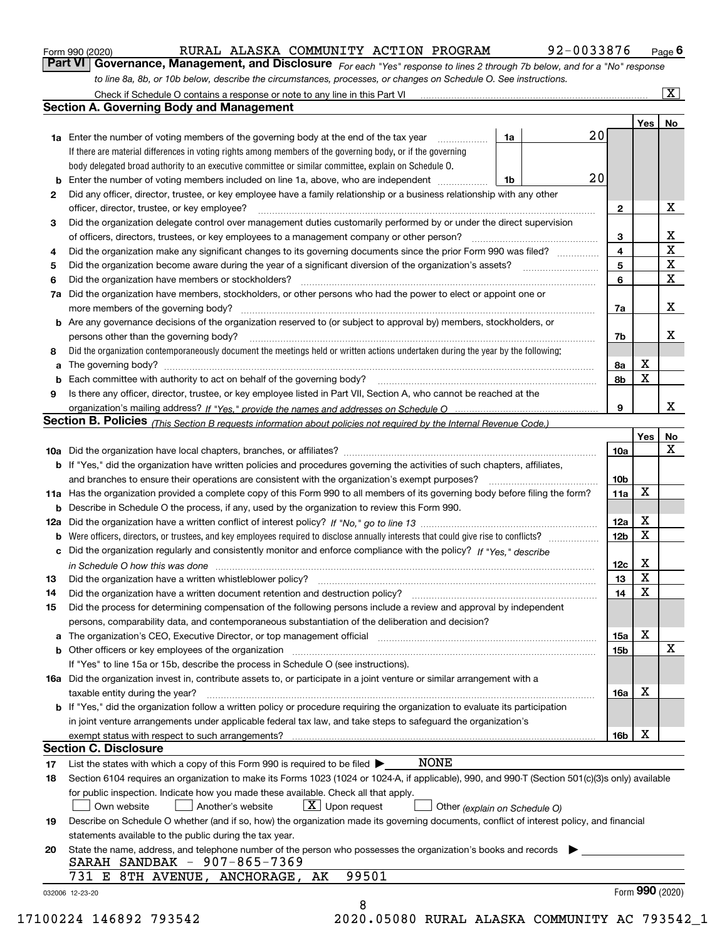|  | Form 990 (2020) |
|--|-----------------|
|  |                 |

| Form 990 (2020) |                                                                                                                               | RURAL ALASKA COMMUNITY ACTION PROGRAM |  | 92-0033876 | $P$ age $6$             |
|-----------------|-------------------------------------------------------------------------------------------------------------------------------|---------------------------------------|--|------------|-------------------------|
|                 | Part VI   Governance, Management, and Disclosure For each "Yes" response to lines 2 through 7b below, and for a "No" response |                                       |  |            |                         |
|                 | to line 8a, 8b, or 10b below, describe the circumstances, processes, or changes on Schedule O. See instructions.              |                                       |  |            |                         |
|                 | Check if Schedule O contains a response or note to any line in this Part VI                                                   |                                       |  |            | $\overline{\mathbf{X}}$ |

|    |                                                                                                                                                                                                                                |    |    |                         | Yes <sub>1</sub> | No                      |
|----|--------------------------------------------------------------------------------------------------------------------------------------------------------------------------------------------------------------------------------|----|----|-------------------------|------------------|-------------------------|
|    | <b>1a</b> Enter the number of voting members of the governing body at the end of the tax year                                                                                                                                  | 1a | 20 |                         |                  |                         |
|    | If there are material differences in voting rights among members of the governing body, or if the governing                                                                                                                    |    |    |                         |                  |                         |
|    | body delegated broad authority to an executive committee or similar committee, explain on Schedule O.                                                                                                                          |    |    |                         |                  |                         |
| b  | Enter the number of voting members included on line 1a, above, who are independent                                                                                                                                             | 1b | 20 |                         |                  |                         |
| 2  | Did any officer, director, trustee, or key employee have a family relationship or a business relationship with any other                                                                                                       |    |    |                         |                  |                         |
|    | officer, director, trustee, or key employee?                                                                                                                                                                                   |    |    | $\mathbf{2}$            |                  | X                       |
| З  | Did the organization delegate control over management duties customarily performed by or under the direct supervision                                                                                                          |    |    |                         |                  |                         |
|    | of officers, directors, trustees, or key employees to a management company or other person?                                                                                                                                    |    |    | 3                       |                  | X                       |
| 4  | Did the organization make any significant changes to its governing documents since the prior Form 990 was filed?                                                                                                               |    |    | $\overline{\mathbf{4}}$ |                  | $\overline{\mathbf{x}}$ |
| 5  |                                                                                                                                                                                                                                |    |    | 5                       |                  | $\overline{\mathbf{x}}$ |
| 6  | Did the organization have members or stockholders?                                                                                                                                                                             |    |    | 6                       |                  | $\mathbf X$             |
| 7a | Did the organization have members, stockholders, or other persons who had the power to elect or appoint one or                                                                                                                 |    |    |                         |                  |                         |
|    |                                                                                                                                                                                                                                |    |    | 7a                      |                  | X                       |
|    | <b>b</b> Are any governance decisions of the organization reserved to (or subject to approval by) members, stockholders, or                                                                                                    |    |    |                         |                  |                         |
|    | persons other than the governing body?                                                                                                                                                                                         |    |    | 7b                      |                  | х                       |
| 8  | Did the organization contemporaneously document the meetings held or written actions undertaken during the year by the following:                                                                                              |    |    |                         |                  |                         |
| a  |                                                                                                                                                                                                                                |    |    | 8а                      | X                |                         |
|    |                                                                                                                                                                                                                                |    |    | 8b                      | X                |                         |
| b  | Is there any officer, director, trustee, or key employee listed in Part VII, Section A, who cannot be reached at the                                                                                                           |    |    |                         |                  |                         |
| 9  |                                                                                                                                                                                                                                |    |    | 9                       |                  | X                       |
|    |                                                                                                                                                                                                                                |    |    |                         |                  |                         |
|    | Section B. Policies (This Section B requests information about policies not required by the Internal Revenue Code.)                                                                                                            |    |    |                         |                  |                         |
|    |                                                                                                                                                                                                                                |    |    |                         | Yes              | No<br>X                 |
|    |                                                                                                                                                                                                                                |    |    | 10a                     |                  |                         |
|    | <b>b</b> If "Yes," did the organization have written policies and procedures governing the activities of such chapters, affiliates,                                                                                            |    |    |                         |                  |                         |
|    |                                                                                                                                                                                                                                |    |    | 10 <sub>b</sub>         |                  |                         |
|    | 11a Has the organization provided a complete copy of this Form 990 to all members of its governing body before filing the form?                                                                                                |    |    | 11a                     | X                |                         |
|    | <b>b</b> Describe in Schedule O the process, if any, used by the organization to review this Form 990.                                                                                                                         |    |    |                         |                  |                         |
|    |                                                                                                                                                                                                                                |    |    | 12a                     | X                |                         |
|    | <b>b</b> Were officers, directors, or trustees, and key employees required to disclose annually interests that could give rise to conflicts?                                                                                   |    |    | 12 <sub>b</sub>         | х                |                         |
|    | c Did the organization regularly and consistently monitor and enforce compliance with the policy? If "Yes," describe                                                                                                           |    |    |                         |                  |                         |
|    | in Schedule O how this was done manufactured and continuum control of the Schedule O how this was done manufactured and continuum control of the Schedule O how this was done                                                  |    |    | 12c                     | X                |                         |
| 13 |                                                                                                                                                                                                                                |    |    | 13                      | X                |                         |
| 14 |                                                                                                                                                                                                                                |    |    | 14                      | X                |                         |
| 15 | Did the process for determining compensation of the following persons include a review and approval by independent                                                                                                             |    |    |                         |                  |                         |
|    | persons, comparability data, and contemporaneous substantiation of the deliberation and decision?                                                                                                                              |    |    |                         |                  |                         |
|    | a The organization's CEO, Executive Director, or top management official manufactured content content of the organization's CEO, Executive Director, or top management official manufactured content of the state of the state |    |    | 15a                     | х                |                         |
|    |                                                                                                                                                                                                                                |    |    | 15b                     |                  | X                       |
|    | If "Yes" to line 15a or 15b, describe the process in Schedule O (see instructions).                                                                                                                                            |    |    |                         |                  |                         |
|    | 16a Did the organization invest in, contribute assets to, or participate in a joint venture or similar arrangement with a                                                                                                      |    |    |                         |                  |                         |
|    | taxable entity during the year?                                                                                                                                                                                                |    |    | 16a                     | x                |                         |
|    | b If "Yes," did the organization follow a written policy or procedure requiring the organization to evaluate its participation                                                                                                 |    |    |                         |                  |                         |
|    | in joint venture arrangements under applicable federal tax law, and take steps to safeguard the organization's                                                                                                                 |    |    |                         |                  |                         |
|    | exempt status with respect to such arrangements?                                                                                                                                                                               |    |    | 16b                     | x                |                         |
|    | <b>Section C. Disclosure</b>                                                                                                                                                                                                   |    |    |                         |                  |                         |
| 17 | <b>NONE</b><br>List the states with which a copy of this Form 990 is required to be filed $\blacktriangleright$                                                                                                                |    |    |                         |                  |                         |
| 18 | Section 6104 requires an organization to make its Forms 1023 (1024 or 1024-A, if applicable), 990, and 990-T (Section 501(c)(3)s only) available                                                                               |    |    |                         |                  |                         |
|    | for public inspection. Indicate how you made these available. Check all that apply.                                                                                                                                            |    |    |                         |                  |                         |
|    | $X$ Upon request<br>Own website<br>Another's website<br>Other (explain on Schedule O)                                                                                                                                          |    |    |                         |                  |                         |
| 19 | Describe on Schedule O whether (and if so, how) the organization made its governing documents, conflict of interest policy, and financial                                                                                      |    |    |                         |                  |                         |
|    | statements available to the public during the tax year.                                                                                                                                                                        |    |    |                         |                  |                         |
| 20 | State the name, address, and telephone number of the person who possesses the organization's books and records                                                                                                                 |    |    |                         |                  |                         |
|    | SARAH SANDBAK - 907-865-7369                                                                                                                                                                                                   |    |    |                         |                  |                         |
|    | 99501<br>731 E 8TH AVENUE, ANCHORAGE,<br>AK                                                                                                                                                                                    |    |    |                         |                  |                         |
|    |                                                                                                                                                                                                                                |    |    |                         | Form 990 (2020)  |                         |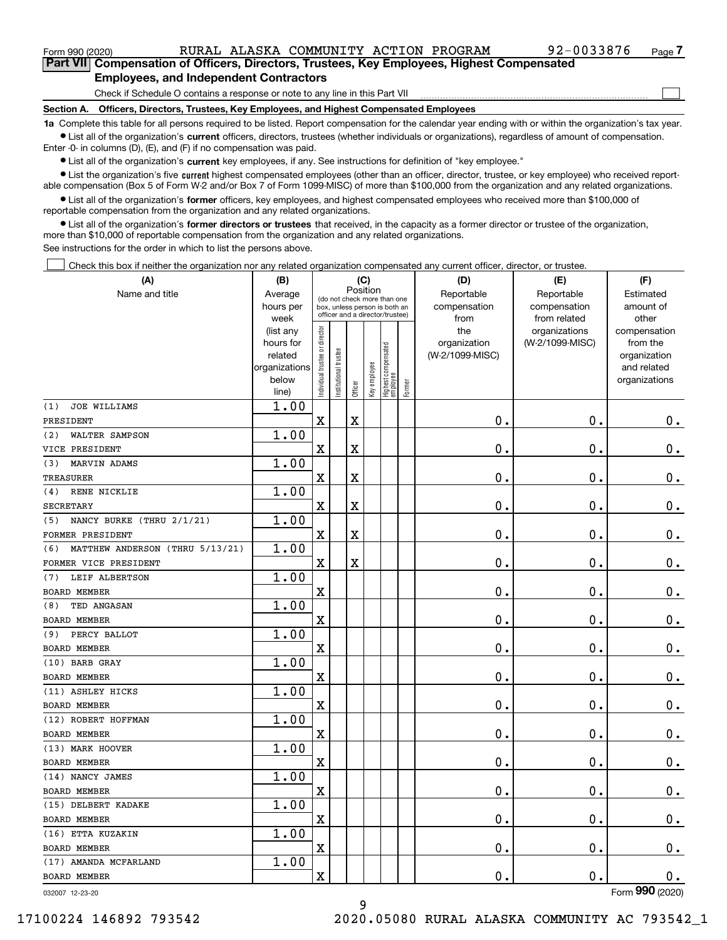$\mathcal{L}^{\text{max}}$ 

| Form 990 (2020)                                                                            |                                               | RURAL ALASKA COMMUNITY ACTION PROGRAM |  | 92-0033876 | Page 7 |
|--------------------------------------------------------------------------------------------|-----------------------------------------------|---------------------------------------|--|------------|--------|
| Part VII Compensation of Officers, Directors, Trustees, Key Employees, Highest Compensated |                                               |                                       |  |            |        |
|                                                                                            | <b>Employees, and Independent Contractors</b> |                                       |  |            |        |

Check if Schedule O contains a response or note to any line in this Part VII

**Section A. Officers, Directors, Trustees, Key Employees, and Highest Compensated Employees**

**1a**  Complete this table for all persons required to be listed. Report compensation for the calendar year ending with or within the organization's tax year. **•** List all of the organization's current officers, directors, trustees (whether individuals or organizations), regardless of amount of compensation.

Enter -0- in columns (D), (E), and (F) if no compensation was paid.

 $\bullet$  List all of the organization's  $\,$ current key employees, if any. See instructions for definition of "key employee."

**•** List the organization's five current highest compensated employees (other than an officer, director, trustee, or key employee) who received reportable compensation (Box 5 of Form W-2 and/or Box 7 of Form 1099-MISC) of more than \$100,000 from the organization and any related organizations.

**•** List all of the organization's former officers, key employees, and highest compensated employees who received more than \$100,000 of reportable compensation from the organization and any related organizations.

**former directors or trustees**  ¥ List all of the organization's that received, in the capacity as a former director or trustee of the organization, more than \$10,000 of reportable compensation from the organization and any related organizations.

See instructions for the order in which to list the persons above.

Check this box if neither the organization nor any related organization compensated any current officer, director, or trustee.  $\mathcal{L}^{\text{max}}$ 

| (A)                                    | (C)<br>(B)             |                                |                       |                         |              |                                                                  |        | (D)                 | (E)                              | (F)                      |
|----------------------------------------|------------------------|--------------------------------|-----------------------|-------------------------|--------------|------------------------------------------------------------------|--------|---------------------|----------------------------------|--------------------------|
| Name and title                         | Average                |                                |                       | Position                |              | (do not check more than one                                      |        | Reportable          | Reportable                       | Estimated                |
|                                        | hours per              |                                |                       |                         |              | box, unless person is both an<br>officer and a director/trustee) |        | compensation        | compensation                     | amount of                |
|                                        | week                   |                                |                       |                         |              |                                                                  |        | from                | from related                     | other                    |
|                                        | (list any<br>hours for |                                |                       |                         |              |                                                                  |        | the<br>organization | organizations<br>(W-2/1099-MISC) | compensation<br>from the |
|                                        | related                |                                |                       |                         |              |                                                                  |        | (W-2/1099-MISC)     |                                  | organization             |
|                                        | organizations          |                                |                       |                         |              |                                                                  |        |                     |                                  | and related              |
|                                        | below                  | Individual trustee or director | Institutional trustee |                         | Key employee |                                                                  |        |                     |                                  | organizations            |
|                                        | line)                  |                                |                       | Officer                 |              | Highest compensated<br>  employee                                | Former |                     |                                  |                          |
| <b>JOE WILLIAMS</b><br>(1)             | 1.00                   |                                |                       |                         |              |                                                                  |        |                     |                                  |                          |
| PRESIDENT                              |                        | $\mathbf X$                    |                       | $\overline{\textbf{X}}$ |              |                                                                  |        | 0.                  | $\mathbf 0$ .                    | 0.                       |
| (2)<br>WALTER SAMPSON                  | 1.00                   |                                |                       |                         |              |                                                                  |        |                     |                                  |                          |
| VICE PRESIDENT                         |                        | X                              |                       | X                       |              |                                                                  |        | 0.                  | 0.                               | 0.                       |
| (3)<br>MARVIN ADAMS                    | 1.00                   |                                |                       |                         |              |                                                                  |        |                     |                                  |                          |
| <b>TREASURER</b>                       |                        | $\mathbf X$                    |                       | $\overline{\textbf{X}}$ |              |                                                                  |        | $\mathbf 0$ .       | $\mathbf 0$ .                    | $\mathbf 0$ .            |
| RENE NICKLIE<br>(4)                    | 1.00                   |                                |                       |                         |              |                                                                  |        |                     |                                  |                          |
| <b>SECRETARY</b>                       |                        | X                              |                       | $\overline{\mathbf{X}}$ |              |                                                                  |        | 0.                  | $\mathbf 0$ .                    | 0.                       |
| NANCY BURKE (THRU 2/1/21)<br>(5)       | 1.00                   |                                |                       |                         |              |                                                                  |        |                     |                                  |                          |
| FORMER PRESIDENT                       |                        | $\rm X$                        |                       | X                       |              |                                                                  |        | 0.                  | $\mathbf 0$ .                    | $\mathbf 0$ .            |
| (6)<br>MATTHEW ANDERSON (THRU 5/13/21) | 1.00                   |                                |                       |                         |              |                                                                  |        |                     |                                  |                          |
| FORMER VICE PRESIDENT                  |                        | X                              |                       | X                       |              |                                                                  |        | $\mathbf 0$ .       | $\mathbf 0$ .                    | $\mathbf 0$ .            |
| LEIF ALBERTSON<br>(7)                  | 1.00                   |                                |                       |                         |              |                                                                  |        |                     |                                  |                          |
| <b>BOARD MEMBER</b>                    |                        | X                              |                       |                         |              |                                                                  |        | $\mathbf 0$ .       | $\mathbf 0$ .                    | $\mathbf 0$ .            |
| TED ANGASAN<br>(8)                     | 1.00                   |                                |                       |                         |              |                                                                  |        |                     |                                  |                          |
| <b>BOARD MEMBER</b>                    |                        | X                              |                       |                         |              |                                                                  |        | 0.                  | $\mathbf 0$ .                    | $0_{.}$                  |
| PERCY BALLOT<br>(9)                    | 1.00                   |                                |                       |                         |              |                                                                  |        |                     |                                  |                          |
| <b>BOARD MEMBER</b>                    |                        | $\overline{\mathbf{X}}$        |                       |                         |              |                                                                  |        | 0.                  | 0.                               | $\mathbf 0$ .            |
| (10) BARB GRAY                         | 1.00                   |                                |                       |                         |              |                                                                  |        |                     |                                  |                          |
| <b>BOARD MEMBER</b>                    |                        | X                              |                       |                         |              |                                                                  |        | 0.                  | $\mathbf 0$ .                    | 0.                       |
| (11) ASHLEY HICKS                      | 1.00                   |                                |                       |                         |              |                                                                  |        |                     |                                  |                          |
| <b>BOARD MEMBER</b>                    |                        | X                              |                       |                         |              |                                                                  |        | 0.                  | $\mathbf 0$ .                    | $\mathbf 0$ .            |
| (12) ROBERT HOFFMAN                    | 1.00                   |                                |                       |                         |              |                                                                  |        |                     |                                  |                          |
| <b>BOARD MEMBER</b>                    |                        | $\overline{\text{X}}$          |                       |                         |              |                                                                  |        | 0.                  | $\mathbf 0$ .                    | $\mathbf 0$ .            |
| (13) MARK HOOVER                       | 1.00                   |                                |                       |                         |              |                                                                  |        |                     |                                  |                          |
| BOARD MEMBER                           |                        | X                              |                       |                         |              |                                                                  |        | 0.                  | 0.                               | $\mathbf 0$ .            |
| (14) NANCY JAMES                       | 1.00                   |                                |                       |                         |              |                                                                  |        |                     |                                  |                          |
| <b>BOARD MEMBER</b>                    |                        | $\mathbf x$                    |                       |                         |              |                                                                  |        | $\mathbf{0}$ .      | $\mathbf 0$ .                    | $\mathbf 0$ .            |
| (15) DELBERT KADAKE                    | 1.00                   |                                |                       |                         |              |                                                                  |        |                     |                                  |                          |
| <b>BOARD MEMBER</b>                    |                        | X                              |                       |                         |              |                                                                  |        | 0.                  | 0.                               | $\mathbf 0$ .            |
| (16) ETTA KUZAKIN                      | 1.00                   |                                |                       |                         |              |                                                                  |        |                     |                                  |                          |
| <b>BOARD MEMBER</b>                    |                        | X                              |                       |                         |              |                                                                  |        | 0.                  | $\mathbf 0$ .                    | 0.                       |
| (17) AMANDA MCFARLAND                  | 1.00                   |                                |                       |                         |              |                                                                  |        |                     |                                  |                          |
| BOARD MEMBER                           |                        | X                              |                       |                         |              |                                                                  |        | 0.                  | $\mathbf 0$ .                    | 0.                       |
|                                        |                        |                                |                       |                         |              |                                                                  |        |                     |                                  | $\overline{2}$           |

9

032007 12-23-20

Form (2020) **990**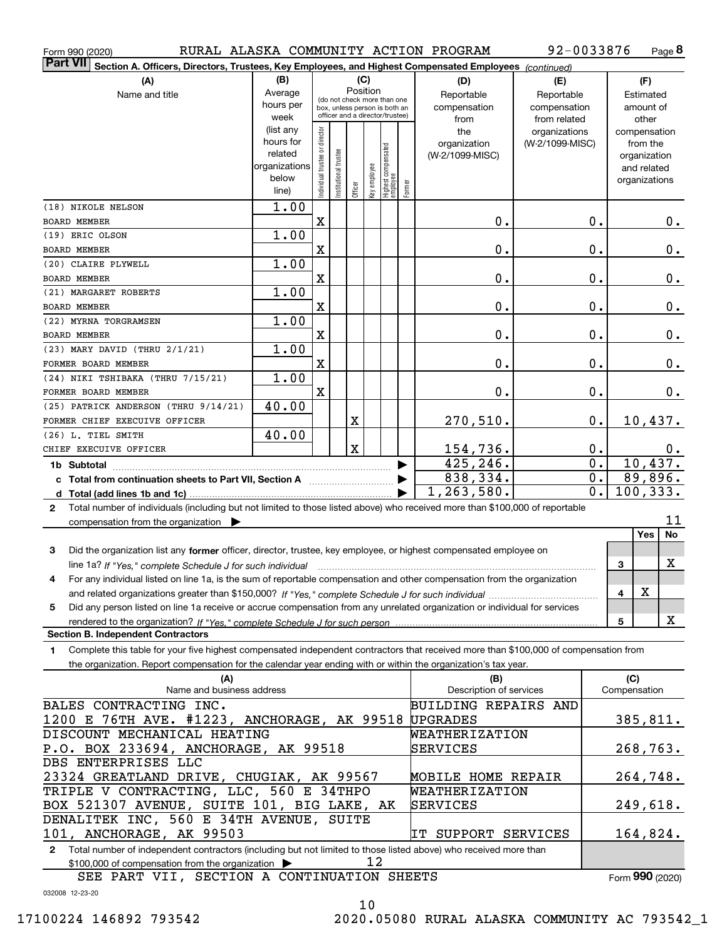| Form 990 (2020)                                                                                                                                      |                                      |                                |                        |                         |              |                                                              |        | RURAL ALASKA COMMUNITY ACTION PROGRAM | 92-0033876      |                  |              | Page 8        |               |
|------------------------------------------------------------------------------------------------------------------------------------------------------|--------------------------------------|--------------------------------|------------------------|-------------------------|--------------|--------------------------------------------------------------|--------|---------------------------------------|-----------------|------------------|--------------|---------------|---------------|
| <b>Part VII</b><br>Section A. Officers, Directors, Trustees, Key Employees, and Highest Compensated Employees (continued)                            |                                      |                                |                        |                         |              |                                                              |        |                                       |                 |                  |              |               |               |
| (A)                                                                                                                                                  | (B)                                  |                                |                        | (C)                     |              |                                                              |        | (D)                                   | (E)             |                  |              | (F)           |               |
| Name and title                                                                                                                                       | Average                              |                                |                        | Position                |              |                                                              |        | Reportable                            | Reportable      |                  |              | Estimated     |               |
|                                                                                                                                                      | hours per                            |                                |                        |                         |              | (do not check more than one<br>box, unless person is both an |        | compensation                          | compensation    |                  |              | amount of     |               |
|                                                                                                                                                      | week                                 |                                |                        |                         |              | officer and a director/trustee)                              |        | from                                  | from related    |                  |              | other         |               |
|                                                                                                                                                      | (list any                            |                                |                        |                         |              |                                                              |        | the                                   | organizations   |                  |              | compensation  |               |
|                                                                                                                                                      | hours for                            |                                |                        |                         |              |                                                              |        | organization                          | (W-2/1099-MISC) |                  |              | from the      |               |
|                                                                                                                                                      | related                              |                                |                        |                         |              |                                                              |        | (W-2/1099-MISC)                       |                 |                  |              | organization  |               |
|                                                                                                                                                      | organizations                        |                                |                        |                         |              |                                                              |        |                                       |                 |                  |              | and related   |               |
|                                                                                                                                                      | below                                | Individual trustee or director | In stitutional trustee | Officer                 | Key employee | Highest compensated<br>employee                              | Former |                                       |                 |                  |              | organizations |               |
|                                                                                                                                                      | line)                                |                                |                        |                         |              |                                                              |        |                                       |                 |                  |              |               |               |
| (18) NIKOLE NELSON                                                                                                                                   | 1.00                                 |                                |                        |                         |              |                                                              |        |                                       |                 |                  |              |               |               |
| BOARD MEMBER                                                                                                                                         |                                      | $\mathbf X$                    |                        |                         |              |                                                              |        | 0.                                    |                 | 0.               |              |               | $0_{.}$       |
| (19) ERIC OLSON                                                                                                                                      | 1.00                                 |                                |                        |                         |              |                                                              |        |                                       |                 |                  |              |               |               |
| BOARD MEMBER                                                                                                                                         |                                      | X                              |                        |                         |              |                                                              |        | 0.                                    |                 | 0.               |              |               | $0_{.}$       |
| (20) CLAIRE PLYWELL                                                                                                                                  | 1.00                                 |                                |                        |                         |              |                                                              |        |                                       |                 |                  |              |               |               |
| BOARD MEMBER                                                                                                                                         |                                      | X                              |                        |                         |              |                                                              |        | 0.                                    |                 | 0.               |              |               | $\mathbf 0$ . |
| (21) MARGARET ROBERTS                                                                                                                                | 1.00                                 |                                |                        |                         |              |                                                              |        |                                       |                 |                  |              |               |               |
| BOARD MEMBER                                                                                                                                         |                                      | X                              |                        |                         |              |                                                              |        | 0.                                    |                 | 0.               |              |               | $\mathbf 0$ . |
| (22) MYRNA TORGRAMSEN                                                                                                                                | 1.00                                 |                                |                        |                         |              |                                                              |        | 0.                                    |                 |                  |              |               |               |
| BOARD MEMBER<br>(23) MARY DAVID (THRU 2/1/21)                                                                                                        | 1.00                                 | X                              |                        |                         |              |                                                              |        |                                       |                 | 0.               |              |               | $\mathbf 0$ . |
| FORMER BOARD MEMBER                                                                                                                                  |                                      | X                              |                        |                         |              |                                                              |        | 0.                                    |                 | 0.               |              |               | $0_{.}$       |
| (24) NIKI TSHIBAKA (THRU 7/15/21)                                                                                                                    | 1.00                                 |                                |                        |                         |              |                                                              |        |                                       |                 |                  |              |               |               |
| FORMER BOARD MEMBER                                                                                                                                  |                                      | $\mathbf X$                    |                        |                         |              |                                                              |        | 0.                                    |                 | $\mathbf 0$ .    |              |               | $\mathbf 0$ . |
| (25) PATRICK ANDERSON (THRU 9/14/21)                                                                                                                 | 40.00                                |                                |                        |                         |              |                                                              |        |                                       |                 |                  |              |               |               |
| FORMER CHIEF EXECUIVE OFFICER                                                                                                                        |                                      |                                |                        | X                       |              |                                                              |        | 270,510.                              |                 | 0.               |              | 10,437.       |               |
| (26) L. TIEL SMITH                                                                                                                                   | 40.00                                |                                |                        |                         |              |                                                              |        |                                       |                 |                  |              |               |               |
| CHIEF EXECUIVE OFFICER                                                                                                                               |                                      |                                |                        | $\overline{\mathbf{X}}$ |              |                                                              |        |                                       |                 | 0.               |              |               | 0.            |
| 1b Subtotal                                                                                                                                          |                                      |                                |                        |                         |              |                                                              |        | <u>154,736.</u><br>425,246.           |                 | $\overline{0}$ . |              | 10,437.       |               |
| c Total from continuation sheets to Part VII, Section A [11, 11] [11] Continuum Continuum Continuum Continuum                                        |                                      |                                |                        |                         |              |                                                              |        | 838,334.                              |                 | 0.               |              | $89,896$ .    |               |
|                                                                                                                                                      |                                      |                                |                        |                         |              |                                                              |        | 1,263,580.                            |                 | $\overline{0}$ . |              | 100, 333.     |               |
| Total number of individuals (including but not limited to those listed above) who received more than \$100,000 of reportable<br>$\mathbf{2}$         |                                      |                                |                        |                         |              |                                                              |        |                                       |                 |                  |              |               |               |
| compensation from the organization                                                                                                                   |                                      |                                |                        |                         |              |                                                              |        |                                       |                 |                  |              |               | 11            |
|                                                                                                                                                      |                                      |                                |                        |                         |              |                                                              |        |                                       |                 |                  |              | <b>Yes</b>    | No            |
| 3<br>Did the organization list any former officer, director, trustee, key employee, or highest compensated employee on                               |                                      |                                |                        |                         |              |                                                              |        |                                       |                 |                  |              |               |               |
| line 1a? If "Yes," complete Schedule J for such individual matches contained and the 1a? If "Yes," complete Schedule J for such individual           |                                      |                                |                        |                         |              |                                                              |        |                                       |                 |                  | 3            |               | x             |
| 4<br>For any individual listed on line 1a, is the sum of reportable compensation and other compensation from the organization                        |                                      |                                |                        |                         |              |                                                              |        |                                       |                 |                  |              |               |               |
|                                                                                                                                                      |                                      |                                |                        |                         |              |                                                              |        |                                       |                 |                  | 4            | х             |               |
| Did any person listed on line 1a receive or accrue compensation from any unrelated organization or individual for services<br>5                      |                                      |                                |                        |                         |              |                                                              |        |                                       |                 |                  |              |               |               |
|                                                                                                                                                      |                                      |                                |                        |                         |              |                                                              |        |                                       |                 |                  | 5            |               | X             |
| <b>Section B. Independent Contractors</b>                                                                                                            |                                      |                                |                        |                         |              |                                                              |        |                                       |                 |                  |              |               |               |
| Complete this table for your five highest compensated independent contractors that received more than \$100,000 of compensation from<br>$\mathbf{1}$ |                                      |                                |                        |                         |              |                                                              |        |                                       |                 |                  |              |               |               |
| the organization. Report compensation for the calendar year ending with or within the organization's tax year.                                       |                                      |                                |                        |                         |              |                                                              |        |                                       |                 |                  |              |               |               |
| (A)                                                                                                                                                  |                                      |                                |                        |                         |              |                                                              |        | (B)                                   |                 |                  | (C)          |               |               |
| Name and business address                                                                                                                            |                                      |                                |                        |                         |              |                                                              |        | Description of services               |                 |                  | Compensation |               |               |
| BALES CONTRACTING INC.                                                                                                                               |                                      |                                |                        |                         |              |                                                              |        | <b>BUILDING REPAIRS AND</b>           |                 |                  |              |               |               |
| 1200 E 76TH AVE. #1223, ANCHORAGE, AK 99518                                                                                                          |                                      |                                |                        |                         |              |                                                              |        | <b>UPGRADES</b>                       |                 |                  |              | 385, 811.     |               |
| DISCOUNT MECHANICAL HEATING                                                                                                                          |                                      |                                |                        |                         |              |                                                              |        | WEATHERIZATION                        |                 |                  |              |               |               |
|                                                                                                                                                      | P.O. BOX 233694, ANCHORAGE, AK 99518 |                                |                        |                         |              |                                                              |        |                                       |                 |                  |              | 268,763.      |               |
| DBS ENTERPRISES LLC                                                                                                                                  | SERVICES                             |                                |                        |                         |              |                                                              |        |                                       |                 |                  |              |               |               |
| 23324 GREATLAND DRIVE, CHUGIAK, AK 99567                                                                                                             |                                      |                                |                        |                         |              |                                                              |        | <b>MOBILE HOME REPAIR</b>             |                 |                  |              | 264,748.      |               |
| TRIPLE V CONTRACTING, LLC, 560 E 34THPO                                                                                                              |                                      |                                |                        |                         |              |                                                              |        | WEATHERIZATION                        |                 |                  |              |               |               |
| BOX 521307 AVENUE, SUITE 101, BIG LAKE, AK                                                                                                           |                                      |                                |                        |                         |              |                                                              |        | SERVICES                              |                 |                  |              | 249,618.      |               |
|                                                                                                                                                      |                                      |                                |                        |                         |              |                                                              |        |                                       |                 |                  |              |               |               |
| DENALITEK INC, 560 E 34TH AVENUE, SUITE<br>101, ANCHORAGE, AK 99503<br>164,824.<br>IT SUPPORT SERVICES                                               |                                      |                                |                        |                         |              |                                                              |        |                                       |                 |                  |              |               |               |

**2**Total number of independent contractors (including but not limited to those listed above) who received more than \$100,000 of compensation from the organization 12

SEE PART VII, SECTION A CONTINUATION SHEETS

Form (2020) **990**

032008 12-23-20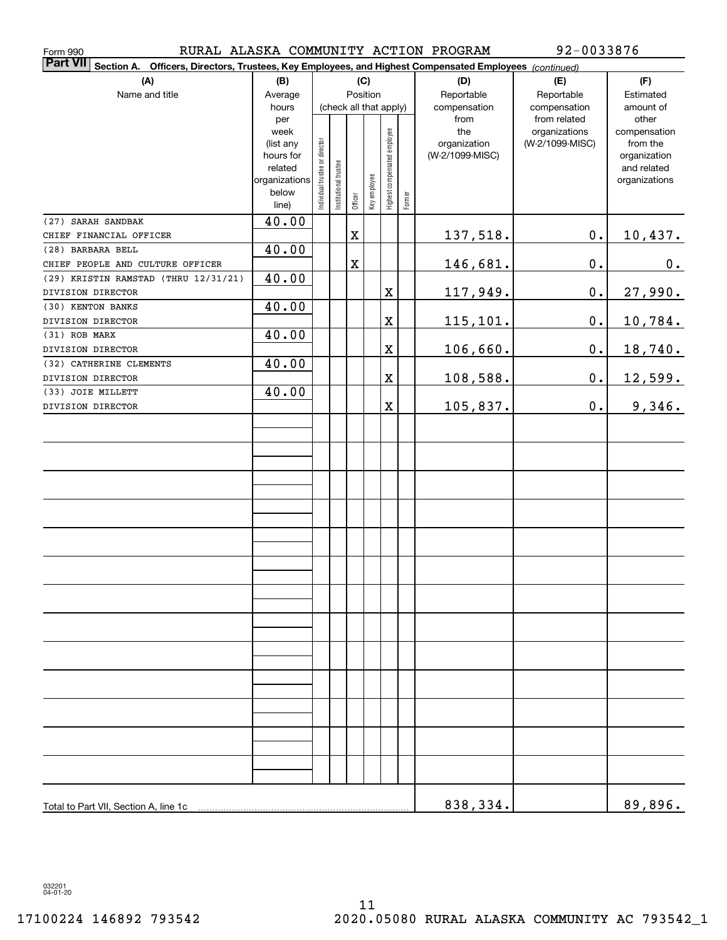| Form 990                                                                                                           |                          |                                |                        |             |              |                              |        | RURAL ALASKA COMMUNITY ACTION PROGRAM | 92-0033876                   |                              |
|--------------------------------------------------------------------------------------------------------------------|--------------------------|--------------------------------|------------------------|-------------|--------------|------------------------------|--------|---------------------------------------|------------------------------|------------------------------|
| Part VII Section A.<br>Officers, Directors, Trustees, Key Employees, and Highest Compensated Employees (continued) |                          |                                |                        |             |              |                              |        |                                       |                              |                              |
| (A)                                                                                                                | (B)                      | (C)                            |                        |             |              |                              |        | (D)                                   | (E)                          | (F)                          |
| Name and title                                                                                                     | Average                  |                                |                        |             | Position     |                              |        | Reportable                            | Reportable                   | Estimated                    |
|                                                                                                                    | hours<br>per             |                                | (check all that apply) |             |              |                              |        | compensation<br>from                  | compensation<br>from related | amount of<br>other           |
|                                                                                                                    | week                     |                                |                        |             |              |                              |        | the                                   | organizations                | compensation                 |
|                                                                                                                    | (list any                |                                |                        |             |              |                              |        | organization                          | (W-2/1099-MISC)              | from the                     |
|                                                                                                                    | hours for                |                                |                        |             |              |                              |        | (W-2/1099-MISC)                       |                              | organization                 |
|                                                                                                                    | related<br>organizations | Individual trustee or director | Institutional trustee  |             |              | Highest compensated employee |        |                                       |                              | and related<br>organizations |
|                                                                                                                    | below                    |                                |                        |             | Key employee |                              |        |                                       |                              |                              |
|                                                                                                                    | line)                    |                                |                        | Officer     |              |                              | Former |                                       |                              |                              |
| (27) SARAH SANDBAK                                                                                                 | 40.00                    |                                |                        |             |              |                              |        |                                       |                              |                              |
| CHIEF FINANCIAL OFFICER                                                                                            |                          |                                |                        | $\mathbf X$ |              |                              |        | <u>137,518.</u>                       | 0.                           | 10,437.                      |
| (28) BARBARA BELL                                                                                                  | 40.00                    |                                |                        |             |              |                              |        |                                       |                              |                              |
| CHIEF PEOPLE AND CULTURE OFFICER                                                                                   |                          |                                |                        | $\mathbf X$ |              |                              |        | 146,681.                              | 0.                           | 0.                           |
| (29) KRISTIN RAMSTAD (THRU 12/31/21)                                                                               | 40.00                    |                                |                        |             |              |                              |        |                                       |                              |                              |
| DIVISION DIRECTOR                                                                                                  |                          |                                |                        |             |              | $\mathbf X$                  |        | <u> 117,949.</u>                      | $\mathbf 0$ .                | 27,990.                      |
| (30) KENTON BANKS                                                                                                  | 40.00                    |                                |                        |             |              |                              |        |                                       |                              |                              |
| DIVISION DIRECTOR                                                                                                  |                          |                                |                        |             |              | $\mathbf X$                  |        | 115,101.                              | $\mathbf 0$ .                | 10,784.                      |
| (31) ROB MARX                                                                                                      | 40.00                    |                                |                        |             |              |                              |        |                                       | 0.                           |                              |
| DIVISION DIRECTOR<br>(32) CATHERINE CLEMENTS                                                                       | 40.00                    |                                |                        |             |              | $\mathbf X$                  |        | 106,660.                              |                              | 18,740.                      |
| DIVISION DIRECTOR                                                                                                  |                          |                                |                        |             |              | $\mathbf X$                  |        | 108,588.                              | 0.                           | <u>12,599.</u>               |
| (33) JOIE MILLETT                                                                                                  | 40.00                    |                                |                        |             |              |                              |        |                                       |                              |                              |
| DIVISION DIRECTOR                                                                                                  |                          |                                |                        |             |              | $\mathbf X$                  |        | 105,837.                              | 0.                           | 9,346.                       |
|                                                                                                                    |                          |                                |                        |             |              |                              |        |                                       |                              |                              |
|                                                                                                                    |                          |                                |                        |             |              |                              |        |                                       |                              |                              |
|                                                                                                                    |                          |                                |                        |             |              |                              |        |                                       |                              |                              |
|                                                                                                                    |                          |                                |                        |             |              |                              |        |                                       |                              |                              |
|                                                                                                                    |                          |                                |                        |             |              |                              |        |                                       |                              |                              |
|                                                                                                                    |                          |                                |                        |             |              |                              |        |                                       |                              |                              |
|                                                                                                                    |                          |                                |                        |             |              |                              |        |                                       |                              |                              |
|                                                                                                                    |                          |                                |                        |             |              |                              |        |                                       |                              |                              |
|                                                                                                                    |                          |                                |                        |             |              |                              |        |                                       |                              |                              |
|                                                                                                                    |                          |                                |                        |             |              |                              |        |                                       |                              |                              |
|                                                                                                                    |                          |                                |                        |             |              |                              |        |                                       |                              |                              |
|                                                                                                                    |                          |                                |                        |             |              |                              |        |                                       |                              |                              |
|                                                                                                                    |                          |                                |                        |             |              |                              |        |                                       |                              |                              |
|                                                                                                                    |                          |                                |                        |             |              |                              |        |                                       |                              |                              |
|                                                                                                                    |                          |                                |                        |             |              |                              |        |                                       |                              |                              |
|                                                                                                                    |                          |                                |                        |             |              |                              |        |                                       |                              |                              |
|                                                                                                                    |                          |                                |                        |             |              |                              |        |                                       |                              |                              |
|                                                                                                                    |                          |                                |                        |             |              |                              |        |                                       |                              |                              |
|                                                                                                                    |                          |                                |                        |             |              |                              |        |                                       |                              |                              |
|                                                                                                                    |                          |                                |                        |             |              |                              |        |                                       |                              |                              |
|                                                                                                                    |                          |                                |                        |             |              |                              |        |                                       |                              |                              |
|                                                                                                                    |                          |                                |                        |             |              |                              |        |                                       |                              |                              |
|                                                                                                                    |                          |                                |                        |             |              |                              |        |                                       |                              |                              |
|                                                                                                                    |                          |                                |                        |             |              |                              |        |                                       |                              |                              |
|                                                                                                                    |                          |                                |                        |             |              |                              |        |                                       |                              |                              |
| Total to Part VII, Section A, line 1c                                                                              |                          |                                |                        |             |              |                              |        | 838,334.                              |                              | 89,896.                      |

032201 04-01-20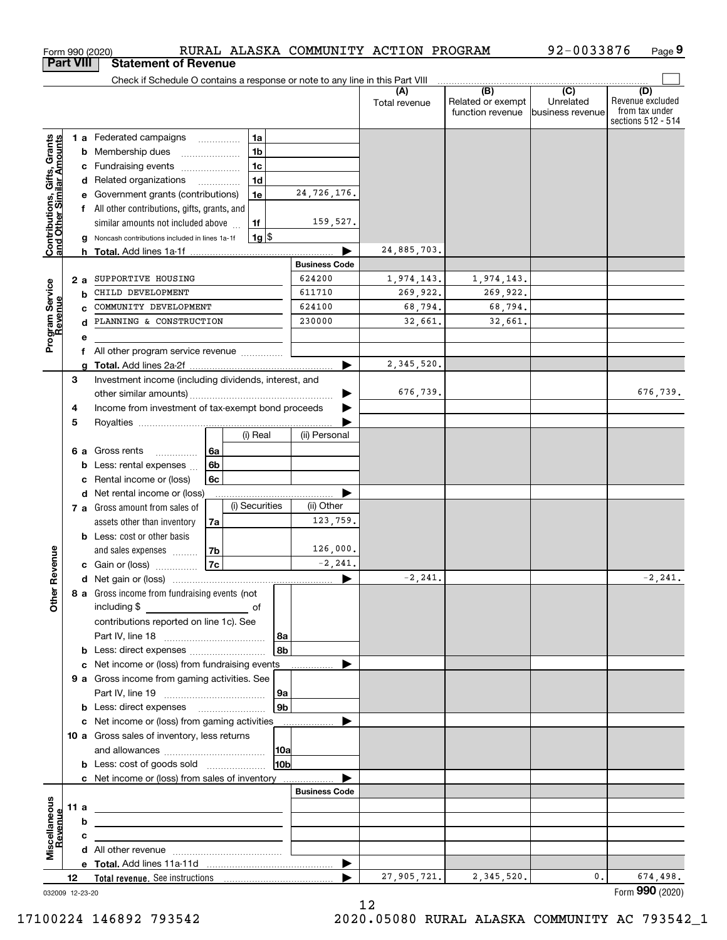| <b>Part VIII</b><br>Check if Schedule O contains a response or note to any line in this Part VIII<br>(B)<br>$\overline{C}$<br>(A)<br>(D)<br>Related or exempt<br>Unrelated<br>Total revenue<br>function revenue<br>lbusiness revenue<br>1a<br><b>Contributions, Gifts, Grants</b><br>and Other Similar Amounts<br><b>1 a</b> Federated campaigns<br>1 <sub>b</sub><br><b>b</b> Membership dues<br>1 <sub>c</sub><br>Fundraising events<br>c<br>1 <sub>d</sub><br>d Related organizations<br>24,726,176.<br>1e<br>Government grants (contributions)<br>е<br>f All other contributions, gifts, grants, and<br>159,527.<br>similar amounts not included above<br>1f<br>$1g$ \$<br>Noncash contributions included in lines 1a-1f<br>a<br>24,885,703.<br><b>Business Code</b><br>624200<br>SUPPORTIVE HOUSING<br>1,974,143.<br>1,974,143.<br>Program Service<br>Revenue<br>2 a<br>CHILD DEVELOPMENT<br>611710<br>269,922.<br>269,922.<br>b<br>624100<br>COMMUNITY DEVELOPMENT<br>68,794.<br>68,794.<br>230000<br>PLANNING & CONSTRUCTION<br>32,661.<br>32,661.<br>d<br>е<br>All other program service revenue<br>f<br>2, 345, 520.<br>q<br>Investment income (including dividends, interest, and<br>3<br>676,739.<br>Income from investment of tax-exempt bond proceeds<br>4<br>5<br>(ii) Personal<br>(i) Real<br>Gross rents<br>6а<br>6а<br>.<br>6 <sub>b</sub><br>Less: rental expenses<br>b<br>Rental income or (loss)<br>6c<br>c<br>d Net rental income or (loss)<br>(i) Securities<br>(ii) Other<br>7 a Gross amount from sales of<br>123,759.<br>assets other than inventory<br>7a<br><b>b</b> Less: cost or other basis<br>126,000.<br>evenue<br>7b<br>and sales expenses<br>7c<br>$-2, 241.$<br>c Gain or (loss)<br>$-2, 241.$<br>Œ<br>Other<br>8 a Gross income from fundraising events (not<br>contributions reported on line 1c). See<br>  8a<br>8 <sub>b</sub><br><b>b</b> Less: direct expenses <i>manually contained</i><br><b>c</b> Net income or (loss) from fundraising events<br><b>9 a</b> Gross income from gaming activities. See<br>9а<br>9 <sub>b</sub><br><b>b</b> Less: direct expenses <b>manually</b><br>c Net income or (loss) from gaming activities _______________<br>10 a Gross sales of inventory, less returns<br> 10a<br>10 <sub>b</sub><br>c Net income or (loss) from sales of inventory<br><b>Business Code</b><br>Miscellaneous<br>11a<br><u> 1989 - Johann Stein, marwolaethau a bhann an t-Amhair Aonaichte ann an t-Amhair Aonaichte ann an t-Amhair Aon</u><br>evenue<br>b<br>с<br>the control of the control of the control of the control of the control of the control of<br>$\blacktriangleright$<br>27,905,721.<br>2,345,520.<br>0.<br>12 | Form 990 (2020) |                             | RURAL ALASKA COMMUNITY ACTION PROGRAM |  | 92-0033876 | Page 9                                                   |
|--------------------------------------------------------------------------------------------------------------------------------------------------------------------------------------------------------------------------------------------------------------------------------------------------------------------------------------------------------------------------------------------------------------------------------------------------------------------------------------------------------------------------------------------------------------------------------------------------------------------------------------------------------------------------------------------------------------------------------------------------------------------------------------------------------------------------------------------------------------------------------------------------------------------------------------------------------------------------------------------------------------------------------------------------------------------------------------------------------------------------------------------------------------------------------------------------------------------------------------------------------------------------------------------------------------------------------------------------------------------------------------------------------------------------------------------------------------------------------------------------------------------------------------------------------------------------------------------------------------------------------------------------------------------------------------------------------------------------------------------------------------------------------------------------------------------------------------------------------------------------------------------------------------------------------------------------------------------------------------------------------------------------------------------------------------------------------------------------------------------------------------------------------------------------------------------------------------------------------------------------------------------------------------------------------------------------------------------------------------------------------------------------------------------------------------------------------------------------------------------------------------------------------------------------------------------------------------------------------------------------------------------------------------------------------------|-----------------|-----------------------------|---------------------------------------|--|------------|----------------------------------------------------------|
|                                                                                                                                                                                                                                                                                                                                                                                                                                                                                                                                                                                                                                                                                                                                                                                                                                                                                                                                                                                                                                                                                                                                                                                                                                                                                                                                                                                                                                                                                                                                                                                                                                                                                                                                                                                                                                                                                                                                                                                                                                                                                                                                                                                                                                                                                                                                                                                                                                                                                                                                                                                                                                                                                      |                 | <b>Statement of Revenue</b> |                                       |  |            |                                                          |
|                                                                                                                                                                                                                                                                                                                                                                                                                                                                                                                                                                                                                                                                                                                                                                                                                                                                                                                                                                                                                                                                                                                                                                                                                                                                                                                                                                                                                                                                                                                                                                                                                                                                                                                                                                                                                                                                                                                                                                                                                                                                                                                                                                                                                                                                                                                                                                                                                                                                                                                                                                                                                                                                                      |                 |                             |                                       |  |            |                                                          |
|                                                                                                                                                                                                                                                                                                                                                                                                                                                                                                                                                                                                                                                                                                                                                                                                                                                                                                                                                                                                                                                                                                                                                                                                                                                                                                                                                                                                                                                                                                                                                                                                                                                                                                                                                                                                                                                                                                                                                                                                                                                                                                                                                                                                                                                                                                                                                                                                                                                                                                                                                                                                                                                                                      |                 |                             |                                       |  |            | Revenue excluded<br>from tax under<br>sections 512 - 514 |
|                                                                                                                                                                                                                                                                                                                                                                                                                                                                                                                                                                                                                                                                                                                                                                                                                                                                                                                                                                                                                                                                                                                                                                                                                                                                                                                                                                                                                                                                                                                                                                                                                                                                                                                                                                                                                                                                                                                                                                                                                                                                                                                                                                                                                                                                                                                                                                                                                                                                                                                                                                                                                                                                                      |                 |                             |                                       |  |            |                                                          |
|                                                                                                                                                                                                                                                                                                                                                                                                                                                                                                                                                                                                                                                                                                                                                                                                                                                                                                                                                                                                                                                                                                                                                                                                                                                                                                                                                                                                                                                                                                                                                                                                                                                                                                                                                                                                                                                                                                                                                                                                                                                                                                                                                                                                                                                                                                                                                                                                                                                                                                                                                                                                                                                                                      |                 |                             |                                       |  |            |                                                          |
|                                                                                                                                                                                                                                                                                                                                                                                                                                                                                                                                                                                                                                                                                                                                                                                                                                                                                                                                                                                                                                                                                                                                                                                                                                                                                                                                                                                                                                                                                                                                                                                                                                                                                                                                                                                                                                                                                                                                                                                                                                                                                                                                                                                                                                                                                                                                                                                                                                                                                                                                                                                                                                                                                      |                 |                             |                                       |  |            |                                                          |
|                                                                                                                                                                                                                                                                                                                                                                                                                                                                                                                                                                                                                                                                                                                                                                                                                                                                                                                                                                                                                                                                                                                                                                                                                                                                                                                                                                                                                                                                                                                                                                                                                                                                                                                                                                                                                                                                                                                                                                                                                                                                                                                                                                                                                                                                                                                                                                                                                                                                                                                                                                                                                                                                                      |                 |                             |                                       |  |            |                                                          |
|                                                                                                                                                                                                                                                                                                                                                                                                                                                                                                                                                                                                                                                                                                                                                                                                                                                                                                                                                                                                                                                                                                                                                                                                                                                                                                                                                                                                                                                                                                                                                                                                                                                                                                                                                                                                                                                                                                                                                                                                                                                                                                                                                                                                                                                                                                                                                                                                                                                                                                                                                                                                                                                                                      |                 |                             |                                       |  |            |                                                          |
|                                                                                                                                                                                                                                                                                                                                                                                                                                                                                                                                                                                                                                                                                                                                                                                                                                                                                                                                                                                                                                                                                                                                                                                                                                                                                                                                                                                                                                                                                                                                                                                                                                                                                                                                                                                                                                                                                                                                                                                                                                                                                                                                                                                                                                                                                                                                                                                                                                                                                                                                                                                                                                                                                      |                 |                             |                                       |  |            |                                                          |
|                                                                                                                                                                                                                                                                                                                                                                                                                                                                                                                                                                                                                                                                                                                                                                                                                                                                                                                                                                                                                                                                                                                                                                                                                                                                                                                                                                                                                                                                                                                                                                                                                                                                                                                                                                                                                                                                                                                                                                                                                                                                                                                                                                                                                                                                                                                                                                                                                                                                                                                                                                                                                                                                                      |                 |                             |                                       |  |            |                                                          |
|                                                                                                                                                                                                                                                                                                                                                                                                                                                                                                                                                                                                                                                                                                                                                                                                                                                                                                                                                                                                                                                                                                                                                                                                                                                                                                                                                                                                                                                                                                                                                                                                                                                                                                                                                                                                                                                                                                                                                                                                                                                                                                                                                                                                                                                                                                                                                                                                                                                                                                                                                                                                                                                                                      |                 |                             |                                       |  |            |                                                          |
|                                                                                                                                                                                                                                                                                                                                                                                                                                                                                                                                                                                                                                                                                                                                                                                                                                                                                                                                                                                                                                                                                                                                                                                                                                                                                                                                                                                                                                                                                                                                                                                                                                                                                                                                                                                                                                                                                                                                                                                                                                                                                                                                                                                                                                                                                                                                                                                                                                                                                                                                                                                                                                                                                      |                 |                             |                                       |  |            |                                                          |
|                                                                                                                                                                                                                                                                                                                                                                                                                                                                                                                                                                                                                                                                                                                                                                                                                                                                                                                                                                                                                                                                                                                                                                                                                                                                                                                                                                                                                                                                                                                                                                                                                                                                                                                                                                                                                                                                                                                                                                                                                                                                                                                                                                                                                                                                                                                                                                                                                                                                                                                                                                                                                                                                                      |                 |                             |                                       |  |            |                                                          |
|                                                                                                                                                                                                                                                                                                                                                                                                                                                                                                                                                                                                                                                                                                                                                                                                                                                                                                                                                                                                                                                                                                                                                                                                                                                                                                                                                                                                                                                                                                                                                                                                                                                                                                                                                                                                                                                                                                                                                                                                                                                                                                                                                                                                                                                                                                                                                                                                                                                                                                                                                                                                                                                                                      |                 |                             |                                       |  |            |                                                          |
|                                                                                                                                                                                                                                                                                                                                                                                                                                                                                                                                                                                                                                                                                                                                                                                                                                                                                                                                                                                                                                                                                                                                                                                                                                                                                                                                                                                                                                                                                                                                                                                                                                                                                                                                                                                                                                                                                                                                                                                                                                                                                                                                                                                                                                                                                                                                                                                                                                                                                                                                                                                                                                                                                      |                 |                             |                                       |  |            |                                                          |
|                                                                                                                                                                                                                                                                                                                                                                                                                                                                                                                                                                                                                                                                                                                                                                                                                                                                                                                                                                                                                                                                                                                                                                                                                                                                                                                                                                                                                                                                                                                                                                                                                                                                                                                                                                                                                                                                                                                                                                                                                                                                                                                                                                                                                                                                                                                                                                                                                                                                                                                                                                                                                                                                                      |                 |                             |                                       |  |            |                                                          |
|                                                                                                                                                                                                                                                                                                                                                                                                                                                                                                                                                                                                                                                                                                                                                                                                                                                                                                                                                                                                                                                                                                                                                                                                                                                                                                                                                                                                                                                                                                                                                                                                                                                                                                                                                                                                                                                                                                                                                                                                                                                                                                                                                                                                                                                                                                                                                                                                                                                                                                                                                                                                                                                                                      |                 |                             |                                       |  |            |                                                          |
|                                                                                                                                                                                                                                                                                                                                                                                                                                                                                                                                                                                                                                                                                                                                                                                                                                                                                                                                                                                                                                                                                                                                                                                                                                                                                                                                                                                                                                                                                                                                                                                                                                                                                                                                                                                                                                                                                                                                                                                                                                                                                                                                                                                                                                                                                                                                                                                                                                                                                                                                                                                                                                                                                      |                 |                             |                                       |  |            |                                                          |
|                                                                                                                                                                                                                                                                                                                                                                                                                                                                                                                                                                                                                                                                                                                                                                                                                                                                                                                                                                                                                                                                                                                                                                                                                                                                                                                                                                                                                                                                                                                                                                                                                                                                                                                                                                                                                                                                                                                                                                                                                                                                                                                                                                                                                                                                                                                                                                                                                                                                                                                                                                                                                                                                                      |                 |                             |                                       |  |            |                                                          |
|                                                                                                                                                                                                                                                                                                                                                                                                                                                                                                                                                                                                                                                                                                                                                                                                                                                                                                                                                                                                                                                                                                                                                                                                                                                                                                                                                                                                                                                                                                                                                                                                                                                                                                                                                                                                                                                                                                                                                                                                                                                                                                                                                                                                                                                                                                                                                                                                                                                                                                                                                                                                                                                                                      |                 |                             |                                       |  |            |                                                          |
|                                                                                                                                                                                                                                                                                                                                                                                                                                                                                                                                                                                                                                                                                                                                                                                                                                                                                                                                                                                                                                                                                                                                                                                                                                                                                                                                                                                                                                                                                                                                                                                                                                                                                                                                                                                                                                                                                                                                                                                                                                                                                                                                                                                                                                                                                                                                                                                                                                                                                                                                                                                                                                                                                      |                 |                             |                                       |  |            |                                                          |
|                                                                                                                                                                                                                                                                                                                                                                                                                                                                                                                                                                                                                                                                                                                                                                                                                                                                                                                                                                                                                                                                                                                                                                                                                                                                                                                                                                                                                                                                                                                                                                                                                                                                                                                                                                                                                                                                                                                                                                                                                                                                                                                                                                                                                                                                                                                                                                                                                                                                                                                                                                                                                                                                                      |                 |                             |                                       |  |            | 676,739.                                                 |
|                                                                                                                                                                                                                                                                                                                                                                                                                                                                                                                                                                                                                                                                                                                                                                                                                                                                                                                                                                                                                                                                                                                                                                                                                                                                                                                                                                                                                                                                                                                                                                                                                                                                                                                                                                                                                                                                                                                                                                                                                                                                                                                                                                                                                                                                                                                                                                                                                                                                                                                                                                                                                                                                                      |                 |                             |                                       |  |            |                                                          |
|                                                                                                                                                                                                                                                                                                                                                                                                                                                                                                                                                                                                                                                                                                                                                                                                                                                                                                                                                                                                                                                                                                                                                                                                                                                                                                                                                                                                                                                                                                                                                                                                                                                                                                                                                                                                                                                                                                                                                                                                                                                                                                                                                                                                                                                                                                                                                                                                                                                                                                                                                                                                                                                                                      |                 |                             |                                       |  |            |                                                          |
|                                                                                                                                                                                                                                                                                                                                                                                                                                                                                                                                                                                                                                                                                                                                                                                                                                                                                                                                                                                                                                                                                                                                                                                                                                                                                                                                                                                                                                                                                                                                                                                                                                                                                                                                                                                                                                                                                                                                                                                                                                                                                                                                                                                                                                                                                                                                                                                                                                                                                                                                                                                                                                                                                      |                 |                             |                                       |  |            |                                                          |
|                                                                                                                                                                                                                                                                                                                                                                                                                                                                                                                                                                                                                                                                                                                                                                                                                                                                                                                                                                                                                                                                                                                                                                                                                                                                                                                                                                                                                                                                                                                                                                                                                                                                                                                                                                                                                                                                                                                                                                                                                                                                                                                                                                                                                                                                                                                                                                                                                                                                                                                                                                                                                                                                                      |                 |                             |                                       |  |            |                                                          |
|                                                                                                                                                                                                                                                                                                                                                                                                                                                                                                                                                                                                                                                                                                                                                                                                                                                                                                                                                                                                                                                                                                                                                                                                                                                                                                                                                                                                                                                                                                                                                                                                                                                                                                                                                                                                                                                                                                                                                                                                                                                                                                                                                                                                                                                                                                                                                                                                                                                                                                                                                                                                                                                                                      |                 |                             |                                       |  |            |                                                          |
|                                                                                                                                                                                                                                                                                                                                                                                                                                                                                                                                                                                                                                                                                                                                                                                                                                                                                                                                                                                                                                                                                                                                                                                                                                                                                                                                                                                                                                                                                                                                                                                                                                                                                                                                                                                                                                                                                                                                                                                                                                                                                                                                                                                                                                                                                                                                                                                                                                                                                                                                                                                                                                                                                      |                 |                             |                                       |  |            |                                                          |
|                                                                                                                                                                                                                                                                                                                                                                                                                                                                                                                                                                                                                                                                                                                                                                                                                                                                                                                                                                                                                                                                                                                                                                                                                                                                                                                                                                                                                                                                                                                                                                                                                                                                                                                                                                                                                                                                                                                                                                                                                                                                                                                                                                                                                                                                                                                                                                                                                                                                                                                                                                                                                                                                                      |                 |                             |                                       |  |            |                                                          |
|                                                                                                                                                                                                                                                                                                                                                                                                                                                                                                                                                                                                                                                                                                                                                                                                                                                                                                                                                                                                                                                                                                                                                                                                                                                                                                                                                                                                                                                                                                                                                                                                                                                                                                                                                                                                                                                                                                                                                                                                                                                                                                                                                                                                                                                                                                                                                                                                                                                                                                                                                                                                                                                                                      |                 |                             |                                       |  |            |                                                          |
|                                                                                                                                                                                                                                                                                                                                                                                                                                                                                                                                                                                                                                                                                                                                                                                                                                                                                                                                                                                                                                                                                                                                                                                                                                                                                                                                                                                                                                                                                                                                                                                                                                                                                                                                                                                                                                                                                                                                                                                                                                                                                                                                                                                                                                                                                                                                                                                                                                                                                                                                                                                                                                                                                      |                 |                             |                                       |  |            |                                                          |
|                                                                                                                                                                                                                                                                                                                                                                                                                                                                                                                                                                                                                                                                                                                                                                                                                                                                                                                                                                                                                                                                                                                                                                                                                                                                                                                                                                                                                                                                                                                                                                                                                                                                                                                                                                                                                                                                                                                                                                                                                                                                                                                                                                                                                                                                                                                                                                                                                                                                                                                                                                                                                                                                                      |                 |                             |                                       |  |            |                                                          |
|                                                                                                                                                                                                                                                                                                                                                                                                                                                                                                                                                                                                                                                                                                                                                                                                                                                                                                                                                                                                                                                                                                                                                                                                                                                                                                                                                                                                                                                                                                                                                                                                                                                                                                                                                                                                                                                                                                                                                                                                                                                                                                                                                                                                                                                                                                                                                                                                                                                                                                                                                                                                                                                                                      |                 |                             |                                       |  |            |                                                          |
|                                                                                                                                                                                                                                                                                                                                                                                                                                                                                                                                                                                                                                                                                                                                                                                                                                                                                                                                                                                                                                                                                                                                                                                                                                                                                                                                                                                                                                                                                                                                                                                                                                                                                                                                                                                                                                                                                                                                                                                                                                                                                                                                                                                                                                                                                                                                                                                                                                                                                                                                                                                                                                                                                      |                 |                             |                                       |  |            | $-2, 241.$                                               |
|                                                                                                                                                                                                                                                                                                                                                                                                                                                                                                                                                                                                                                                                                                                                                                                                                                                                                                                                                                                                                                                                                                                                                                                                                                                                                                                                                                                                                                                                                                                                                                                                                                                                                                                                                                                                                                                                                                                                                                                                                                                                                                                                                                                                                                                                                                                                                                                                                                                                                                                                                                                                                                                                                      |                 |                             |                                       |  |            |                                                          |
|                                                                                                                                                                                                                                                                                                                                                                                                                                                                                                                                                                                                                                                                                                                                                                                                                                                                                                                                                                                                                                                                                                                                                                                                                                                                                                                                                                                                                                                                                                                                                                                                                                                                                                                                                                                                                                                                                                                                                                                                                                                                                                                                                                                                                                                                                                                                                                                                                                                                                                                                                                                                                                                                                      |                 |                             |                                       |  |            |                                                          |
|                                                                                                                                                                                                                                                                                                                                                                                                                                                                                                                                                                                                                                                                                                                                                                                                                                                                                                                                                                                                                                                                                                                                                                                                                                                                                                                                                                                                                                                                                                                                                                                                                                                                                                                                                                                                                                                                                                                                                                                                                                                                                                                                                                                                                                                                                                                                                                                                                                                                                                                                                                                                                                                                                      |                 |                             |                                       |  |            |                                                          |
|                                                                                                                                                                                                                                                                                                                                                                                                                                                                                                                                                                                                                                                                                                                                                                                                                                                                                                                                                                                                                                                                                                                                                                                                                                                                                                                                                                                                                                                                                                                                                                                                                                                                                                                                                                                                                                                                                                                                                                                                                                                                                                                                                                                                                                                                                                                                                                                                                                                                                                                                                                                                                                                                                      |                 |                             |                                       |  |            |                                                          |
|                                                                                                                                                                                                                                                                                                                                                                                                                                                                                                                                                                                                                                                                                                                                                                                                                                                                                                                                                                                                                                                                                                                                                                                                                                                                                                                                                                                                                                                                                                                                                                                                                                                                                                                                                                                                                                                                                                                                                                                                                                                                                                                                                                                                                                                                                                                                                                                                                                                                                                                                                                                                                                                                                      |                 |                             |                                       |  |            |                                                          |
|                                                                                                                                                                                                                                                                                                                                                                                                                                                                                                                                                                                                                                                                                                                                                                                                                                                                                                                                                                                                                                                                                                                                                                                                                                                                                                                                                                                                                                                                                                                                                                                                                                                                                                                                                                                                                                                                                                                                                                                                                                                                                                                                                                                                                                                                                                                                                                                                                                                                                                                                                                                                                                                                                      |                 |                             |                                       |  |            |                                                          |
|                                                                                                                                                                                                                                                                                                                                                                                                                                                                                                                                                                                                                                                                                                                                                                                                                                                                                                                                                                                                                                                                                                                                                                                                                                                                                                                                                                                                                                                                                                                                                                                                                                                                                                                                                                                                                                                                                                                                                                                                                                                                                                                                                                                                                                                                                                                                                                                                                                                                                                                                                                                                                                                                                      |                 |                             |                                       |  |            |                                                          |
|                                                                                                                                                                                                                                                                                                                                                                                                                                                                                                                                                                                                                                                                                                                                                                                                                                                                                                                                                                                                                                                                                                                                                                                                                                                                                                                                                                                                                                                                                                                                                                                                                                                                                                                                                                                                                                                                                                                                                                                                                                                                                                                                                                                                                                                                                                                                                                                                                                                                                                                                                                                                                                                                                      |                 |                             |                                       |  |            |                                                          |
|                                                                                                                                                                                                                                                                                                                                                                                                                                                                                                                                                                                                                                                                                                                                                                                                                                                                                                                                                                                                                                                                                                                                                                                                                                                                                                                                                                                                                                                                                                                                                                                                                                                                                                                                                                                                                                                                                                                                                                                                                                                                                                                                                                                                                                                                                                                                                                                                                                                                                                                                                                                                                                                                                      |                 |                             |                                       |  |            |                                                          |
|                                                                                                                                                                                                                                                                                                                                                                                                                                                                                                                                                                                                                                                                                                                                                                                                                                                                                                                                                                                                                                                                                                                                                                                                                                                                                                                                                                                                                                                                                                                                                                                                                                                                                                                                                                                                                                                                                                                                                                                                                                                                                                                                                                                                                                                                                                                                                                                                                                                                                                                                                                                                                                                                                      |                 |                             |                                       |  |            |                                                          |
|                                                                                                                                                                                                                                                                                                                                                                                                                                                                                                                                                                                                                                                                                                                                                                                                                                                                                                                                                                                                                                                                                                                                                                                                                                                                                                                                                                                                                                                                                                                                                                                                                                                                                                                                                                                                                                                                                                                                                                                                                                                                                                                                                                                                                                                                                                                                                                                                                                                                                                                                                                                                                                                                                      |                 |                             |                                       |  |            |                                                          |
|                                                                                                                                                                                                                                                                                                                                                                                                                                                                                                                                                                                                                                                                                                                                                                                                                                                                                                                                                                                                                                                                                                                                                                                                                                                                                                                                                                                                                                                                                                                                                                                                                                                                                                                                                                                                                                                                                                                                                                                                                                                                                                                                                                                                                                                                                                                                                                                                                                                                                                                                                                                                                                                                                      |                 |                             |                                       |  |            |                                                          |
|                                                                                                                                                                                                                                                                                                                                                                                                                                                                                                                                                                                                                                                                                                                                                                                                                                                                                                                                                                                                                                                                                                                                                                                                                                                                                                                                                                                                                                                                                                                                                                                                                                                                                                                                                                                                                                                                                                                                                                                                                                                                                                                                                                                                                                                                                                                                                                                                                                                                                                                                                                                                                                                                                      |                 |                             |                                       |  |            |                                                          |
|                                                                                                                                                                                                                                                                                                                                                                                                                                                                                                                                                                                                                                                                                                                                                                                                                                                                                                                                                                                                                                                                                                                                                                                                                                                                                                                                                                                                                                                                                                                                                                                                                                                                                                                                                                                                                                                                                                                                                                                                                                                                                                                                                                                                                                                                                                                                                                                                                                                                                                                                                                                                                                                                                      |                 |                             |                                       |  |            |                                                          |
|                                                                                                                                                                                                                                                                                                                                                                                                                                                                                                                                                                                                                                                                                                                                                                                                                                                                                                                                                                                                                                                                                                                                                                                                                                                                                                                                                                                                                                                                                                                                                                                                                                                                                                                                                                                                                                                                                                                                                                                                                                                                                                                                                                                                                                                                                                                                                                                                                                                                                                                                                                                                                                                                                      |                 |                             |                                       |  |            |                                                          |
|                                                                                                                                                                                                                                                                                                                                                                                                                                                                                                                                                                                                                                                                                                                                                                                                                                                                                                                                                                                                                                                                                                                                                                                                                                                                                                                                                                                                                                                                                                                                                                                                                                                                                                                                                                                                                                                                                                                                                                                                                                                                                                                                                                                                                                                                                                                                                                                                                                                                                                                                                                                                                                                                                      |                 |                             |                                       |  |            |                                                          |
|                                                                                                                                                                                                                                                                                                                                                                                                                                                                                                                                                                                                                                                                                                                                                                                                                                                                                                                                                                                                                                                                                                                                                                                                                                                                                                                                                                                                                                                                                                                                                                                                                                                                                                                                                                                                                                                                                                                                                                                                                                                                                                                                                                                                                                                                                                                                                                                                                                                                                                                                                                                                                                                                                      |                 |                             |                                       |  |            |                                                          |
|                                                                                                                                                                                                                                                                                                                                                                                                                                                                                                                                                                                                                                                                                                                                                                                                                                                                                                                                                                                                                                                                                                                                                                                                                                                                                                                                                                                                                                                                                                                                                                                                                                                                                                                                                                                                                                                                                                                                                                                                                                                                                                                                                                                                                                                                                                                                                                                                                                                                                                                                                                                                                                                                                      |                 |                             |                                       |  |            |                                                          |
|                                                                                                                                                                                                                                                                                                                                                                                                                                                                                                                                                                                                                                                                                                                                                                                                                                                                                                                                                                                                                                                                                                                                                                                                                                                                                                                                                                                                                                                                                                                                                                                                                                                                                                                                                                                                                                                                                                                                                                                                                                                                                                                                                                                                                                                                                                                                                                                                                                                                                                                                                                                                                                                                                      |                 |                             |                                       |  |            |                                                          |
|                                                                                                                                                                                                                                                                                                                                                                                                                                                                                                                                                                                                                                                                                                                                                                                                                                                                                                                                                                                                                                                                                                                                                                                                                                                                                                                                                                                                                                                                                                                                                                                                                                                                                                                                                                                                                                                                                                                                                                                                                                                                                                                                                                                                                                                                                                                                                                                                                                                                                                                                                                                                                                                                                      |                 |                             |                                       |  |            |                                                          |
|                                                                                                                                                                                                                                                                                                                                                                                                                                                                                                                                                                                                                                                                                                                                                                                                                                                                                                                                                                                                                                                                                                                                                                                                                                                                                                                                                                                                                                                                                                                                                                                                                                                                                                                                                                                                                                                                                                                                                                                                                                                                                                                                                                                                                                                                                                                                                                                                                                                                                                                                                                                                                                                                                      |                 |                             |                                       |  |            | 674,498.<br>Form 990 (2020)                              |

032009 12-23-20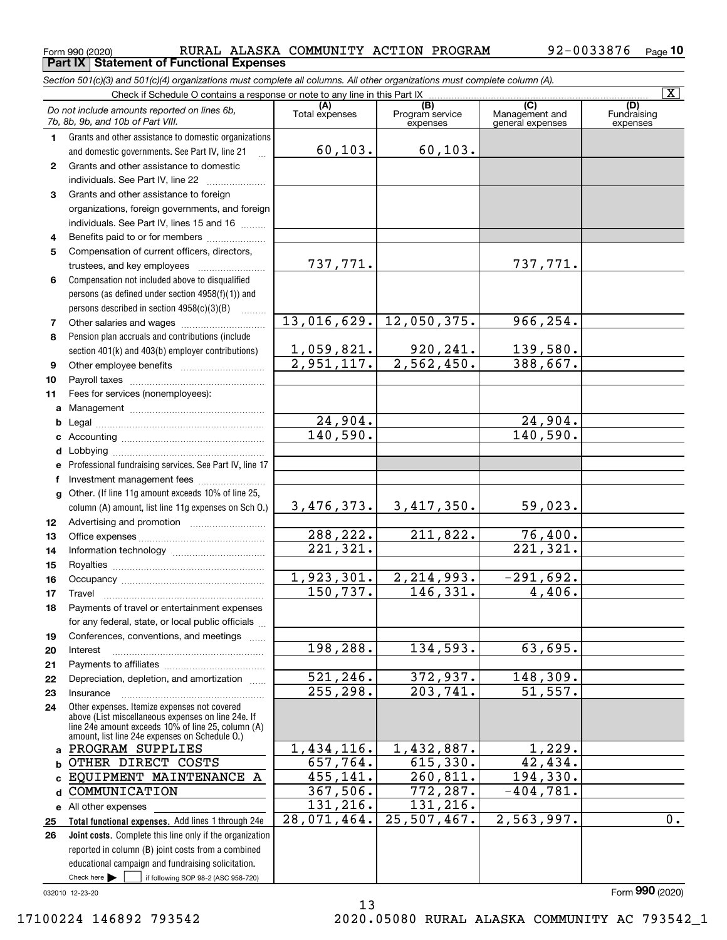**Part IX Statement of Functional Expenses**

Form 990 (2020) RURAL ALASKA COMMUNITY ACTION PROGRAM 92-0033876 <sub>Page</sub>

*Section 501(c)(3) and 501(c)(4) organizations must complete all columns. All other organizations must complete column (A).*

|              | $\overline{\mathbf{x}}$<br>Check if Schedule O contains a response or note to any line in this Part IX                                              |                         |                                    |                                           |                                |  |  |  |  |  |  |  |
|--------------|-----------------------------------------------------------------------------------------------------------------------------------------------------|-------------------------|------------------------------------|-------------------------------------------|--------------------------------|--|--|--|--|--|--|--|
|              | Do not include amounts reported on lines 6b,<br>7b, 8b, 9b, and 10b of Part VIII.                                                                   | (A)<br>Total expenses   | (B)<br>Program service<br>expenses | (C)<br>Management and<br>general expenses | (D)<br>Fundraising<br>expenses |  |  |  |  |  |  |  |
| 1.           | Grants and other assistance to domestic organizations                                                                                               |                         |                                    |                                           |                                |  |  |  |  |  |  |  |
|              | and domestic governments. See Part IV, line 21                                                                                                      | 60, 103.                | 60, 103.                           |                                           |                                |  |  |  |  |  |  |  |
| $\mathbf{2}$ | Grants and other assistance to domestic                                                                                                             |                         |                                    |                                           |                                |  |  |  |  |  |  |  |
|              | individuals. See Part IV, line 22<br>and a complete the complete state of the complete state of the complete state of the complete state of the com |                         |                                    |                                           |                                |  |  |  |  |  |  |  |
| 3            | Grants and other assistance to foreign                                                                                                              |                         |                                    |                                           |                                |  |  |  |  |  |  |  |
|              | organizations, foreign governments, and foreign                                                                                                     |                         |                                    |                                           |                                |  |  |  |  |  |  |  |
|              | individuals. See Part IV, lines 15 and 16                                                                                                           |                         |                                    |                                           |                                |  |  |  |  |  |  |  |
| 4            | Benefits paid to or for members                                                                                                                     |                         |                                    |                                           |                                |  |  |  |  |  |  |  |
| 5            | Compensation of current officers, directors,                                                                                                        |                         |                                    |                                           |                                |  |  |  |  |  |  |  |
|              |                                                                                                                                                     | 737,771.                |                                    | 737,771.                                  |                                |  |  |  |  |  |  |  |
| 6            | Compensation not included above to disqualified                                                                                                     |                         |                                    |                                           |                                |  |  |  |  |  |  |  |
|              | persons (as defined under section 4958(f)(1)) and                                                                                                   |                         |                                    |                                           |                                |  |  |  |  |  |  |  |
|              | persons described in section 4958(c)(3)(B)<br>1.1.1.1.1.1.1                                                                                         |                         |                                    |                                           |                                |  |  |  |  |  |  |  |
| 7            |                                                                                                                                                     | 13,016,629.             | 12,050,375.                        | 966, 254.                                 |                                |  |  |  |  |  |  |  |
| 8            | Pension plan accruals and contributions (include                                                                                                    |                         |                                    |                                           |                                |  |  |  |  |  |  |  |
|              | section 401(k) and 403(b) employer contributions)                                                                                                   | 1,059,821.              | 920,241.                           | 139,580.                                  |                                |  |  |  |  |  |  |  |
| 9            |                                                                                                                                                     | $\overline{2,951,117.}$ | $\overline{2,562,450}$ .           | 388,667.                                  |                                |  |  |  |  |  |  |  |
| 10           |                                                                                                                                                     |                         |                                    |                                           |                                |  |  |  |  |  |  |  |
| 11           | Fees for services (nonemployees):                                                                                                                   |                         |                                    |                                           |                                |  |  |  |  |  |  |  |
| a            |                                                                                                                                                     |                         |                                    |                                           |                                |  |  |  |  |  |  |  |
| b            |                                                                                                                                                     | 24,904.                 |                                    | 24,904.                                   |                                |  |  |  |  |  |  |  |
| c            |                                                                                                                                                     | 140,590.                |                                    | 140,590.                                  |                                |  |  |  |  |  |  |  |
| d            |                                                                                                                                                     |                         |                                    |                                           |                                |  |  |  |  |  |  |  |
|              | Professional fundraising services. See Part IV, line 17                                                                                             |                         |                                    |                                           |                                |  |  |  |  |  |  |  |
| f            | Investment management fees                                                                                                                          |                         |                                    |                                           |                                |  |  |  |  |  |  |  |
| g            | Other. (If line 11g amount exceeds 10% of line 25,                                                                                                  |                         |                                    |                                           |                                |  |  |  |  |  |  |  |
|              | column (A) amount, list line 11g expenses on Sch O.)                                                                                                | 3,476,373.              | 3,417,350.                         | 59,023.                                   |                                |  |  |  |  |  |  |  |
| 12           |                                                                                                                                                     |                         |                                    |                                           |                                |  |  |  |  |  |  |  |
| 13           |                                                                                                                                                     | 288, 222.               | 211,822.                           | $\frac{76,400}{221,321}$                  |                                |  |  |  |  |  |  |  |
| 14           |                                                                                                                                                     | $\overline{221,321}$ .  |                                    |                                           |                                |  |  |  |  |  |  |  |
| 15           |                                                                                                                                                     |                         |                                    |                                           |                                |  |  |  |  |  |  |  |
| 16           |                                                                                                                                                     | 1,923,301.              | 2, 214, 993.                       | $-291,692.$                               |                                |  |  |  |  |  |  |  |
| 17           | Travel                                                                                                                                              | 150, 737.               | 146, 331.                          | 4,406.                                    |                                |  |  |  |  |  |  |  |
| 18           | Payments of travel or entertainment expenses                                                                                                        |                         |                                    |                                           |                                |  |  |  |  |  |  |  |
|              | for any federal, state, or local public officials                                                                                                   |                         |                                    |                                           |                                |  |  |  |  |  |  |  |
| 19           | Conferences, conventions, and meetings                                                                                                              |                         |                                    |                                           |                                |  |  |  |  |  |  |  |
| 20           | Interest                                                                                                                                            | 198,288.                | 134,593.                           | 63,695.                                   |                                |  |  |  |  |  |  |  |
| 21           |                                                                                                                                                     |                         |                                    |                                           |                                |  |  |  |  |  |  |  |
| 22           | Depreciation, depletion, and amortization                                                                                                           | 521, 246.               | 372,937.                           | 148,309.                                  |                                |  |  |  |  |  |  |  |
| 23           | Insurance                                                                                                                                           | 255, 298.               | 203,741.                           | 51, 557.                                  |                                |  |  |  |  |  |  |  |
| 24           | Other expenses. Itemize expenses not covered<br>above (List miscellaneous expenses on line 24e. If                                                  |                         |                                    |                                           |                                |  |  |  |  |  |  |  |
|              | line 24e amount exceeds 10% of line 25, column (A)                                                                                                  |                         |                                    |                                           |                                |  |  |  |  |  |  |  |
|              | amount, list line 24e expenses on Schedule 0.)                                                                                                      |                         |                                    |                                           |                                |  |  |  |  |  |  |  |
| a            | PROGRAM SUPPLIES                                                                                                                                    | 1,434,116.              | 1,432,887.                         | 1,229.                                    |                                |  |  |  |  |  |  |  |
| b            | OTHER DIRECT COSTS                                                                                                                                  | 657,764.                | 615,330.                           | 42,434.                                   |                                |  |  |  |  |  |  |  |
| C            | EQUIPMENT MAINTENANCE A                                                                                                                             | 455, 141.               | 260,811.                           | 194,330.                                  |                                |  |  |  |  |  |  |  |
| d            | COMMUNICATION                                                                                                                                       | 367,506.                | 772, 287.                          | $-404, 781.$                              |                                |  |  |  |  |  |  |  |
|              | e All other expenses                                                                                                                                | 131, 216.               | 131, 216.                          |                                           |                                |  |  |  |  |  |  |  |
| 25           | Total functional expenses. Add lines 1 through 24e                                                                                                  | 28,071,464.             | 25,507,467.                        | 2,563,997.                                | $\overline{0}$ .               |  |  |  |  |  |  |  |
| 26           | Joint costs. Complete this line only if the organization                                                                                            |                         |                                    |                                           |                                |  |  |  |  |  |  |  |
|              | reported in column (B) joint costs from a combined                                                                                                  |                         |                                    |                                           |                                |  |  |  |  |  |  |  |
|              | educational campaign and fundraising solicitation.<br>Check here $\blacktriangleright$<br>if following SOP 98-2 (ASC 958-720)                       |                         |                                    |                                           |                                |  |  |  |  |  |  |  |
|              |                                                                                                                                                     |                         |                                    |                                           |                                |  |  |  |  |  |  |  |

13

032010 12-23-20

Form (2020) **990**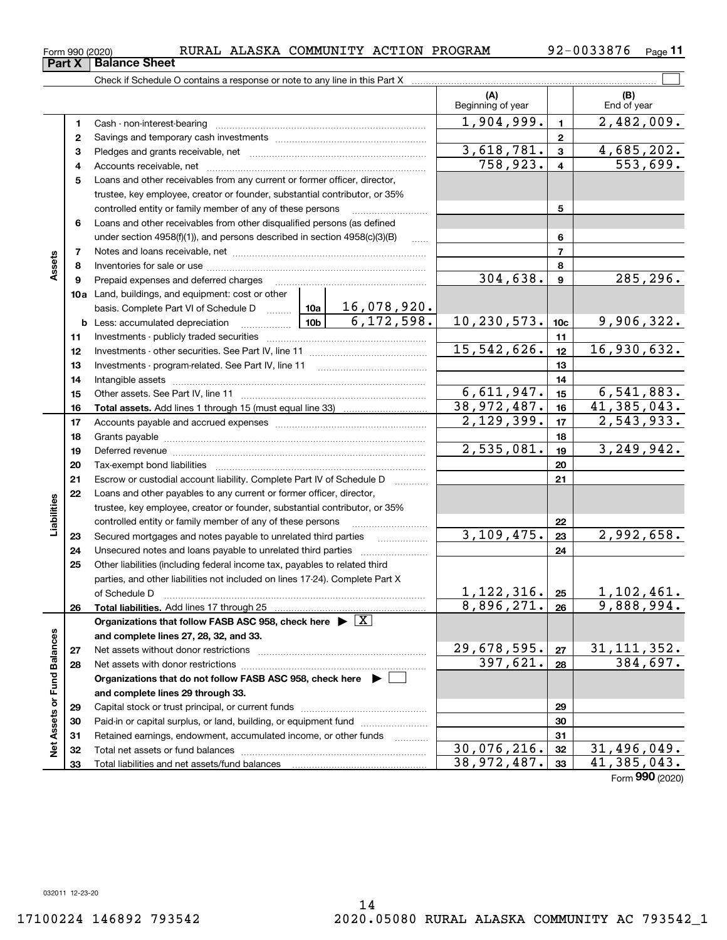Form 990 (2020) RURAL ALASKA COMMUNITY ACTION PROGRAM 92-0033876 <sub>Page</sub>

**11**

|                             |          |                                                                                                                                                                                                                                |               | (A)<br>Beginning of year |                           | (B)<br>End of year     |
|-----------------------------|----------|--------------------------------------------------------------------------------------------------------------------------------------------------------------------------------------------------------------------------------|---------------|--------------------------|---------------------------|------------------------|
|                             | 1        |                                                                                                                                                                                                                                |               | 1,904,999.               | $\mathbf{1}$              | 2,482,009.             |
|                             | 2        |                                                                                                                                                                                                                                |               |                          | $\mathbf 2$               |                        |
|                             | з        |                                                                                                                                                                                                                                |               | 3,618,781.               | $\mathbf{3}$              | 4,685,202.             |
|                             | 4        |                                                                                                                                                                                                                                |               | 758,923.                 | $\overline{4}$            | $\overline{553,699}$ . |
|                             | 5        | Loans and other receivables from any current or former officer, director,                                                                                                                                                      |               |                          |                           |                        |
|                             |          | trustee, key employee, creator or founder, substantial contributor, or 35%                                                                                                                                                     |               |                          |                           |                        |
|                             |          | controlled entity or family member of any of these persons                                                                                                                                                                     |               |                          | 5                         |                        |
|                             | 6        | Loans and other receivables from other disqualified persons (as defined                                                                                                                                                        |               |                          |                           |                        |
|                             |          | under section 4958(f)(1)), and persons described in section 4958(c)(3)(B)                                                                                                                                                      | 1.1.1.1       |                          | 6                         |                        |
|                             | 7        |                                                                                                                                                                                                                                |               |                          | $\overline{7}$            |                        |
| Assets                      | 8        |                                                                                                                                                                                                                                |               |                          | 8                         |                        |
|                             | 9        | Prepaid expenses and deferred charges                                                                                                                                                                                          |               | 304,638.                 | $\boldsymbol{9}$          | 285,296.               |
|                             |          | 10a Land, buildings, and equipment: cost or other                                                                                                                                                                              |               |                          |                           |                        |
|                             |          | basis. Complete Part VI of Schedule D $\frac{10a}{10a}$ 16, 078, 920.                                                                                                                                                          |               |                          |                           |                        |
|                             |          | 10 <sub>b</sub><br><b>b</b> Less: accumulated depreciation                                                                                                                                                                     | 6,172,598.    | 10,230,573.              | 10 <sub>c</sub>           | 9,906,322.             |
|                             | 11       |                                                                                                                                                                                                                                |               | 11                       |                           |                        |
|                             | 12       |                                                                                                                                                                                                                                | 15, 542, 626. | 12                       | 16,930,632.               |                        |
|                             | 13       |                                                                                                                                                                                                                                |               | 13                       |                           |                        |
|                             | 14       |                                                                                                                                                                                                                                | 6,611,947.    | 14                       |                           |                        |
|                             | 15       |                                                                                                                                                                                                                                | 38, 972, 487. | 15                       | 6,541,883.<br>41,385,043. |                        |
|                             | 16       |                                                                                                                                                                                                                                |               | 2,129,399.               | 16<br>17                  | 2,543,933.             |
|                             | 17       |                                                                                                                                                                                                                                |               |                          | 18                        |                        |
|                             | 18<br>19 |                                                                                                                                                                                                                                |               | 2,535,081.               | 19                        | 3, 249, 942.           |
|                             | 20       | Deferred revenue manual contracts and contracts are contracted and contract and contract are contracted and contract are contracted and contract are contracted and contract are contracted and contract are contracted and co |               |                          | 20                        |                        |
|                             | 21       | Escrow or custodial account liability. Complete Part IV of Schedule D                                                                                                                                                          |               |                          | 21                        |                        |
|                             | 22       | Loans and other payables to any current or former officer, director,                                                                                                                                                           |               |                          |                           |                        |
| Liabilities                 |          | trustee, key employee, creator or founder, substantial contributor, or 35%                                                                                                                                                     |               |                          |                           |                        |
|                             |          | controlled entity or family member of any of these persons                                                                                                                                                                     |               |                          | 22                        |                        |
|                             | 23       | Secured mortgages and notes payable to unrelated third parties                                                                                                                                                                 |               | 3, 109, 475.             | 23                        | 2,992,658.             |
|                             | 24       | Unsecured notes and loans payable to unrelated third parties                                                                                                                                                                   |               |                          | 24                        |                        |
|                             | 25       | Other liabilities (including federal income tax, payables to related third                                                                                                                                                     |               |                          |                           |                        |
|                             |          | parties, and other liabilities not included on lines 17-24). Complete Part X                                                                                                                                                   |               |                          |                           |                        |
|                             |          |                                                                                                                                                                                                                                |               | 1, 122, 316.             | 25                        | 1,102,461.             |
|                             | 26       |                                                                                                                                                                                                                                |               | 8,896,271.               | 26                        | 9,888,994.             |
|                             |          | Organizations that follow FASB ASC 958, check here $\blacktriangleright \boxed{X}$                                                                                                                                             |               |                          |                           |                        |
|                             |          | and complete lines 27, 28, 32, and 33.                                                                                                                                                                                         |               |                          |                           |                        |
|                             | 27       |                                                                                                                                                                                                                                |               | 29,678,595.              | 27                        | 31, 111, 352.          |
|                             | 28       |                                                                                                                                                                                                                                |               | 397,621.                 | 28                        | 384,697.               |
|                             |          | Organizations that do not follow FASB ASC 958, check here $\blacktriangleright$                                                                                                                                                |               |                          |                           |                        |
|                             |          | and complete lines 29 through 33.                                                                                                                                                                                              |               |                          |                           |                        |
|                             | 29       |                                                                                                                                                                                                                                |               |                          | 29                        |                        |
|                             | 30       | Paid-in or capital surplus, or land, building, or equipment fund                                                                                                                                                               |               |                          | 30                        |                        |
| Net Assets or Fund Balances | 31       | Retained earnings, endowment, accumulated income, or other funds                                                                                                                                                               |               |                          | 31                        |                        |
|                             | 32       |                                                                                                                                                                                                                                |               | 30,076,216.              | 32                        | 31,496,049.            |
|                             | 33       |                                                                                                                                                                                                                                |               | 38,972,487.              | 33                        | 41,385,043.            |
|                             |          |                                                                                                                                                                                                                                |               |                          |                           | Form 990 (2020)        |

**Part X Balance Sheet**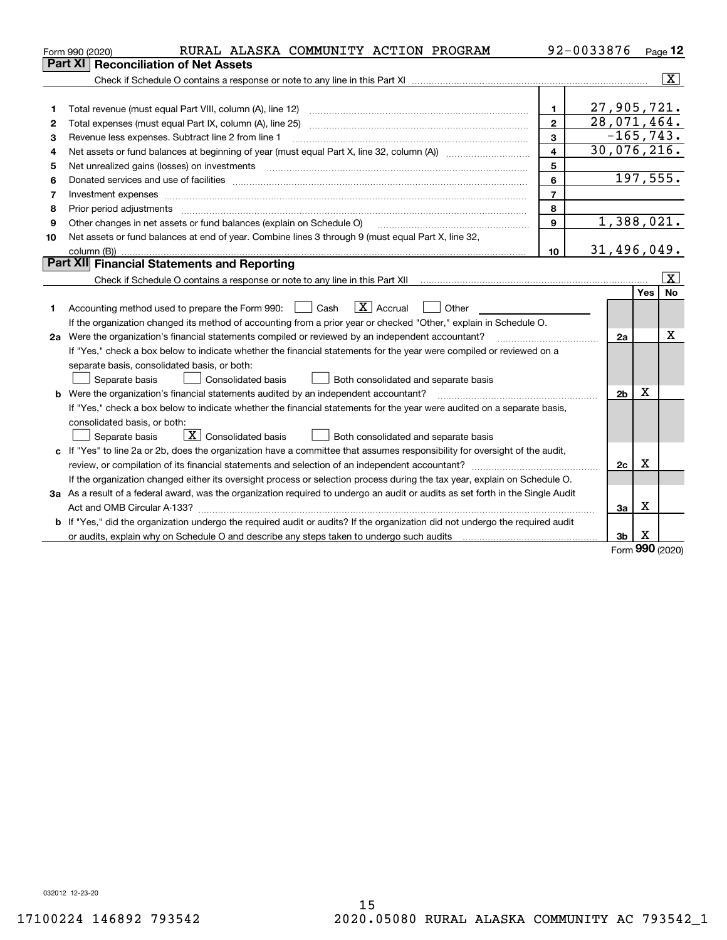| <b>Reconciliation of Net Assets</b><br>Part XI                                                                                                                                          |                |            |                         |
|-----------------------------------------------------------------------------------------------------------------------------------------------------------------------------------------|----------------|------------|-------------------------|
|                                                                                                                                                                                         |                |            |                         |
|                                                                                                                                                                                         |                |            | $\overline{\mathbf{X}}$ |
|                                                                                                                                                                                         |                |            |                         |
| $\mathbf{1}$<br>1                                                                                                                                                                       | 27,905,721.    |            |                         |
| $\overline{2}$<br>2                                                                                                                                                                     | 28,071,464.    |            |                         |
| 3<br>Revenue less expenses. Subtract line 2 from line 1<br>3                                                                                                                            | $-165, 743.$   |            |                         |
| $\overline{\mathbf{4}}$<br>4                                                                                                                                                            | 30,076,216.    |            |                         |
| 5<br>5                                                                                                                                                                                  |                |            |                         |
| 6<br>6                                                                                                                                                                                  |                |            | 197,555.                |
| $\overline{7}$<br>7<br>Investment expenses www.communication.com/www.communication.com/www.communication.com/www.communication.com                                                      |                |            |                         |
| 8<br>8                                                                                                                                                                                  |                |            |                         |
| 9<br>Other changes in net assets or fund balances (explain on Schedule O)<br>9                                                                                                          | 1,388,021.     |            |                         |
| Net assets or fund balances at end of year. Combine lines 3 through 9 (must equal Part X, line 32,<br>10                                                                                |                |            |                         |
| 10<br>column (B))                                                                                                                                                                       | 31,496,049.    |            |                         |
| Part XII Financial Statements and Reporting                                                                                                                                             |                |            |                         |
| Check if Schedule O contains a response or note to any line in this Part XII [11] [11] [11] [11] [11] [11] Check if Schedule O contains a response or note to any line in this Part XII |                |            | $\overline{\mathbf{x}}$ |
|                                                                                                                                                                                         |                | <b>Yes</b> | <b>No</b>               |
| $\boxed{\mathbf{X}}$ Accrual<br>Accounting method used to prepare the Form 990: <u>I</u> Cash<br>Other<br>1                                                                             |                |            |                         |
| If the organization changed its method of accounting from a prior year or checked "Other," explain in Schedule O.                                                                       |                |            |                         |
| 2a Were the organization's financial statements compiled or reviewed by an independent accountant?                                                                                      | 2a             |            | х                       |
| If "Yes," check a box below to indicate whether the financial statements for the year were compiled or reviewed on a                                                                    |                |            |                         |
| separate basis, consolidated basis, or both:                                                                                                                                            |                |            |                         |
| Both consolidated and separate basis<br>Separate basis<br>Consolidated basis                                                                                                            |                |            |                         |
| <b>b</b> Were the organization's financial statements audited by an independent accountant?                                                                                             | 2 <sub>b</sub> | х          |                         |
| If "Yes," check a box below to indicate whether the financial statements for the year were audited on a separate basis,                                                                 |                |            |                         |
| consolidated basis, or both:                                                                                                                                                            |                |            |                         |
| $\mathbf{X}$ Consolidated basis<br>Both consolidated and separate basis<br>Separate basis                                                                                               |                |            |                         |
| c If "Yes" to line 2a or 2b, does the organization have a committee that assumes responsibility for oversight of the audit,                                                             |                |            |                         |
| review, or compilation of its financial statements and selection of an independent accountant?                                                                                          | 2c             | x          |                         |
| If the organization changed either its oversight process or selection process during the tax year, explain on Schedule O.                                                               |                |            |                         |
| 3a As a result of a federal award, was the organization required to undergo an audit or audits as set forth in the Single Audit                                                         |                |            |                         |
|                                                                                                                                                                                         | За             | х          |                         |
| If "Yes," did the organization undergo the required audit or audits? If the organization did not undergo the required audit<br>b                                                        |                |            |                         |
|                                                                                                                                                                                         | 3b             | х<br>nnn   |                         |

Form (2020) **990**

032012 12-23-20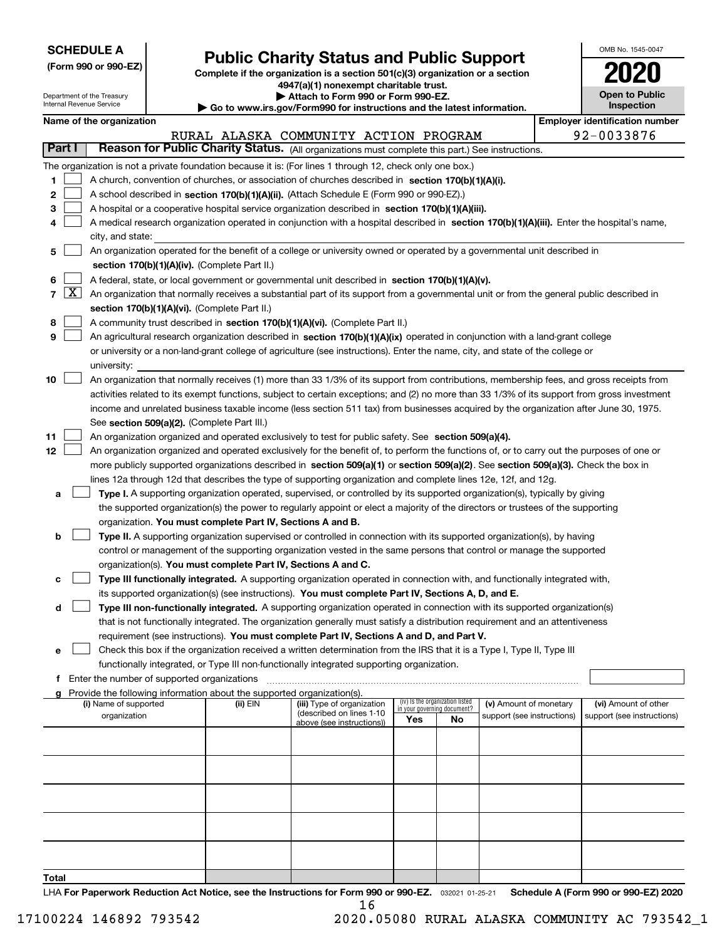| <b>SCHEDULE A</b> |
|-------------------|
|-------------------|

**(Form 990 or 990-EZ)**

# **Public Charity Status and Public Support**

**Complete if the organization is a section 501(c)(3) organization or a section 4947(a)(1) nonexempt charitable trust. | Attach to Form 990 or Form 990-EZ.** 

| OMB No. 1545-0047     |
|-----------------------|
| 2020                  |
| <b>Open to Public</b> |

|    |            | Department of the Treasury<br>Internal Revenue Service |                                                      | Attach to Form 990 or Form 990-EZ.<br>Go to www.irs.gov/Form990 for instructions and the latest information. | <b>Open to Public</b><br>Inspection                                                                                                          |     |                                                                |                            |                                       |
|----|------------|--------------------------------------------------------|------------------------------------------------------|--------------------------------------------------------------------------------------------------------------|----------------------------------------------------------------------------------------------------------------------------------------------|-----|----------------------------------------------------------------|----------------------------|---------------------------------------|
|    |            | Name of the organization                               |                                                      |                                                                                                              |                                                                                                                                              |     |                                                                |                            | <b>Employer identification number</b> |
|    |            |                                                        |                                                      |                                                                                                              | RURAL ALASKA COMMUNITY ACTION PROGRAM                                                                                                        |     |                                                                |                            | 92-0033876                            |
|    | Part I     |                                                        |                                                      |                                                                                                              | Reason for Public Charity Status. (All organizations must complete this part.) See instructions.                                             |     |                                                                |                            |                                       |
|    |            |                                                        |                                                      |                                                                                                              |                                                                                                                                              |     |                                                                |                            |                                       |
|    |            |                                                        |                                                      |                                                                                                              | The organization is not a private foundation because it is: (For lines 1 through 12, check only one box.)                                    |     |                                                                |                            |                                       |
| 1  |            |                                                        |                                                      |                                                                                                              | A church, convention of churches, or association of churches described in section 170(b)(1)(A)(i).                                           |     |                                                                |                            |                                       |
| 2  |            |                                                        |                                                      |                                                                                                              | A school described in section 170(b)(1)(A)(ii). (Attach Schedule E (Form 990 or 990-EZ).)                                                    |     |                                                                |                            |                                       |
| з  |            |                                                        |                                                      |                                                                                                              | A hospital or a cooperative hospital service organization described in section 170(b)(1)(A)(iii).                                            |     |                                                                |                            |                                       |
| 4  |            |                                                        |                                                      |                                                                                                              | A medical research organization operated in conjunction with a hospital described in section 170(b)(1)(A)(iii). Enter the hospital's name,   |     |                                                                |                            |                                       |
|    |            | city, and state:                                       |                                                      |                                                                                                              |                                                                                                                                              |     |                                                                |                            |                                       |
| 5  |            |                                                        |                                                      |                                                                                                              | An organization operated for the benefit of a college or university owned or operated by a governmental unit described in                    |     |                                                                |                            |                                       |
|    |            |                                                        |                                                      | section 170(b)(1)(A)(iv). (Complete Part II.)                                                                |                                                                                                                                              |     |                                                                |                            |                                       |
| 6  |            |                                                        |                                                      |                                                                                                              | A federal, state, or local government or governmental unit described in section 170(b)(1)(A)(v).                                             |     |                                                                |                            |                                       |
|    | $7 \times$ |                                                        |                                                      |                                                                                                              | An organization that normally receives a substantial part of its support from a governmental unit or from the general public described in    |     |                                                                |                            |                                       |
|    |            |                                                        |                                                      | section 170(b)(1)(A)(vi). (Complete Part II.)                                                                |                                                                                                                                              |     |                                                                |                            |                                       |
| 8  |            |                                                        |                                                      |                                                                                                              | A community trust described in section 170(b)(1)(A)(vi). (Complete Part II.)                                                                 |     |                                                                |                            |                                       |
| 9  |            |                                                        |                                                      |                                                                                                              | An agricultural research organization described in section 170(b)(1)(A)(ix) operated in conjunction with a land-grant college                |     |                                                                |                            |                                       |
|    |            |                                                        |                                                      |                                                                                                              | or university or a non-land-grant college of agriculture (see instructions). Enter the name, city, and state of the college or               |     |                                                                |                            |                                       |
|    |            | university:                                            |                                                      |                                                                                                              |                                                                                                                                              |     |                                                                |                            |                                       |
| 10 |            |                                                        |                                                      |                                                                                                              | An organization that normally receives (1) more than 33 1/3% of its support from contributions, membership fees, and gross receipts from     |     |                                                                |                            |                                       |
|    |            |                                                        |                                                      |                                                                                                              | activities related to its exempt functions, subject to certain exceptions; and (2) no more than 33 1/3% of its support from gross investment |     |                                                                |                            |                                       |
|    |            |                                                        |                                                      |                                                                                                              | income and unrelated business taxable income (less section 511 tax) from businesses acquired by the organization after June 30, 1975.        |     |                                                                |                            |                                       |
|    |            |                                                        |                                                      | See section 509(a)(2). (Complete Part III.)                                                                  |                                                                                                                                              |     |                                                                |                            |                                       |
| 11 |            |                                                        |                                                      |                                                                                                              | An organization organized and operated exclusively to test for public safety. See section 509(a)(4).                                         |     |                                                                |                            |                                       |
| 12 |            |                                                        |                                                      |                                                                                                              | An organization organized and operated exclusively for the benefit of, to perform the functions of, or to carry out the purposes of one or   |     |                                                                |                            |                                       |
|    |            |                                                        |                                                      |                                                                                                              | more publicly supported organizations described in section 509(a)(1) or section 509(a)(2). See section 509(a)(3). Check the box in           |     |                                                                |                            |                                       |
|    |            |                                                        |                                                      |                                                                                                              | lines 12a through 12d that describes the type of supporting organization and complete lines 12e, 12f, and 12g.                               |     |                                                                |                            |                                       |
|    |            |                                                        |                                                      |                                                                                                              |                                                                                                                                              |     |                                                                |                            |                                       |
| а  |            |                                                        |                                                      |                                                                                                              | Type I. A supporting organization operated, supervised, or controlled by its supported organization(s), typically by giving                  |     |                                                                |                            |                                       |
|    |            |                                                        |                                                      |                                                                                                              | the supported organization(s) the power to regularly appoint or elect a majority of the directors or trustees of the supporting              |     |                                                                |                            |                                       |
|    |            |                                                        |                                                      | organization. You must complete Part IV, Sections A and B.                                                   |                                                                                                                                              |     |                                                                |                            |                                       |
| b  |            |                                                        |                                                      |                                                                                                              | Type II. A supporting organization supervised or controlled in connection with its supported organization(s), by having                      |     |                                                                |                            |                                       |
|    |            |                                                        |                                                      |                                                                                                              | control or management of the supporting organization vested in the same persons that control or manage the supported                         |     |                                                                |                            |                                       |
|    |            |                                                        |                                                      | organization(s). You must complete Part IV, Sections A and C.                                                |                                                                                                                                              |     |                                                                |                            |                                       |
| с  |            |                                                        |                                                      |                                                                                                              | Type III functionally integrated. A supporting organization operated in connection with, and functionally integrated with,                   |     |                                                                |                            |                                       |
|    |            |                                                        |                                                      |                                                                                                              | its supported organization(s) (see instructions). You must complete Part IV, Sections A, D, and E.                                           |     |                                                                |                            |                                       |
| d  |            |                                                        |                                                      |                                                                                                              | Type III non-functionally integrated. A supporting organization operated in connection with its supported organization(s)                    |     |                                                                |                            |                                       |
|    |            |                                                        |                                                      |                                                                                                              | that is not functionally integrated. The organization generally must satisfy a distribution requirement and an attentiveness                 |     |                                                                |                            |                                       |
|    |            |                                                        |                                                      |                                                                                                              | requirement (see instructions). You must complete Part IV, Sections A and D, and Part V.                                                     |     |                                                                |                            |                                       |
| е  |            |                                                        |                                                      |                                                                                                              | Check this box if the organization received a written determination from the IRS that it is a Type I, Type II, Type III                      |     |                                                                |                            |                                       |
|    |            |                                                        |                                                      |                                                                                                              | functionally integrated, or Type III non-functionally integrated supporting organization.                                                    |     |                                                                |                            |                                       |
|    |            |                                                        | <b>f</b> Enter the number of supported organizations |                                                                                                              |                                                                                                                                              |     |                                                                |                            |                                       |
|    |            |                                                        |                                                      | Provide the following information about the supported organization(s).                                       |                                                                                                                                              |     |                                                                |                            |                                       |
|    |            | (i) Name of supported                                  |                                                      | (ii) EIN                                                                                                     | (iii) Type of organization<br>(described on lines 1-10                                                                                       |     | (iv) Is the organization listed<br>in your governing document? | (v) Amount of monetary     | (vi) Amount of other                  |
|    |            | organization                                           |                                                      |                                                                                                              | above (see instructions))                                                                                                                    | Yes | No                                                             | support (see instructions) | support (see instructions)            |
|    |            |                                                        |                                                      |                                                                                                              |                                                                                                                                              |     |                                                                |                            |                                       |
|    |            |                                                        |                                                      |                                                                                                              |                                                                                                                                              |     |                                                                |                            |                                       |
|    |            |                                                        |                                                      |                                                                                                              |                                                                                                                                              |     |                                                                |                            |                                       |
|    |            |                                                        |                                                      |                                                                                                              |                                                                                                                                              |     |                                                                |                            |                                       |
|    |            |                                                        |                                                      |                                                                                                              |                                                                                                                                              |     |                                                                |                            |                                       |
|    |            |                                                        |                                                      |                                                                                                              |                                                                                                                                              |     |                                                                |                            |                                       |
|    |            |                                                        |                                                      |                                                                                                              |                                                                                                                                              |     |                                                                |                            |                                       |
|    |            |                                                        |                                                      |                                                                                                              |                                                                                                                                              |     |                                                                |                            |                                       |
|    |            |                                                        |                                                      |                                                                                                              |                                                                                                                                              |     |                                                                |                            |                                       |
|    |            |                                                        |                                                      |                                                                                                              |                                                                                                                                              |     |                                                                |                            |                                       |
|    |            |                                                        |                                                      |                                                                                                              |                                                                                                                                              |     |                                                                |                            |                                       |

**Total**

LHA For Paperwork Reduction Act Notice, see the Instructions for Form 990 or 990-EZ. <sub>032021</sub> o1-25-21 Schedule A (Form 990 or 990-EZ) 2020 16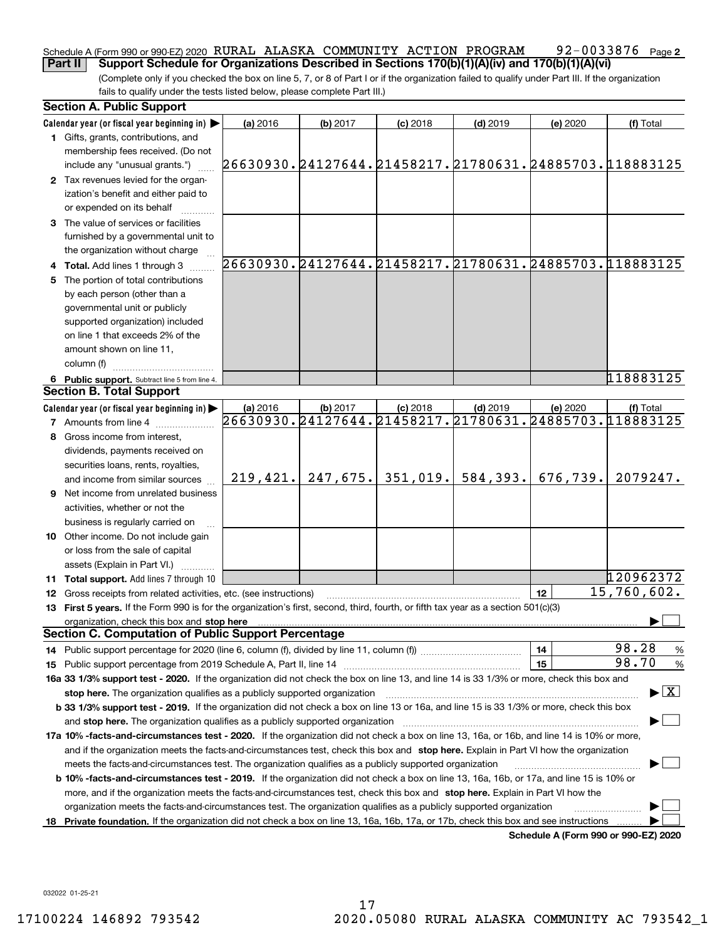#### 92-0033876 Page 2 Schedule A (Form 990 or 990-EZ) 2020  $\,$  RURAL ALASKA  $\,$  COMMUNITY  $\,$  ACTION  $\,$  PROGRAM  $\,$   $\,$  92  $-$  0033876  $\,$  Page **Part II Support Schedule for Organizations Described in Sections 170(b)(1)(A)(iv) and 170(b)(1)(A)(vi)**

(Complete only if you checked the box on line 5, 7, or 8 of Part I or if the organization failed to qualify under Part III. If the organization fails to qualify under the tests listed below, please complete Part III.)

|    | <b>Section A. Public Support</b>                                                                                                               |                                                        |          |            |            |                                      |                                          |
|----|------------------------------------------------------------------------------------------------------------------------------------------------|--------------------------------------------------------|----------|------------|------------|--------------------------------------|------------------------------------------|
|    | Calendar year (or fiscal year beginning in) $\blacktriangleright$                                                                              | (a) 2016                                               | (b) 2017 | $(c)$ 2018 | $(d)$ 2019 | (e) 2020                             | (f) Total                                |
|    | <b>1</b> Gifts, grants, contributions, and                                                                                                     |                                                        |          |            |            |                                      |                                          |
|    | membership fees received. (Do not                                                                                                              |                                                        |          |            |            |                                      |                                          |
|    | include any "unusual grants.")                                                                                                                 | 26630930.24127644.21458217.21780631.24885703.118883125 |          |            |            |                                      |                                          |
|    | 2 Tax revenues levied for the organ-                                                                                                           |                                                        |          |            |            |                                      |                                          |
|    | ization's benefit and either paid to                                                                                                           |                                                        |          |            |            |                                      |                                          |
|    | or expended on its behalf                                                                                                                      |                                                        |          |            |            |                                      |                                          |
|    | 3 The value of services or facilities                                                                                                          |                                                        |          |            |            |                                      |                                          |
|    | furnished by a governmental unit to                                                                                                            |                                                        |          |            |            |                                      |                                          |
|    | the organization without charge                                                                                                                |                                                        |          |            |            |                                      |                                          |
|    | 4 Total. Add lines 1 through 3                                                                                                                 | 26630930.24127644.21458217.21780631.24885703.118883125 |          |            |            |                                      |                                          |
| 5. | The portion of total contributions                                                                                                             |                                                        |          |            |            |                                      |                                          |
|    | by each person (other than a                                                                                                                   |                                                        |          |            |            |                                      |                                          |
|    | governmental unit or publicly                                                                                                                  |                                                        |          |            |            |                                      |                                          |
|    | supported organization) included                                                                                                               |                                                        |          |            |            |                                      |                                          |
|    | on line 1 that exceeds 2% of the                                                                                                               |                                                        |          |            |            |                                      |                                          |
|    | amount shown on line 11,                                                                                                                       |                                                        |          |            |            |                                      |                                          |
|    | column (f)                                                                                                                                     |                                                        |          |            |            |                                      |                                          |
|    | 6 Public support. Subtract line 5 from line 4.                                                                                                 |                                                        |          |            |            |                                      | 118883125                                |
|    | <b>Section B. Total Support</b>                                                                                                                |                                                        |          |            |            |                                      |                                          |
|    | Calendar year (or fiscal year beginning in)                                                                                                    | (a) 2016                                               | (b) 2017 | $(c)$ 2018 | $(d)$ 2019 | (e) 2020                             | (f) Total                                |
|    | <b>7</b> Amounts from line 4                                                                                                                   | 26630930.24127644.21458217.21780631.24885703.118883125 |          |            |            |                                      |                                          |
|    | 8 Gross income from interest,                                                                                                                  |                                                        |          |            |            |                                      |                                          |
|    | dividends, payments received on                                                                                                                |                                                        |          |            |            |                                      |                                          |
|    | securities loans, rents, royalties,                                                                                                            |                                                        |          |            |            |                                      |                                          |
|    | and income from similar sources                                                                                                                | 219, 421.                                              | 247,675. | 351,019.   | 584,393.   | 676,739.                             | 2079247.                                 |
|    | 9 Net income from unrelated business                                                                                                           |                                                        |          |            |            |                                      |                                          |
|    | activities, whether or not the                                                                                                                 |                                                        |          |            |            |                                      |                                          |
|    | business is regularly carried on                                                                                                               |                                                        |          |            |            |                                      |                                          |
|    | <b>10</b> Other income. Do not include gain                                                                                                    |                                                        |          |            |            |                                      |                                          |
|    | or loss from the sale of capital                                                                                                               |                                                        |          |            |            |                                      |                                          |
|    | assets (Explain in Part VI.)                                                                                                                   |                                                        |          |            |            |                                      |                                          |
|    | <b>11 Total support.</b> Add lines 7 through 10                                                                                                |                                                        |          |            |            |                                      | 120962372                                |
|    | <b>12</b> Gross receipts from related activities, etc. (see instructions)                                                                      |                                                        |          |            |            | 12                                   | 15,760,602.                              |
|    | 13 First 5 years. If the Form 990 is for the organization's first, second, third, fourth, or fifth tax year as a section 501(c)(3)             |                                                        |          |            |            |                                      |                                          |
|    | organization, check this box and stop here                                                                                                     |                                                        |          |            |            |                                      |                                          |
|    | <b>Section C. Computation of Public Support Percentage</b>                                                                                     |                                                        |          |            |            |                                      |                                          |
|    | 14 Public support percentage for 2020 (line 6, column (f), divided by line 11, column (f) <i>mummumumum</i>                                    |                                                        |          |            |            | 14                                   | 98.28<br>%                               |
|    |                                                                                                                                                |                                                        |          |            |            | 15                                   | 98.70<br>$\%$                            |
|    | 16a 33 1/3% support test - 2020. If the organization did not check the box on line 13, and line 14 is 33 1/3% or more, check this box and      |                                                        |          |            |            |                                      |                                          |
|    | stop here. The organization qualifies as a publicly supported organization                                                                     |                                                        |          |            |            |                                      | $\blacktriangleright$ $\boxed{\text{X}}$ |
|    | b 33 1/3% support test - 2019. If the organization did not check a box on line 13 or 16a, and line 15 is 33 1/3% or more, check this box       |                                                        |          |            |            |                                      |                                          |
|    | and stop here. The organization qualifies as a publicly supported organization                                                                 |                                                        |          |            |            |                                      |                                          |
|    | 17a 10% -facts-and-circumstances test - 2020. If the organization did not check a box on line 13, 16a, or 16b, and line 14 is 10% or more,     |                                                        |          |            |            |                                      |                                          |
|    | and if the organization meets the facts-and-circumstances test, check this box and stop here. Explain in Part VI how the organization          |                                                        |          |            |            |                                      |                                          |
|    | meets the facts-and-circumstances test. The organization qualifies as a publicly supported organization                                        |                                                        |          |            |            |                                      |                                          |
|    | <b>b 10% -facts-and-circumstances test - 2019.</b> If the organization did not check a box on line 13, 16a, 16b, or 17a, and line 15 is 10% or |                                                        |          |            |            |                                      |                                          |
|    | more, and if the organization meets the facts-and-circumstances test, check this box and stop here. Explain in Part VI how the                 |                                                        |          |            |            |                                      |                                          |
|    | organization meets the facts-and-circumstances test. The organization qualifies as a publicly supported organization                           |                                                        |          |            |            |                                      |                                          |
| 18 | Private foundation. If the organization did not check a box on line 13, 16a, 16b, 17a, or 17b, check this box and see instructions             |                                                        |          |            |            |                                      |                                          |
|    |                                                                                                                                                |                                                        |          |            |            | Schedule A (Form 990 or 990-F7) 2020 |                                          |

**Schedule A (Form 990 or 990-EZ) 2020**

032022 01-25-21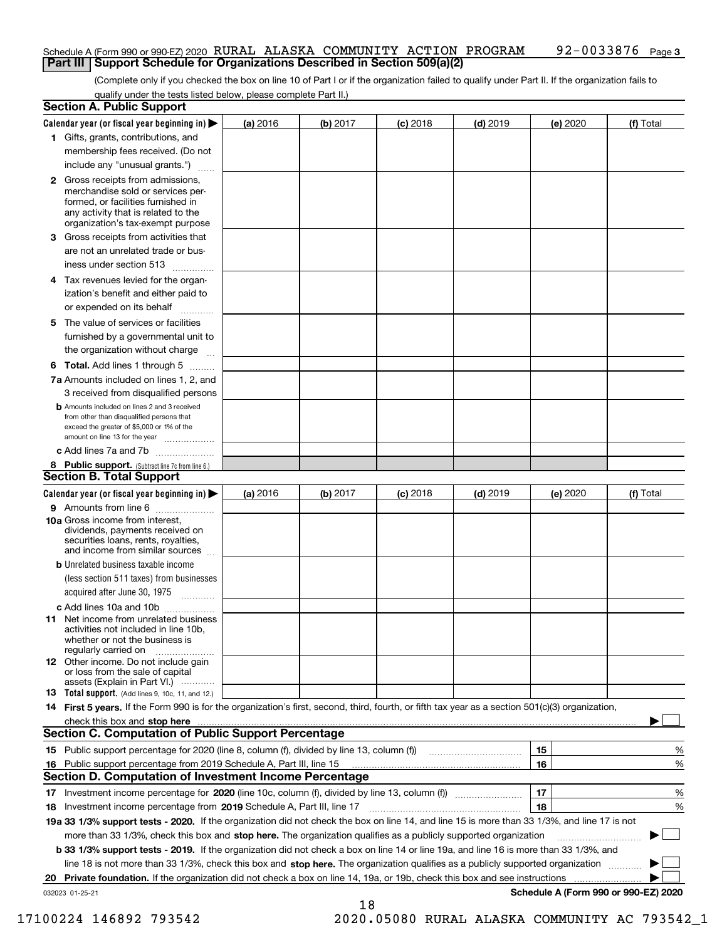#### **3** Schedule A (Form 990 or 990-EZ) 2020  $\,$  RURAL ALASKA  $\,$  COMMUNITY  $\,$  ACTION  $\,$  PROGRAM  $\,$   $\,$  92  $-$  0033876  $\,$  Page **Part III Support Schedule for Organizations Described in Section 509(a)(2)**

(Complete only if you checked the box on line 10 of Part I or if the organization failed to qualify under Part II. If the organization fails to qualify under the tests listed below, please complete Part II.)

|    | <b>Section A. Public Support</b>                                                                                                                                                         |          |          |            |            |          |                                      |
|----|------------------------------------------------------------------------------------------------------------------------------------------------------------------------------------------|----------|----------|------------|------------|----------|--------------------------------------|
|    | Calendar year (or fiscal year beginning in) $\blacktriangleright$                                                                                                                        | (a) 2016 | (b) 2017 | $(c)$ 2018 | $(d)$ 2019 | (e) 2020 | (f) Total                            |
|    | 1 Gifts, grants, contributions, and                                                                                                                                                      |          |          |            |            |          |                                      |
|    | membership fees received. (Do not                                                                                                                                                        |          |          |            |            |          |                                      |
|    | include any "unusual grants.")                                                                                                                                                           |          |          |            |            |          |                                      |
|    | 2 Gross receipts from admissions,<br>merchandise sold or services per-<br>formed, or facilities furnished in<br>any activity that is related to the<br>organization's tax-exempt purpose |          |          |            |            |          |                                      |
|    | 3 Gross receipts from activities that<br>are not an unrelated trade or bus-                                                                                                              |          |          |            |            |          |                                      |
|    | iness under section 513                                                                                                                                                                  |          |          |            |            |          |                                      |
|    | 4 Tax revenues levied for the organ-<br>ization's benefit and either paid to                                                                                                             |          |          |            |            |          |                                      |
|    | or expended on its behalf<br>.                                                                                                                                                           |          |          |            |            |          |                                      |
|    | 5 The value of services or facilities<br>furnished by a governmental unit to<br>the organization without charge                                                                          |          |          |            |            |          |                                      |
|    | <b>6 Total.</b> Add lines 1 through 5                                                                                                                                                    |          |          |            |            |          |                                      |
|    | 7a Amounts included on lines 1, 2, and<br>3 received from disqualified persons                                                                                                           |          |          |            |            |          |                                      |
|    | <b>b</b> Amounts included on lines 2 and 3 received<br>from other than disqualified persons that<br>exceed the greater of \$5,000 or 1% of the<br>amount on line 13 for the year         |          |          |            |            |          |                                      |
|    | c Add lines 7a and 7b                                                                                                                                                                    |          |          |            |            |          |                                      |
|    | 8 Public support. (Subtract line 7c from line 6.)                                                                                                                                        |          |          |            |            |          |                                      |
|    | <b>Section B. Total Support</b>                                                                                                                                                          |          |          |            |            |          |                                      |
|    | Calendar year (or fiscal year beginning in) $\blacktriangleright$                                                                                                                        | (a) 2016 | (b) 2017 | $(c)$ 2018 | $(d)$ 2019 | (e) 2020 | (f) Total                            |
|    | 9 Amounts from line 6                                                                                                                                                                    |          |          |            |            |          |                                      |
|    | 10a Gross income from interest,<br>dividends, payments received on<br>securities loans, rents, royalties,<br>and income from similar sources                                             |          |          |            |            |          |                                      |
|    | <b>b</b> Unrelated business taxable income                                                                                                                                               |          |          |            |            |          |                                      |
|    | (less section 511 taxes) from businesses                                                                                                                                                 |          |          |            |            |          |                                      |
|    | acquired after June 30, 1975                                                                                                                                                             |          |          |            |            |          |                                      |
|    | c Add lines 10a and 10b<br>11 Net income from unrelated business<br>activities not included in line 10b,<br>whether or not the business is<br>regularly carried on                       |          |          |            |            |          |                                      |
|    | <b>12</b> Other income. Do not include gain<br>or loss from the sale of capital<br>assets (Explain in Part VI.)                                                                          |          |          |            |            |          |                                      |
|    | <b>13</b> Total support. (Add lines 9, 10c, 11, and 12.)                                                                                                                                 |          |          |            |            |          |                                      |
|    | 14 First 5 years. If the Form 990 is for the organization's first, second, third, fourth, or fifth tax year as a section 501(c)(3) organization,                                         |          |          |            |            |          |                                      |
|    | check this box and stop here measurements are constructed as the state of the state of the state and stop here                                                                           |          |          |            |            |          |                                      |
|    | <b>Section C. Computation of Public Support Percentage</b>                                                                                                                               |          |          |            |            |          |                                      |
|    | 15 Public support percentage for 2020 (line 8, column (f), divided by line 13, column (f))                                                                                               |          |          |            |            | 15       | %                                    |
|    | 16 Public support percentage from 2019 Schedule A, Part III, line 15                                                                                                                     |          |          |            |            | 16       | %                                    |
|    | <b>Section D. Computation of Investment Income Percentage</b>                                                                                                                            |          |          |            |            |          |                                      |
|    | 17 Investment income percentage for 2020 (line 10c, column (f), divided by line 13, column (f))                                                                                          |          |          |            |            | 17       | %                                    |
|    | <b>18</b> Investment income percentage from <b>2019</b> Schedule A, Part III, line 17                                                                                                    |          |          |            |            | 18       | %                                    |
|    | 19a 33 1/3% support tests - 2020. If the organization did not check the box on line 14, and line 15 is more than 33 1/3%, and line 17 is not                                             |          |          |            |            |          |                                      |
|    | more than 33 1/3%, check this box and stop here. The organization qualifies as a publicly supported organization                                                                         |          |          |            |            |          | ▶                                    |
|    | b 33 1/3% support tests - 2019. If the organization did not check a box on line 14 or line 19a, and line 16 is more than 33 1/3%, and                                                    |          |          |            |            |          |                                      |
|    | line 18 is not more than 33 1/3%, check this box and stop here. The organization qualifies as a publicly supported organization                                                          |          |          |            |            |          |                                      |
| 20 | Private foundation. If the organization did not check a box on line 14, 19a, or 19b, check this box and see instructions                                                                 |          |          |            |            |          |                                      |
|    | 032023 01-25-21                                                                                                                                                                          |          |          |            |            |          | Schedule A (Form 990 or 990-EZ) 2020 |

18

17100224 146892 793542 2020.05080 RURAL ALASKA COMMUNITY AC 793542\_1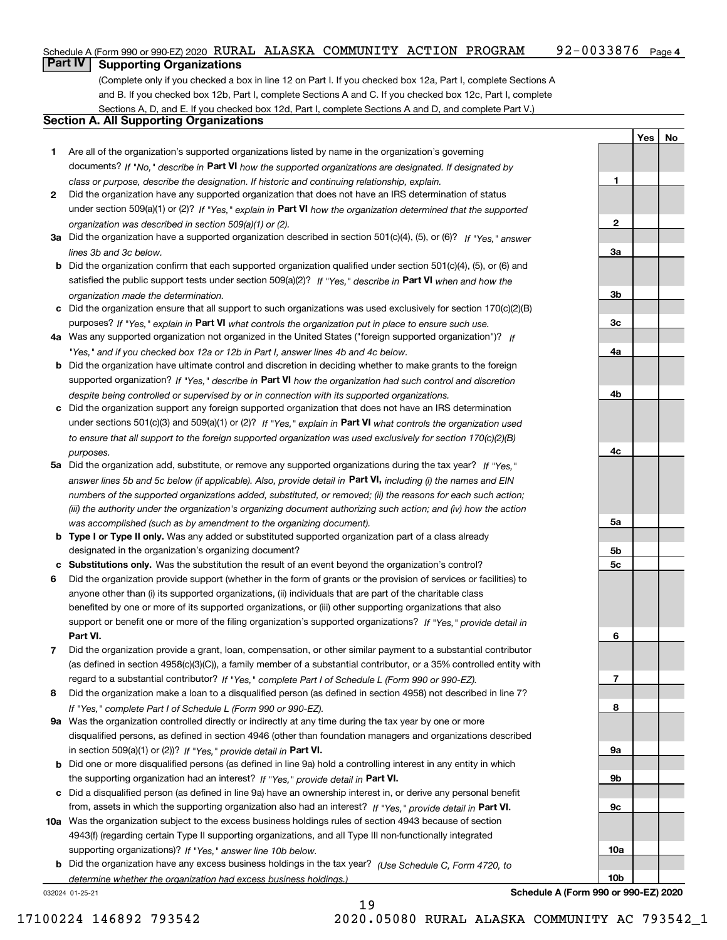#### 92-0033876 Page 4 Schedule A (Form 990 or 990-EZ) 2020  $\,$  RURAL ALASKA  $\,$  COMMUNITY  $\,$  ACTION  $\,$  PROGRAM  $\,$   $\,$  92  $-$  0033876  $\,$  Page

## **Part IV Supporting Organizations**

(Complete only if you checked a box in line 12 on Part I. If you checked box 12a, Part I, complete Sections A and B. If you checked box 12b, Part I, complete Sections A and C. If you checked box 12c, Part I, complete Sections A, D, and E. If you checked box 12d, Part I, complete Sections A and D, and complete Part V.)

#### **Section A. All Supporting Organizations**

- **1** Are all of the organization's supported organizations listed by name in the organization's governing documents? If "No," describe in **Part VI** how the supported organizations are designated. If designated by *class or purpose, describe the designation. If historic and continuing relationship, explain.*
- **2** Did the organization have any supported organization that does not have an IRS determination of status under section 509(a)(1) or (2)? If "Yes," explain in Part VI how the organization determined that the supported *organization was described in section 509(a)(1) or (2).*
- **3a** Did the organization have a supported organization described in section 501(c)(4), (5), or (6)? If "Yes," answer *lines 3b and 3c below.*
- **b** Did the organization confirm that each supported organization qualified under section 501(c)(4), (5), or (6) and satisfied the public support tests under section 509(a)(2)? If "Yes," describe in **Part VI** when and how the *organization made the determination.*
- **c**Did the organization ensure that all support to such organizations was used exclusively for section 170(c)(2)(B) purposes? If "Yes," explain in **Part VI** what controls the organization put in place to ensure such use.
- **4a***If* Was any supported organization not organized in the United States ("foreign supported organization")? *"Yes," and if you checked box 12a or 12b in Part I, answer lines 4b and 4c below.*
- **b** Did the organization have ultimate control and discretion in deciding whether to make grants to the foreign supported organization? If "Yes," describe in **Part VI** how the organization had such control and discretion *despite being controlled or supervised by or in connection with its supported organizations.*
- **c** Did the organization support any foreign supported organization that does not have an IRS determination under sections 501(c)(3) and 509(a)(1) or (2)? If "Yes," explain in **Part VI** what controls the organization used *to ensure that all support to the foreign supported organization was used exclusively for section 170(c)(2)(B) purposes.*
- **5a** Did the organization add, substitute, or remove any supported organizations during the tax year? If "Yes," answer lines 5b and 5c below (if applicable). Also, provide detail in **Part VI,** including (i) the names and EIN *numbers of the supported organizations added, substituted, or removed; (ii) the reasons for each such action; (iii) the authority under the organization's organizing document authorizing such action; and (iv) how the action was accomplished (such as by amendment to the organizing document).*
- **b** Type I or Type II only. Was any added or substituted supported organization part of a class already designated in the organization's organizing document?
- **cSubstitutions only.**  Was the substitution the result of an event beyond the organization's control?
- **6** Did the organization provide support (whether in the form of grants or the provision of services or facilities) to **Part VI.** *If "Yes," provide detail in* support or benefit one or more of the filing organization's supported organizations? anyone other than (i) its supported organizations, (ii) individuals that are part of the charitable class benefited by one or more of its supported organizations, or (iii) other supporting organizations that also
- **7**Did the organization provide a grant, loan, compensation, or other similar payment to a substantial contributor *If "Yes," complete Part I of Schedule L (Form 990 or 990-EZ).* regard to a substantial contributor? (as defined in section 4958(c)(3)(C)), a family member of a substantial contributor, or a 35% controlled entity with
- **8** Did the organization make a loan to a disqualified person (as defined in section 4958) not described in line 7? *If "Yes," complete Part I of Schedule L (Form 990 or 990-EZ).*
- **9a** Was the organization controlled directly or indirectly at any time during the tax year by one or more in section 509(a)(1) or (2))? If "Yes," *provide detail in* <code>Part VI.</code> disqualified persons, as defined in section 4946 (other than foundation managers and organizations described
- **b** Did one or more disqualified persons (as defined in line 9a) hold a controlling interest in any entity in which the supporting organization had an interest? If "Yes," provide detail in P**art VI**.
- **c**Did a disqualified person (as defined in line 9a) have an ownership interest in, or derive any personal benefit from, assets in which the supporting organization also had an interest? If "Yes," provide detail in P**art VI.**
- **10a** Was the organization subject to the excess business holdings rules of section 4943 because of section supporting organizations)? If "Yes," answer line 10b below. 4943(f) (regarding certain Type II supporting organizations, and all Type III non-functionally integrated
- **b** Did the organization have any excess business holdings in the tax year? (Use Schedule C, Form 4720, to *determine whether the organization had excess business holdings.)*

19

032024 01-25-21

**123a3b3c4a4b4c5a 5b5c6789a 9b9c10a**

**YesNo**

**Schedule A (Form 990 or 990-EZ) 2020**

**10b**

17100224 146892 793542 2020.05080 RURAL ALASKA COMMUNITY AC 793542\_1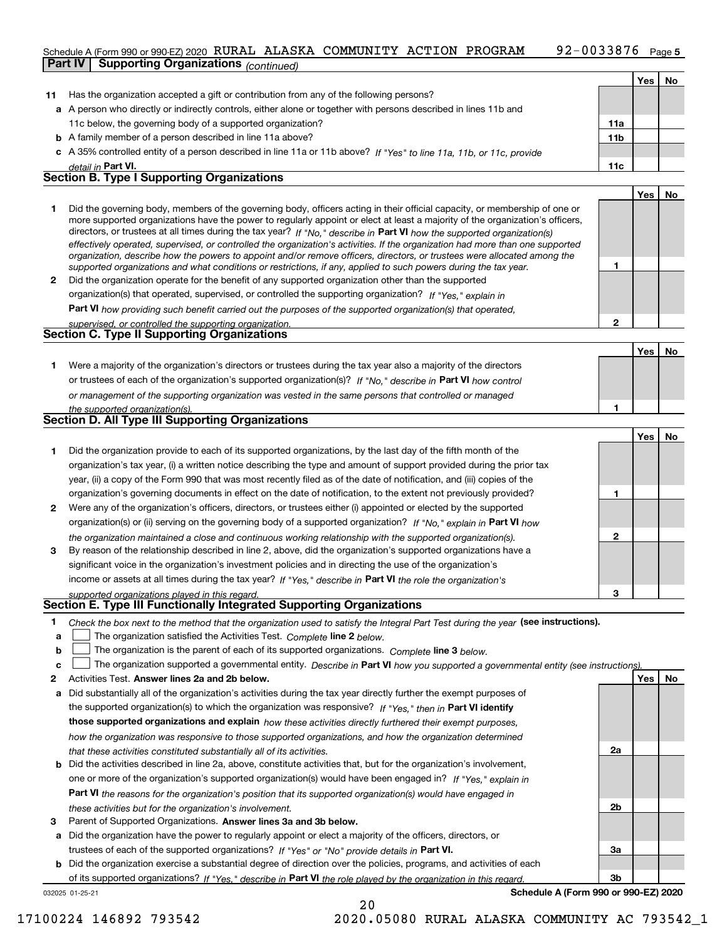#### 92-0033876 Page 5 Schedule A (Form 990 or 990-EZ) 2020  $\,$  RURAL ALASKA  $\,$  COMMUNITY  $\,$  ACTION  $\,$  PROGRAM  $\,$   $\,$  92  $-$  0033876  $\,$  Page **Part IV Supporting Organizations** *(continued)*

|              | <b>Failly</b><br><b>Supporting Organizations</b> (continued)                                                                                                                                                                                                                                                                                                                                                                                                                                                                                                                                                                                         |                 |     |     |
|--------------|------------------------------------------------------------------------------------------------------------------------------------------------------------------------------------------------------------------------------------------------------------------------------------------------------------------------------------------------------------------------------------------------------------------------------------------------------------------------------------------------------------------------------------------------------------------------------------------------------------------------------------------------------|-----------------|-----|-----|
|              |                                                                                                                                                                                                                                                                                                                                                                                                                                                                                                                                                                                                                                                      |                 | Yes | No. |
| 11           | Has the organization accepted a gift or contribution from any of the following persons?                                                                                                                                                                                                                                                                                                                                                                                                                                                                                                                                                              |                 |     |     |
|              | a A person who directly or indirectly controls, either alone or together with persons described in lines 11b and                                                                                                                                                                                                                                                                                                                                                                                                                                                                                                                                     |                 |     |     |
|              | 11c below, the governing body of a supported organization?                                                                                                                                                                                                                                                                                                                                                                                                                                                                                                                                                                                           | 11a             |     |     |
|              | <b>b</b> A family member of a person described in line 11a above?                                                                                                                                                                                                                                                                                                                                                                                                                                                                                                                                                                                    | 11 <sub>b</sub> |     |     |
|              | c A 35% controlled entity of a person described in line 11a or 11b above? If "Yes" to line 11a, 11b, or 11c, provide                                                                                                                                                                                                                                                                                                                                                                                                                                                                                                                                 |                 |     |     |
|              | detail in Part VI.                                                                                                                                                                                                                                                                                                                                                                                                                                                                                                                                                                                                                                   | 11c             |     |     |
|              | <b>Section B. Type I Supporting Organizations</b>                                                                                                                                                                                                                                                                                                                                                                                                                                                                                                                                                                                                    |                 |     |     |
|              |                                                                                                                                                                                                                                                                                                                                                                                                                                                                                                                                                                                                                                                      |                 | Yes | No  |
|              | Did the governing body, members of the governing body, officers acting in their official capacity, or membership of one or<br>more supported organizations have the power to regularly appoint or elect at least a majority of the organization's officers,<br>directors, or trustees at all times during the tax year? If "No." describe in Part VI how the supported organization(s)<br>effectively operated, supervised, or controlled the organization's activities. If the organization had more than one supported<br>organization, describe how the powers to appoint and/or remove officers, directors, or trustees were allocated among the |                 |     |     |
|              | supported organizations and what conditions or restrictions, if any, applied to such powers during the tax year.                                                                                                                                                                                                                                                                                                                                                                                                                                                                                                                                     |                 |     |     |
| $\mathbf{2}$ | Did the organization operate for the benefit of any supported organization other than the supported                                                                                                                                                                                                                                                                                                                                                                                                                                                                                                                                                  |                 |     |     |
|              | organization(s) that operated, supervised, or controlled the supporting organization? If "Yes." explain in                                                                                                                                                                                                                                                                                                                                                                                                                                                                                                                                           |                 |     |     |
|              | <b>Part VI</b> how providing such benefit carried out the purposes of the supported organization(s) that operated,                                                                                                                                                                                                                                                                                                                                                                                                                                                                                                                                   |                 |     |     |
|              | supervised, or controlled the supporting organization.                                                                                                                                                                                                                                                                                                                                                                                                                                                                                                                                                                                               | 2               |     |     |
|              | <b>Section C. Type II Supporting Organizations</b>                                                                                                                                                                                                                                                                                                                                                                                                                                                                                                                                                                                                   |                 |     |     |
|              |                                                                                                                                                                                                                                                                                                                                                                                                                                                                                                                                                                                                                                                      |                 |     |     |

**1**or trustees of each of the organization's supported organization(s)? If "No," describe in **Part VI** how control **1***or management of the supporting organization was vested in the same persons that controlled or managed the supported organization(s).* Were a majority of the organization's directors or trustees during the tax year also a majority of the directors

|   | <b>Section D. All Type III Supporting Organizations</b>                                                                                                                                                                                 |   |     |    |
|---|-----------------------------------------------------------------------------------------------------------------------------------------------------------------------------------------------------------------------------------------|---|-----|----|
|   |                                                                                                                                                                                                                                         |   | Yes | No |
|   | Did the organization provide to each of its supported organizations, by the last day of the fifth month of the<br>organization's tax year, (i) a written notice describing the type and amount of support provided during the prior tax |   |     |    |
|   | year, (ii) a copy of the Form 990 that was most recently filed as of the date of notification, and (iii) copies of the                                                                                                                  |   |     |    |
|   | organization's governing documents in effect on the date of notification, to the extent not previously provided?                                                                                                                        |   |     |    |
| 2 | Were any of the organization's officers, directors, or trustees either (i) appointed or elected by the supported                                                                                                                        |   |     |    |
|   | organization(s) or (ii) serving on the governing body of a supported organization? If "No." explain in Part VI how                                                                                                                      |   |     |    |
|   | the organization maintained a close and continuous working relationship with the supported organization(s).                                                                                                                             | 2 |     |    |
| 3 | By reason of the relationship described in line 2, above, did the organization's supported organizations have a                                                                                                                         |   |     |    |
|   | significant voice in the organization's investment policies and in directing the use of the organization's                                                                                                                              |   |     |    |
|   | income or assets at all times during the tax year? If "Yes," describe in Part VI the role the organization's                                                                                                                            |   |     |    |
|   | supported erganizations played in this regard                                                                                                                                                                                           | з |     |    |

#### *supported organizations played in this regard.* **Section E. Type III Functionally Integrated Supporting Organizations**

|  | Check the box next to the method that the organization used to satisfy the Integral Part Test during the year (see instructions). |  |  |  |
|--|-----------------------------------------------------------------------------------------------------------------------------------|--|--|--|
|--|-----------------------------------------------------------------------------------------------------------------------------------|--|--|--|

**a**The organization satisfied the Activities Test. *Complete* line 2 below.  $\mathcal{L}^{\text{max}}$ 

|  |  |  |  | <b>b</b> $\Box$ The organization is the parent of each of its supported organizations. Complete line 3 below. |  |
|--|--|--|--|---------------------------------------------------------------------------------------------------------------|--|
|--|--|--|--|---------------------------------------------------------------------------------------------------------------|--|

|  |  | $\mathbf{c}$ The organization supported a governmental entity. Describe in Part VI how you supported a governmental entity (see instructions). |  |  |  |  |
|--|--|------------------------------------------------------------------------------------------------------------------------------------------------|--|--|--|--|
|--|--|------------------------------------------------------------------------------------------------------------------------------------------------|--|--|--|--|

- **2Answer lines 2a and 2b below. Yes No** Activities Test.
- **a** Did substantially all of the organization's activities during the tax year directly further the exempt purposes of the supported organization(s) to which the organization was responsive? If "Yes," then in **Part VI identify those supported organizations and explain**  *how these activities directly furthered their exempt purposes, how the organization was responsive to those supported organizations, and how the organization determined that these activities constituted substantially all of its activities.*
- **b** Did the activities described in line 2a, above, constitute activities that, but for the organization's involvement, **Part VI**  *the reasons for the organization's position that its supported organization(s) would have engaged in* one or more of the organization's supported organization(s) would have been engaged in? If "Yes," e*xplain in these activities but for the organization's involvement.*
- **3**Parent of Supported Organizations. Answer lines 3a and 3b below.

**a** Did the organization have the power to regularly appoint or elect a majority of the officers, directors, or trustees of each of the supported organizations? If "Yes" or "No" provide details in **Part VI.** 

**b** Did the organization exercise a substantial degree of direction over the policies, programs, and activities of each of its supported organizations? If "Yes," describe in Part VI the role played by the organization in this regard.

032025 01-25-21

**Schedule A (Form 990 or 990-EZ) 2020**

**2a**

**2b**

**3a**

**3b**

**Yes No**

17100224 146892 793542 2020.05080 RURAL ALASKA COMMUNITY AC 793542\_1

20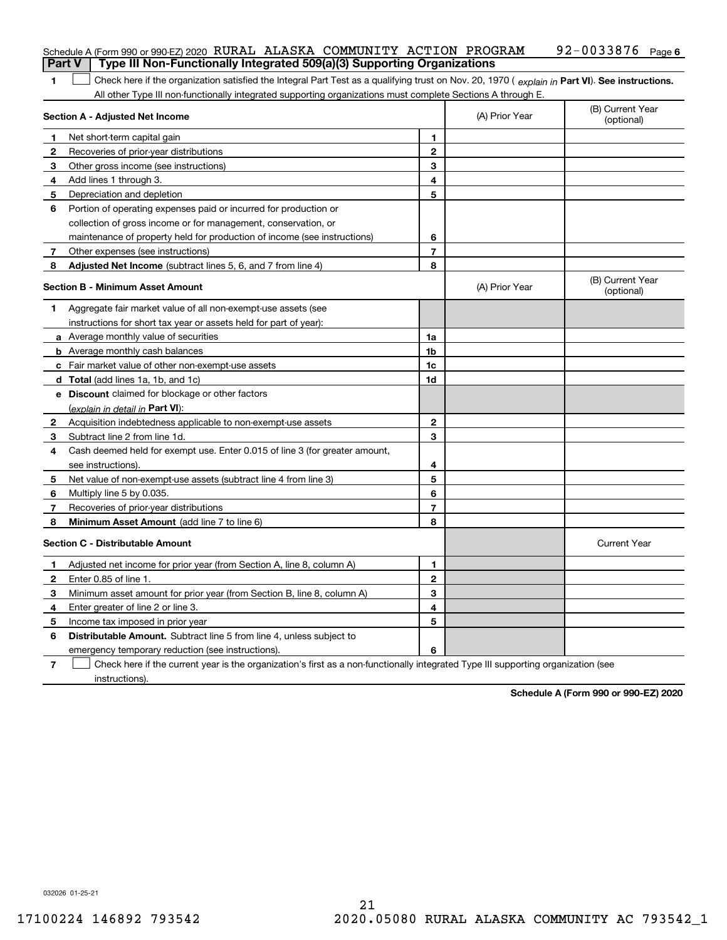| <b>Part V</b>  | Schedule A (Form 990 or 990-EZ) 2020 RURAL ALASKA COMMUNITY ACTION PROGRAM<br>Type III Non-Functionally Integrated 509(a)(3) Supporting Organizations |                |                | 92-0033876 Page 6              |
|----------------|-------------------------------------------------------------------------------------------------------------------------------------------------------|----------------|----------------|--------------------------------|
|                |                                                                                                                                                       |                |                |                                |
| 1              | Check here if the organization satisfied the Integral Part Test as a qualifying trust on Nov. 20, 1970 (explain in Part VI). See instructions.        |                |                |                                |
|                | All other Type III non-functionally integrated supporting organizations must complete Sections A through E.<br>Section A - Adjusted Net Income        |                | (A) Prior Year | (B) Current Year<br>(optional) |
| 1              | Net short-term capital gain                                                                                                                           | 1              |                |                                |
| 2              | Recoveries of prior-year distributions                                                                                                                | $\mathbf{2}$   |                |                                |
| 3              | Other gross income (see instructions)                                                                                                                 | 3              |                |                                |
| 4              | Add lines 1 through 3.                                                                                                                                | 4              |                |                                |
| 5              | Depreciation and depletion                                                                                                                            | 5              |                |                                |
| 6              | Portion of operating expenses paid or incurred for production or                                                                                      |                |                |                                |
|                | collection of gross income or for management, conservation, or                                                                                        |                |                |                                |
|                | maintenance of property held for production of income (see instructions)                                                                              | 6              |                |                                |
| 7              | Other expenses (see instructions)                                                                                                                     | $\overline{7}$ |                |                                |
| 8              | Adjusted Net Income (subtract lines 5, 6, and 7 from line 4)                                                                                          | 8              |                |                                |
|                | <b>Section B - Minimum Asset Amount</b>                                                                                                               |                | (A) Prior Year | (B) Current Year<br>(optional) |
| 1              | Aggregate fair market value of all non-exempt-use assets (see                                                                                         |                |                |                                |
|                | instructions for short tax year or assets held for part of year):                                                                                     |                |                |                                |
|                | a Average monthly value of securities                                                                                                                 | 1a             |                |                                |
|                | <b>b</b> Average monthly cash balances                                                                                                                | 1b             |                |                                |
|                | c Fair market value of other non-exempt-use assets                                                                                                    | 1c             |                |                                |
|                | d Total (add lines 1a, 1b, and 1c)                                                                                                                    | 1d             |                |                                |
|                | e Discount claimed for blockage or other factors                                                                                                      |                |                |                                |
|                | (explain in detail in Part VI):                                                                                                                       |                |                |                                |
| $\mathbf{2}$   | Acquisition indebtedness applicable to non-exempt-use assets                                                                                          | $\mathbf{2}$   |                |                                |
| 3              | Subtract line 2 from line 1d.                                                                                                                         | 3              |                |                                |
| 4              | Cash deemed held for exempt use. Enter 0.015 of line 3 (for greater amount,                                                                           |                |                |                                |
|                | see instructions).                                                                                                                                    | 4              |                |                                |
| 5              | Net value of non-exempt-use assets (subtract line 4 from line 3)                                                                                      | 5              |                |                                |
| 6              | Multiply line 5 by 0.035.                                                                                                                             | 6              |                |                                |
| 7              | Recoveries of prior-year distributions                                                                                                                | 7              |                |                                |
| 8              | <b>Minimum Asset Amount</b> (add line 7 to line 6)                                                                                                    | 8              |                |                                |
|                | <b>Section C - Distributable Amount</b>                                                                                                               |                |                | <b>Current Year</b>            |
| п.             | Adjusted net income for prior year (from Section A, line 8, column A)                                                                                 | 1              |                |                                |
| 2              | Enter 0.85 of line 1.                                                                                                                                 | 2              |                |                                |
| 3              | Minimum asset amount for prior year (from Section B, line 8, column A)                                                                                | 3              |                |                                |
| 4              | Enter greater of line 2 or line 3.                                                                                                                    | 4              |                |                                |
| 5              | Income tax imposed in prior year                                                                                                                      | 5              |                |                                |
| 6              | Distributable Amount. Subtract line 5 from line 4, unless subject to                                                                                  |                |                |                                |
|                | emergency temporary reduction (see instructions).                                                                                                     | 6              |                |                                |
| $\overline{7}$ | Check here if the current year is the organization's first as a non-functionally integrated Type III supporting organization (see                     |                |                |                                |

instructions).

**Schedule A (Form 990 or 990-EZ) 2020**

032026 01-25-21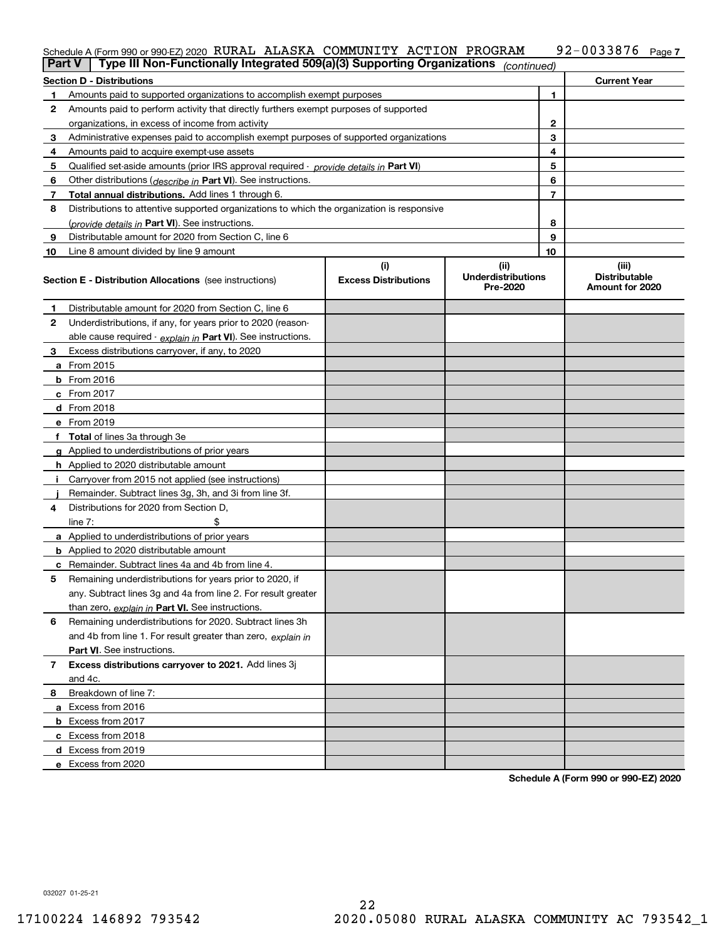#### **7** Schedule A (Form 990 or 990-EZ) 2020  $\,$  RURAL ALASKA  $\,$  COMMUNITY  $\,$  ACTION  $\,$  PROGRAM  $\,$   $\,$  92  $-$  0033876  $\,$  Page

| <b>Part V</b> | Type III Non-Functionally Integrated 509(a)(3) Supporting Organizations                    |                             | (continued)                           |                                         |
|---------------|--------------------------------------------------------------------------------------------|-----------------------------|---------------------------------------|-----------------------------------------|
|               | <b>Section D - Distributions</b>                                                           |                             |                                       | <b>Current Year</b>                     |
| 1             | Amounts paid to supported organizations to accomplish exempt purposes                      |                             | 1                                     |                                         |
| 2             | Amounts paid to perform activity that directly furthers exempt purposes of supported       |                             |                                       |                                         |
|               | organizations, in excess of income from activity                                           | $\mathbf{2}$                |                                       |                                         |
| 3             | Administrative expenses paid to accomplish exempt purposes of supported organizations      | 3                           |                                       |                                         |
| 4             | Amounts paid to acquire exempt-use assets                                                  |                             | 4                                     |                                         |
| 5             | Qualified set-aside amounts (prior IRS approval required - provide details in Part VI)     |                             | 5                                     |                                         |
| 6             | Other distributions ( <i>describe in</i> Part VI). See instructions.                       |                             | 6                                     |                                         |
| 7             | Total annual distributions. Add lines 1 through 6.                                         |                             | $\overline{7}$                        |                                         |
| 8             | Distributions to attentive supported organizations to which the organization is responsive |                             |                                       |                                         |
|               | (provide details in Part VI). See instructions.                                            | 8                           |                                       |                                         |
| 9             | Distributable amount for 2020 from Section C, line 6                                       |                             | 9                                     |                                         |
| 10            | Line 8 amount divided by line 9 amount                                                     |                             | 10                                    |                                         |
|               |                                                                                            | (i)                         | (ii)                                  | (iii)                                   |
|               | <b>Section E - Distribution Allocations</b> (see instructions)                             | <b>Excess Distributions</b> | <b>Underdistributions</b><br>Pre-2020 | <b>Distributable</b><br>Amount for 2020 |
| 1             | Distributable amount for 2020 from Section C, line 6                                       |                             |                                       |                                         |
| 2             | Underdistributions, if any, for years prior to 2020 (reason-                               |                             |                                       |                                         |
|               | able cause required - explain in Part VI). See instructions.                               |                             |                                       |                                         |
| 3             | Excess distributions carryover, if any, to 2020                                            |                             |                                       |                                         |
|               | a From 2015                                                                                |                             |                                       |                                         |
|               | <b>b</b> From 2016                                                                         |                             |                                       |                                         |
|               | $c$ From 2017                                                                              |                             |                                       |                                         |
|               | d From 2018                                                                                |                             |                                       |                                         |
|               | e From 2019                                                                                |                             |                                       |                                         |
|               | f Total of lines 3a through 3e                                                             |                             |                                       |                                         |
|               | g Applied to underdistributions of prior years                                             |                             |                                       |                                         |
|               | <b>h</b> Applied to 2020 distributable amount                                              |                             |                                       |                                         |
|               | Carryover from 2015 not applied (see instructions)                                         |                             |                                       |                                         |
|               | Remainder. Subtract lines 3g, 3h, and 3i from line 3f.                                     |                             |                                       |                                         |
| 4             | Distributions for 2020 from Section D,                                                     |                             |                                       |                                         |
|               | line $7:$                                                                                  |                             |                                       |                                         |
|               | a Applied to underdistributions of prior years                                             |                             |                                       |                                         |
|               | <b>b</b> Applied to 2020 distributable amount                                              |                             |                                       |                                         |
|               | c Remainder. Subtract lines 4a and 4b from line 4.                                         |                             |                                       |                                         |
| 5.            | Remaining underdistributions for years prior to 2020, if                                   |                             |                                       |                                         |
|               | any. Subtract lines 3g and 4a from line 2. For result greater                              |                             |                                       |                                         |
|               | than zero, explain in Part VI. See instructions.                                           |                             |                                       |                                         |
| 6             | Remaining underdistributions for 2020. Subtract lines 3h                                   |                             |                                       |                                         |
|               | and 4b from line 1. For result greater than zero, explain in                               |                             |                                       |                                         |
|               | Part VI. See instructions.                                                                 |                             |                                       |                                         |
| 7             | Excess distributions carryover to 2021. Add lines 3j                                       |                             |                                       |                                         |
|               | and 4c.                                                                                    |                             |                                       |                                         |
| 8             | Breakdown of line 7:                                                                       |                             |                                       |                                         |
|               | a Excess from 2016                                                                         |                             |                                       |                                         |
|               | <b>b</b> Excess from 2017                                                                  |                             |                                       |                                         |
|               | c Excess from 2018                                                                         |                             |                                       |                                         |
|               | d Excess from 2019                                                                         |                             |                                       |                                         |
|               | e Excess from 2020                                                                         |                             |                                       |                                         |

**Schedule A (Form 990 or 990-EZ) 2020**

032027 01-25-21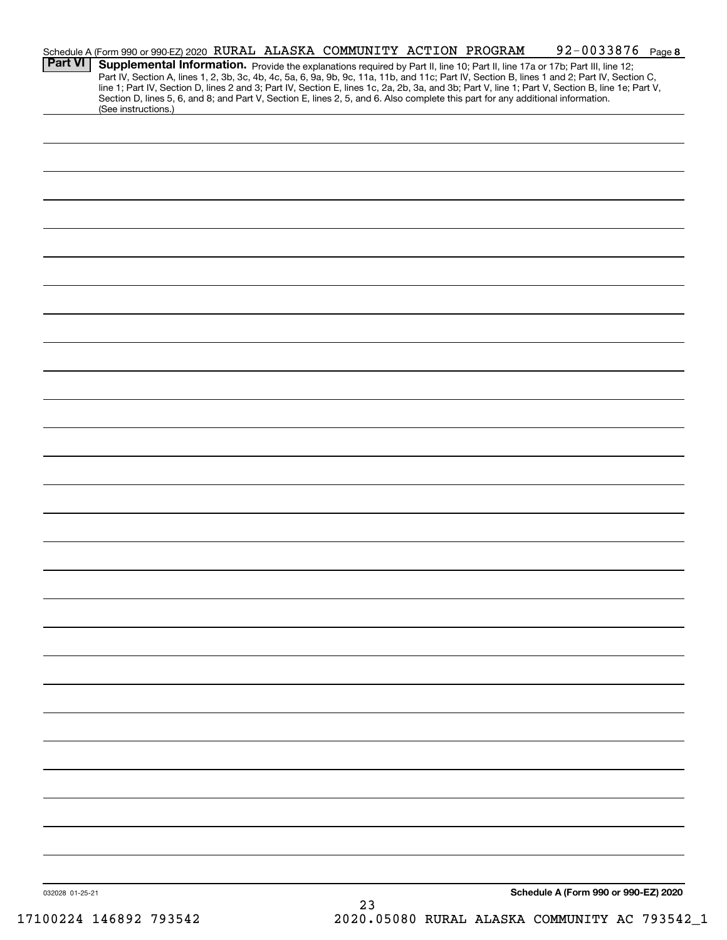| <b>Part VI</b>  | Schedule A (Form 990 or 990-EZ) 2020 RURAL ALASKA COMMUNITY ACTION PROGRAM<br>Supplemental Information. Provide the explanations required by Part II, line 10; Part II, line 17a or 17b; Part III, line 12;                                                                                                                                                                                                                                                |  |    |  | 92-0033876 Page 8                    |  |
|-----------------|------------------------------------------------------------------------------------------------------------------------------------------------------------------------------------------------------------------------------------------------------------------------------------------------------------------------------------------------------------------------------------------------------------------------------------------------------------|--|----|--|--------------------------------------|--|
|                 | Part IV, Section A, lines 1, 2, 3b, 3c, 4b, 4c, 5a, 6, 9a, 9b, 9c, 11a, 11b, and 11c; Part IV, Section B, lines 1 and 2; Part IV, Section C,<br>line 1; Part IV, Section D, lines 2 and 3; Part IV, Section E, lines 1c, 2a, 2b, 3a, and 3b; Part V, line 1; Part V, Section B, line 1e; Part V,<br>Section D, lines 5, 6, and 8; and Part V, Section E, lines 2, 5, and 6. Also complete this part for any additional information.<br>(See instructions.) |  |    |  |                                      |  |
|                 |                                                                                                                                                                                                                                                                                                                                                                                                                                                            |  |    |  |                                      |  |
|                 |                                                                                                                                                                                                                                                                                                                                                                                                                                                            |  |    |  |                                      |  |
|                 |                                                                                                                                                                                                                                                                                                                                                                                                                                                            |  |    |  |                                      |  |
|                 |                                                                                                                                                                                                                                                                                                                                                                                                                                                            |  |    |  |                                      |  |
|                 |                                                                                                                                                                                                                                                                                                                                                                                                                                                            |  |    |  |                                      |  |
|                 |                                                                                                                                                                                                                                                                                                                                                                                                                                                            |  |    |  |                                      |  |
|                 |                                                                                                                                                                                                                                                                                                                                                                                                                                                            |  |    |  |                                      |  |
|                 |                                                                                                                                                                                                                                                                                                                                                                                                                                                            |  |    |  |                                      |  |
|                 |                                                                                                                                                                                                                                                                                                                                                                                                                                                            |  |    |  |                                      |  |
|                 |                                                                                                                                                                                                                                                                                                                                                                                                                                                            |  |    |  |                                      |  |
|                 |                                                                                                                                                                                                                                                                                                                                                                                                                                                            |  |    |  |                                      |  |
|                 |                                                                                                                                                                                                                                                                                                                                                                                                                                                            |  |    |  |                                      |  |
|                 |                                                                                                                                                                                                                                                                                                                                                                                                                                                            |  |    |  |                                      |  |
|                 |                                                                                                                                                                                                                                                                                                                                                                                                                                                            |  |    |  |                                      |  |
|                 |                                                                                                                                                                                                                                                                                                                                                                                                                                                            |  |    |  |                                      |  |
|                 |                                                                                                                                                                                                                                                                                                                                                                                                                                                            |  |    |  |                                      |  |
|                 |                                                                                                                                                                                                                                                                                                                                                                                                                                                            |  |    |  |                                      |  |
|                 |                                                                                                                                                                                                                                                                                                                                                                                                                                                            |  |    |  |                                      |  |
|                 |                                                                                                                                                                                                                                                                                                                                                                                                                                                            |  |    |  |                                      |  |
|                 |                                                                                                                                                                                                                                                                                                                                                                                                                                                            |  |    |  |                                      |  |
|                 |                                                                                                                                                                                                                                                                                                                                                                                                                                                            |  |    |  |                                      |  |
|                 |                                                                                                                                                                                                                                                                                                                                                                                                                                                            |  |    |  |                                      |  |
|                 |                                                                                                                                                                                                                                                                                                                                                                                                                                                            |  |    |  |                                      |  |
|                 |                                                                                                                                                                                                                                                                                                                                                                                                                                                            |  |    |  |                                      |  |
|                 |                                                                                                                                                                                                                                                                                                                                                                                                                                                            |  |    |  |                                      |  |
|                 |                                                                                                                                                                                                                                                                                                                                                                                                                                                            |  |    |  |                                      |  |
|                 |                                                                                                                                                                                                                                                                                                                                                                                                                                                            |  |    |  |                                      |  |
|                 |                                                                                                                                                                                                                                                                                                                                                                                                                                                            |  |    |  |                                      |  |
| 032028 01-25-21 |                                                                                                                                                                                                                                                                                                                                                                                                                                                            |  | 23 |  | Schedule A (Form 990 or 990-EZ) 2020 |  |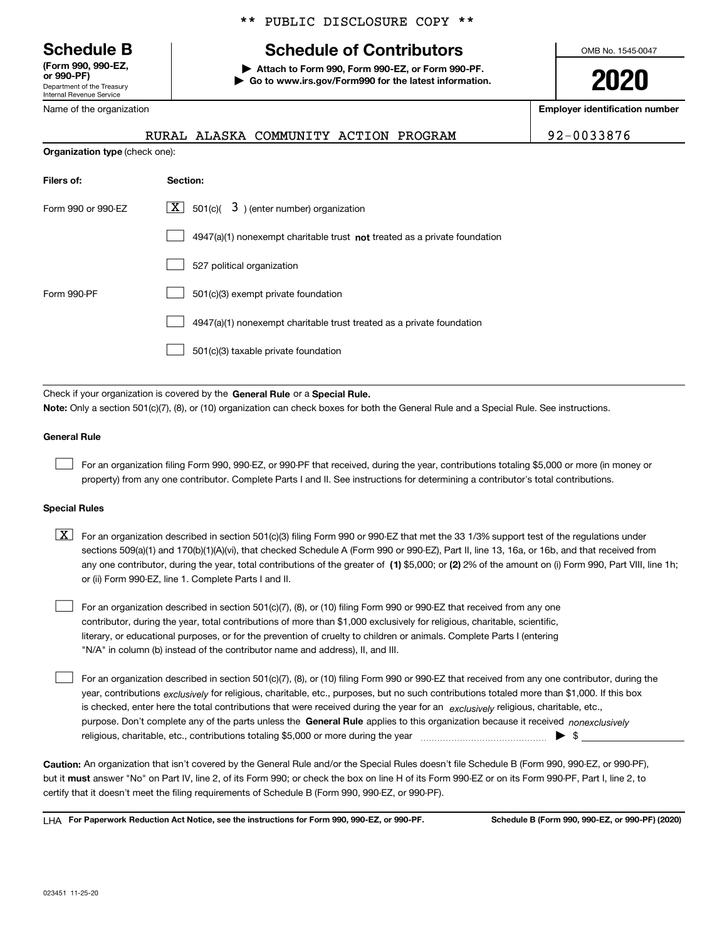Department of the Treasury Internal Revenue Service **(Form 990, 990-EZ, or 990-PF)**

Name of the organization

**Organization type** (check one):

#### \*\* PUBLIC DISCLOSURE COPY \*\*

# **Schedule B Schedule of Contributors**

**| Attach to Form 990, Form 990-EZ, or Form 990-PF. | Go to www.irs.gov/Form990 for the latest information.** OMB No. 1545-0047

**2020**

**Employer identification number**

RURAL ALASKA COMMUNITY ACTION PROGRAM | 92-0033876

| Filers of:         | Section:                                                                    |
|--------------------|-----------------------------------------------------------------------------|
| Form 990 or 990-EZ | $\lfloor x \rfloor$ 501(c)( 3) (enter number) organization                  |
|                    | $4947(a)(1)$ nonexempt charitable trust not treated as a private foundation |
|                    | 527 political organization                                                  |
| Form 990-PF        | 501(c)(3) exempt private foundation                                         |
|                    | 4947(a)(1) nonexempt charitable trust treated as a private foundation       |
|                    | 501(c)(3) taxable private foundation                                        |

Check if your organization is covered by the **General Rule** or a **Special Rule. Note:**  Only a section 501(c)(7), (8), or (10) organization can check boxes for both the General Rule and a Special Rule. See instructions.

#### **General Rule**

 $\mathcal{L}^{\text{max}}$ 

For an organization filing Form 990, 990-EZ, or 990-PF that received, during the year, contributions totaling \$5,000 or more (in money or property) from any one contributor. Complete Parts I and II. See instructions for determining a contributor's total contributions.

#### **Special Rules**

any one contributor, during the year, total contributions of the greater of  $\,$  (1) \$5,000; or **(2)** 2% of the amount on (i) Form 990, Part VIII, line 1h;  $\boxed{\textbf{X}}$  For an organization described in section 501(c)(3) filing Form 990 or 990-EZ that met the 33 1/3% support test of the regulations under sections 509(a)(1) and 170(b)(1)(A)(vi), that checked Schedule A (Form 990 or 990-EZ), Part II, line 13, 16a, or 16b, and that received from or (ii) Form 990-EZ, line 1. Complete Parts I and II.

For an organization described in section 501(c)(7), (8), or (10) filing Form 990 or 990-EZ that received from any one contributor, during the year, total contributions of more than \$1,000 exclusively for religious, charitable, scientific, literary, or educational purposes, or for the prevention of cruelty to children or animals. Complete Parts I (entering "N/A" in column (b) instead of the contributor name and address), II, and III.  $\mathcal{L}^{\text{max}}$ 

purpose. Don't complete any of the parts unless the **General Rule** applies to this organization because it received *nonexclusively* year, contributions <sub>exclusively</sub> for religious, charitable, etc., purposes, but no such contributions totaled more than \$1,000. If this box is checked, enter here the total contributions that were received during the year for an  $\;$ exclusively religious, charitable, etc., For an organization described in section 501(c)(7), (8), or (10) filing Form 990 or 990-EZ that received from any one contributor, during the religious, charitable, etc., contributions totaling \$5,000 or more during the year  $\Box$ — $\Box$   $\Box$  $\mathcal{L}^{\text{max}}$ 

**Caution:**  An organization that isn't covered by the General Rule and/or the Special Rules doesn't file Schedule B (Form 990, 990-EZ, or 990-PF),  **must** but it answer "No" on Part IV, line 2, of its Form 990; or check the box on line H of its Form 990-EZ or on its Form 990-PF, Part I, line 2, to certify that it doesn't meet the filing requirements of Schedule B (Form 990, 990-EZ, or 990-PF).

**For Paperwork Reduction Act Notice, see the instructions for Form 990, 990-EZ, or 990-PF. Schedule B (Form 990, 990-EZ, or 990-PF) (2020)** LHA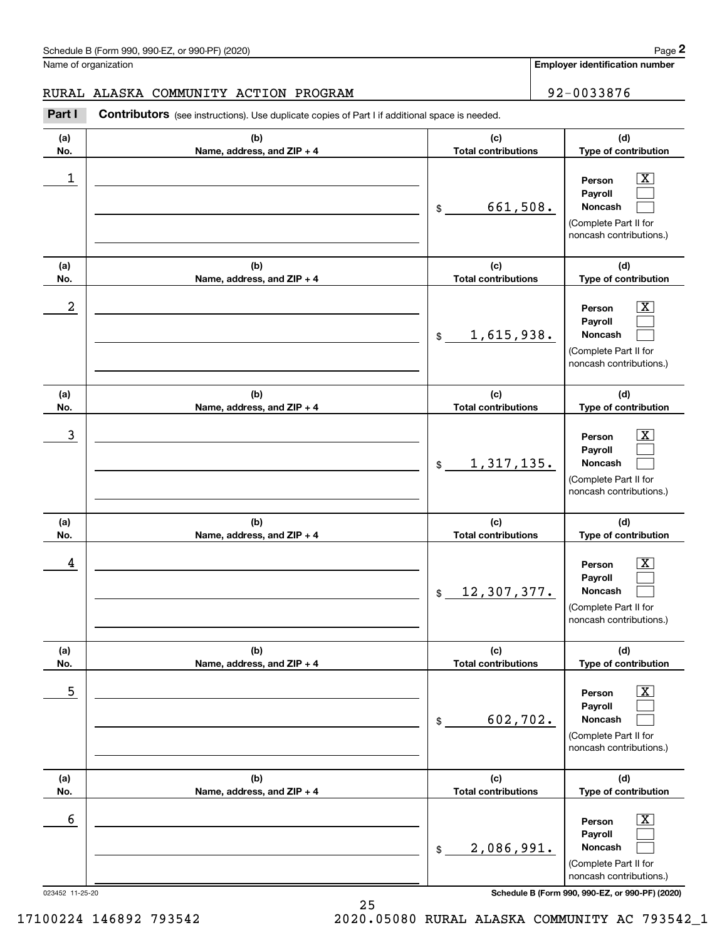**Employer identification number**

#### RURAL ALASKA COMMUNITY ACTION PROGRAM **192-0033876**

**(a)No.(b)Name, address, and ZIP + 4 (c)Total contributions (d)Type of contribution PersonPayrollNoncash (a)No.(b)Name, address, and ZIP + 4 (c)Total contributions (d)Type of contribution PersonPayrollNoncash (a)No.(b)Name, address, and ZIP + 4 (c)Total contributions (d)Type of contribution PersonPayrollNoncash (a) No.(b) Name, address, and ZIP + 4 (c) Total contributions (d) Type of contribution PersonPayrollNoncash (a) No.(b) Name, address, and ZIP + 4 (c) Total contributions (d) Type of contribution PersonPayrollNoncash (a) No.(b)Name, address, and ZIP + 4 (c) Total contributions (d)Type of contribution PersonPayrollNoncash Contributors** (see instructions). Use duplicate copies of Part I if additional space is needed. \$(Complete Part II for noncash contributions.) \$(Complete Part II for noncash contributions.) \$(Complete Part II for noncash contributions.) \$(Complete Part II for noncash contributions.) \$(Complete Part II for noncash contributions.) \$(Complete Part II for noncash contributions.) Chedule B (Form 990, 990-EZ, or 990-PF) (2020)<br>Iame of organization<br>**2Part I 2Part I Contributors** (see instructions). Use duplicate copies of Part I if additional space is needed.  $|X|$  $\mathcal{L}^{\text{max}}$  $\mathcal{L}^{\text{max}}$  $\boxed{\text{X}}$  $\mathcal{L}^{\text{max}}$  $\mathcal{L}^{\text{max}}$  $|X|$  $\mathcal{L}^{\text{max}}$  $\mathcal{L}^{\text{max}}$  $\boxed{\text{X}}$  $\mathcal{L}^{\text{max}}$  $\mathcal{L}^{\text{max}}$  $\boxed{\text{X}}$  $\mathcal{L}^{\text{max}}$  $\mathcal{L}^{\text{max}}$  $\boxed{\text{X}}$  $\mathcal{L}^{\text{max}}$  $\mathcal{L}^{\text{max}}$  $\begin{array}{c|c|c|c|c|c} 1 & \hspace{1.5cm} & \hspace{1.5cm} & \hspace{1.5cm} & \hspace{1.5cm} & \hspace{1.5cm} & \hspace{1.5cm} & \hspace{1.5cm} & \hspace{1.5cm} & \hspace{1.5cm} & \hspace{1.5cm} & \hspace{1.5cm} & \hspace{1.5cm} & \hspace{1.5cm} & \hspace{1.5cm} & \hspace{1.5cm} & \hspace{1.5cm} & \hspace{1.5cm} & \hspace{1.5cm} & \hspace{1.5cm} & \hspace{1.5cm} &$ 661,508.  $2$  | Person  $\overline{\text{X}}$ 1,615,938.  $\overline{3}$  | Person  $\overline{X}$ 1,317,135.  $4$  | Person  $\overline{\text{X}}$ 12,307,377.  $\sim$  5 | Person X 602,702.  $\sim$  6 | Person X 2,086,991.

023452 11-25-20 **Schedule B (Form 990, 990-EZ, or 990-PF) (2020)**

17100224 146892 793542 2020.05080 RURAL ALASKA COMMUNITY AC 793542\_1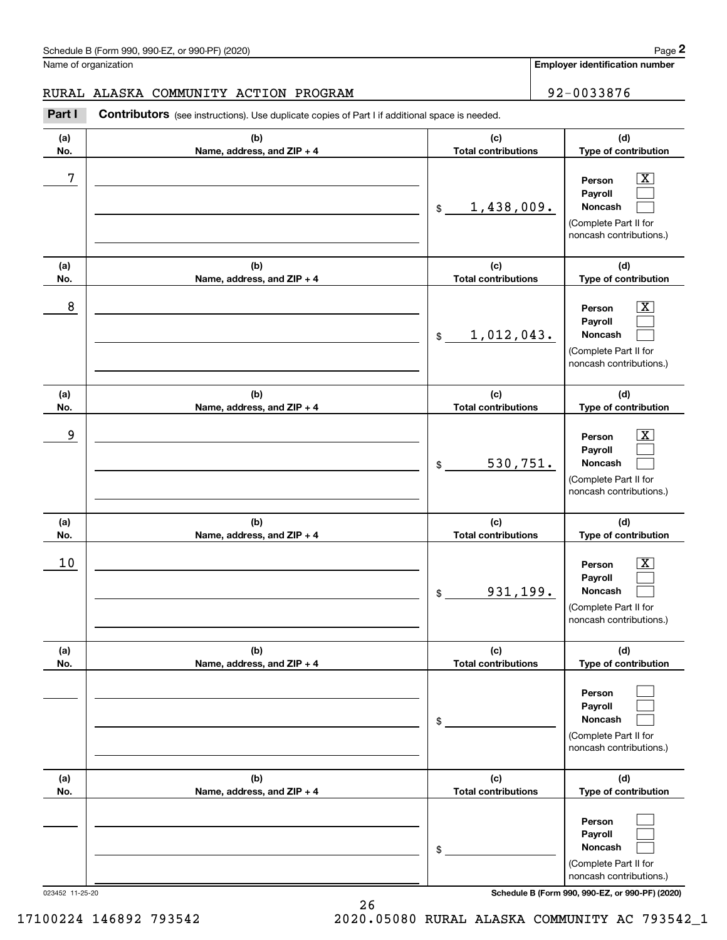### RURAL ALASKA COMMUNITY ACTION PROGRAM 92-0033876

|            | Schedule B (Form 990, 990-EZ, or 990-PF) (2020)                                                       |                                   | Page 2                                                                                                      |
|------------|-------------------------------------------------------------------------------------------------------|-----------------------------------|-------------------------------------------------------------------------------------------------------------|
|            | Name of organization                                                                                  |                                   | Employer identification number                                                                              |
|            | RURAL ALASKA COMMUNITY ACTION PROGRAM                                                                 |                                   | 92-0033876                                                                                                  |
| Part I     | <b>Contributors</b> (see instructions). Use duplicate copies of Part I if additional space is needed. |                                   |                                                                                                             |
| (a)<br>No. | (b)<br>Name, address, and ZIP + 4                                                                     | (c)<br><b>Total contributions</b> | (d)<br>Type of contribution                                                                                 |
| 7          |                                                                                                       | 1,438,009.<br>\$                  | $\mathbf{X}$<br>Person<br>Payroll<br>Noncash<br>(Complete Part II for<br>noncash contributions.)            |
| (a)<br>No. | (b)<br>Name, address, and ZIP + 4                                                                     | (c)<br><b>Total contributions</b> | (d)<br>Type of contribution                                                                                 |
| 8          |                                                                                                       | 1,012,043.<br>$$\mathbb{S}$$      | $\mathbf{X}$<br>Person<br>Payroll<br>Noncash<br>(Complete Part II for<br>noncash contributions.)            |
| (a)<br>No. | (b)<br>Name, address, and ZIP + 4                                                                     | (c)<br><b>Total contributions</b> | (d)<br>Type of contribution                                                                                 |
| 9          |                                                                                                       | 530,751.<br>\$                    | $\overline{\mathbf{X}}$<br>Person<br>Payroll<br>Noncash<br>(Complete Part II for<br>noncash contributions.) |
| (a)<br>No. | (b)<br>Name, address, and ZIP + 4                                                                     | (c)<br><b>Total contributions</b> | (d)<br>Type of contribution                                                                                 |
| 10         |                                                                                                       | 931,199.<br>\$                    | $\mathbf{X}$<br>Person<br>Payroll<br>Noncash<br>(Complete Part II for<br>noncash contributions.)            |
| (a)<br>No. | (b)<br>Name, address, and ZIP + 4                                                                     | (c)<br><b>Total contributions</b> | (d)<br>Type of contribution                                                                                 |
|            |                                                                                                       | \$                                | Person<br>Payroll<br>Noncash<br>(Complete Part II for<br>noncash contributions.)                            |
| (a)<br>No. | (b)<br>Name, address, and ZIP + 4                                                                     | (c)<br><b>Total contributions</b> | (d)<br>Type of contribution                                                                                 |
|            |                                                                                                       | \$                                | Person<br>Payroll<br>Noncash<br>(Complete Part II for<br>noncash contributions.)                            |

023452 11-25-20 **Schedule B (Form 990, 990-EZ, or 990-PF) (2020)**

17100224 146892 793542 2020.05080 RURAL ALASKA COMMUNITY AC 793542\_1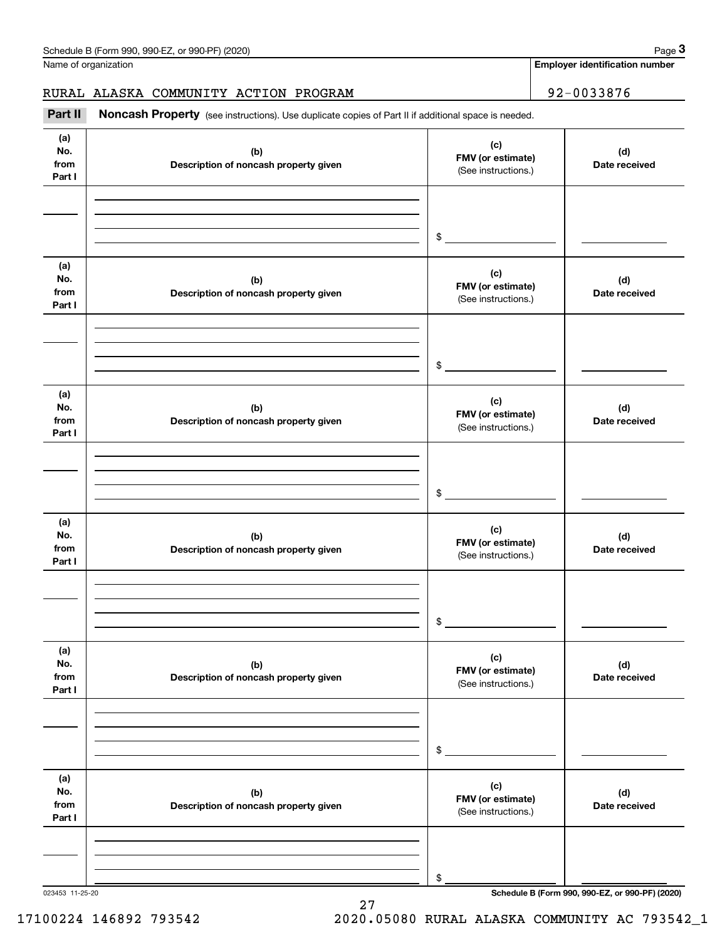**Employer identification number**

### RURAL ALASKA COMMUNITY ACTION PROGRAM | 92-0033876

Chedule B (Form 990, 990-EZ, or 990-PF) (2020)<br> **2 Alame of organization**<br> **32 - 0033876 Part II Noncash Property** (see instructions). Use duplicate copies of Part II if additional space is needed.

| (a)<br>No.<br>from<br>Part I | (b)<br>Description of noncash property given | (c)<br>FMV (or estimate)<br>(See instructions.) | (d)<br>Date received |
|------------------------------|----------------------------------------------|-------------------------------------------------|----------------------|
|                              |                                              | $\frac{1}{2}$                                   |                      |
| (a)<br>No.<br>from<br>Part I | (b)<br>Description of noncash property given | (c)<br>FMV (or estimate)<br>(See instructions.) | (d)<br>Date received |
|                              |                                              | $\frac{1}{2}$                                   |                      |
| (a)<br>No.<br>from<br>Part I | (b)<br>Description of noncash property given | (c)<br>FMV (or estimate)<br>(See instructions.) | (d)<br>Date received |
|                              |                                              | $\frac{1}{2}$                                   |                      |
| (a)<br>No.<br>from<br>Part I | (b)<br>Description of noncash property given | (c)<br>FMV (or estimate)<br>(See instructions.) | (d)<br>Date received |
|                              |                                              | \$                                              |                      |
| (a)<br>No.<br>from<br>Part I | (b)<br>Description of noncash property given | (c)<br>FMV (or estimate)<br>(See instructions.) | (d)<br>Date received |
|                              |                                              | \$                                              |                      |
| (a)<br>No.<br>from<br>Part I | (b)<br>Description of noncash property given | (c)<br>FMV (or estimate)<br>(See instructions.) | (d)<br>Date received |
|                              |                                              | \$                                              |                      |

27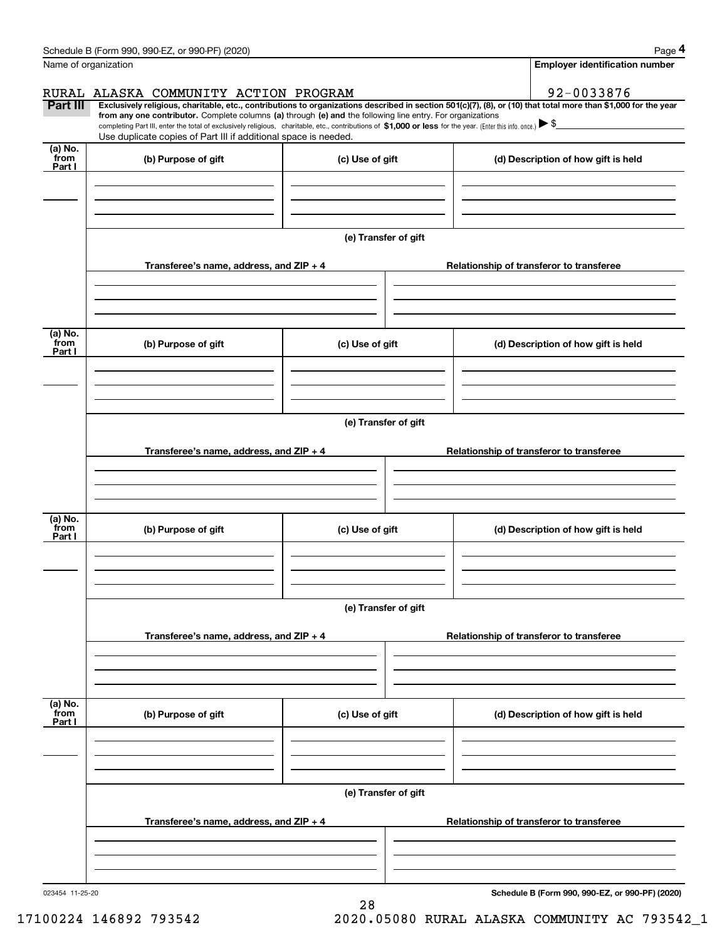|                           | Schedule B (Form 990, 990-EZ, or 990-PF) (2020)                                                                                                                                                                                                                              |                      |  | Page 4                                   |  |  |  |  |
|---------------------------|------------------------------------------------------------------------------------------------------------------------------------------------------------------------------------------------------------------------------------------------------------------------------|----------------------|--|------------------------------------------|--|--|--|--|
| Name of organization      |                                                                                                                                                                                                                                                                              |                      |  | <b>Employer identification number</b>    |  |  |  |  |
|                           | RURAL ALASKA COMMUNITY ACTION PROGRAM                                                                                                                                                                                                                                        |                      |  | 92-0033876                               |  |  |  |  |
| Part III                  | Exclusively religious, charitable, etc., contributions to organizations described in section 501(c)(7), (8), or (10) that total more than \$1,000 for the year<br>from any one contributor. Complete columns (a) through (e) and the following line entry. For organizations |                      |  |                                          |  |  |  |  |
|                           | completing Part III, enter the total of exclusively religious, charitable, etc., contributions of \$1,000 or less for the year. (Enter this info. once.) $\blacktriangleright$ \$<br>Use duplicate copies of Part III if additional space is needed.                         |                      |  |                                          |  |  |  |  |
| (a) No.<br>from           |                                                                                                                                                                                                                                                                              |                      |  |                                          |  |  |  |  |
| Part I                    | (b) Purpose of gift                                                                                                                                                                                                                                                          | (c) Use of gift      |  | (d) Description of how gift is held      |  |  |  |  |
|                           |                                                                                                                                                                                                                                                                              |                      |  |                                          |  |  |  |  |
|                           |                                                                                                                                                                                                                                                                              |                      |  |                                          |  |  |  |  |
|                           |                                                                                                                                                                                                                                                                              |                      |  |                                          |  |  |  |  |
|                           |                                                                                                                                                                                                                                                                              | (e) Transfer of gift |  |                                          |  |  |  |  |
|                           | Transferee's name, address, and ZIP + 4                                                                                                                                                                                                                                      |                      |  | Relationship of transferor to transferee |  |  |  |  |
|                           |                                                                                                                                                                                                                                                                              |                      |  |                                          |  |  |  |  |
|                           |                                                                                                                                                                                                                                                                              |                      |  |                                          |  |  |  |  |
| (a) No.                   |                                                                                                                                                                                                                                                                              |                      |  |                                          |  |  |  |  |
| from<br>Part I            | (b) Purpose of gift                                                                                                                                                                                                                                                          | (c) Use of gift      |  | (d) Description of how gift is held      |  |  |  |  |
|                           |                                                                                                                                                                                                                                                                              |                      |  |                                          |  |  |  |  |
|                           |                                                                                                                                                                                                                                                                              |                      |  |                                          |  |  |  |  |
|                           |                                                                                                                                                                                                                                                                              |                      |  |                                          |  |  |  |  |
|                           | (e) Transfer of gift                                                                                                                                                                                                                                                         |                      |  |                                          |  |  |  |  |
|                           | Transferee's name, address, and ZIP + 4                                                                                                                                                                                                                                      |                      |  | Relationship of transferor to transferee |  |  |  |  |
|                           |                                                                                                                                                                                                                                                                              |                      |  |                                          |  |  |  |  |
|                           |                                                                                                                                                                                                                                                                              |                      |  |                                          |  |  |  |  |
| (a) No.                   |                                                                                                                                                                                                                                                                              |                      |  |                                          |  |  |  |  |
| from<br>Part I            | (b) Purpose of gift                                                                                                                                                                                                                                                          | (c) Use of gift      |  | (d) Description of how gift is held      |  |  |  |  |
|                           |                                                                                                                                                                                                                                                                              |                      |  |                                          |  |  |  |  |
|                           |                                                                                                                                                                                                                                                                              |                      |  |                                          |  |  |  |  |
|                           |                                                                                                                                                                                                                                                                              |                      |  |                                          |  |  |  |  |
|                           |                                                                                                                                                                                                                                                                              | (e) Transfer of gift |  |                                          |  |  |  |  |
|                           | Transferee's name, address, and ZIP + 4                                                                                                                                                                                                                                      |                      |  | Relationship of transferor to transferee |  |  |  |  |
|                           |                                                                                                                                                                                                                                                                              |                      |  |                                          |  |  |  |  |
|                           |                                                                                                                                                                                                                                                                              |                      |  |                                          |  |  |  |  |
|                           |                                                                                                                                                                                                                                                                              |                      |  |                                          |  |  |  |  |
| (a) No.<br>from<br>Part I | (b) Purpose of gift                                                                                                                                                                                                                                                          | (c) Use of gift      |  | (d) Description of how gift is held      |  |  |  |  |
|                           |                                                                                                                                                                                                                                                                              |                      |  |                                          |  |  |  |  |
|                           |                                                                                                                                                                                                                                                                              |                      |  |                                          |  |  |  |  |
|                           |                                                                                                                                                                                                                                                                              |                      |  |                                          |  |  |  |  |
|                           |                                                                                                                                                                                                                                                                              | (e) Transfer of gift |  |                                          |  |  |  |  |
|                           | Transferee's name, address, and ZIP + 4                                                                                                                                                                                                                                      |                      |  | Relationship of transferor to transferee |  |  |  |  |
|                           |                                                                                                                                                                                                                                                                              |                      |  |                                          |  |  |  |  |
|                           |                                                                                                                                                                                                                                                                              |                      |  |                                          |  |  |  |  |
|                           |                                                                                                                                                                                                                                                                              |                      |  |                                          |  |  |  |  |

28

023454 11-25-20

**Schedule B (Form 990, 990-EZ, or 990-PF) (2020)**

17100224 146892 793542 2020.05080 RURAL ALASKA COMMUNITY AC 793542\_1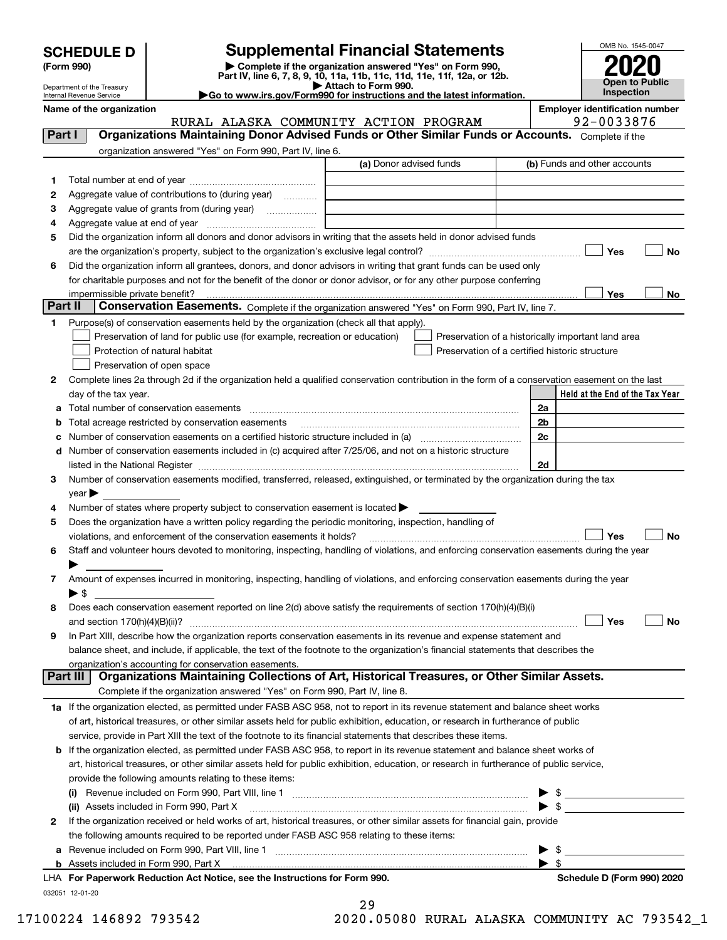| <b>SCHEDULE D</b> |  |
|-------------------|--|
|-------------------|--|

| (Form 990) |  |
|------------|--|
|------------|--|

## **SCHEDULE D Supplemental Financial Statements**

(Form 990)<br>
Pepartment of the Treasury<br>
Department of the Treasury<br>
Department of the Treasury<br>
Department of the Treasury<br> **Co to www.irs.gov/Form990 for instructions and the latest information.**<br> **Co to www.irs.gov/Form9** 



Department of the Treasury Internal Revenue Service

**Name of the organization Employer identification number**

RURAL ALASKA COMMUNITY ACTION PROGRAM 92-0033876

| Part I  | Organizations Maintaining Donor Advised Funds or Other Similar Funds or Accounts. Complete if the                                                              |                         |                                                    |
|---------|----------------------------------------------------------------------------------------------------------------------------------------------------------------|-------------------------|----------------------------------------------------|
|         | organization answered "Yes" on Form 990, Part IV, line 6.                                                                                                      |                         |                                                    |
|         |                                                                                                                                                                | (a) Donor advised funds | (b) Funds and other accounts                       |
| 1       |                                                                                                                                                                |                         |                                                    |
| 2       | Aggregate value of contributions to (during year)                                                                                                              |                         |                                                    |
| 3       |                                                                                                                                                                |                         |                                                    |
| 4       |                                                                                                                                                                |                         |                                                    |
| 5       | Did the organization inform all donors and donor advisors in writing that the assets held in donor advised funds                                               |                         |                                                    |
|         |                                                                                                                                                                |                         | Yes<br>No                                          |
| 6       | Did the organization inform all grantees, donors, and donor advisors in writing that grant funds can be used only                                              |                         |                                                    |
|         | for charitable purposes and not for the benefit of the donor or donor advisor, or for any other purpose conferring                                             |                         |                                                    |
|         | impermissible private benefit? использовании положительно положительно положительно положительно положительно                                                  |                         | Yes<br>No                                          |
| Part II | Conservation Easements. Complete if the organization answered "Yes" on Form 990, Part IV, line 7.                                                              |                         |                                                    |
| 1.      | Purpose(s) of conservation easements held by the organization (check all that apply).                                                                          |                         |                                                    |
|         | Preservation of land for public use (for example, recreation or education)                                                                                     |                         | Preservation of a historically important land area |
|         | Protection of natural habitat                                                                                                                                  |                         | Preservation of a certified historic structure     |
|         | Preservation of open space                                                                                                                                     |                         |                                                    |
| 2       | Complete lines 2a through 2d if the organization held a qualified conservation contribution in the form of a conservation easement on the last                 |                         |                                                    |
|         | day of the tax year.                                                                                                                                           |                         | Held at the End of the Tax Year                    |
| а       | Total number of conservation easements                                                                                                                         |                         | 2a                                                 |
| b       | Total acreage restricted by conservation easements                                                                                                             |                         | 2b                                                 |
|         |                                                                                                                                                                |                         | 2c                                                 |
|         | d Number of conservation easements included in (c) acquired after 7/25/06, and not on a historic structure                                                     |                         |                                                    |
|         |                                                                                                                                                                |                         | 2d                                                 |
| 3       | Number of conservation easements modified, transferred, released, extinguished, or terminated by the organization during the tax                               |                         |                                                    |
|         | year                                                                                                                                                           |                         |                                                    |
| 4       | Number of states where property subject to conservation easement is located >                                                                                  |                         |                                                    |
| 5       | Does the organization have a written policy regarding the periodic monitoring, inspection, handling of                                                         |                         |                                                    |
|         | violations, and enforcement of the conservation easements it holds?                                                                                            |                         | Yes<br>No                                          |
| 6       | Staff and volunteer hours devoted to monitoring, inspecting, handling of violations, and enforcing conservation easements during the year                      |                         |                                                    |
|         |                                                                                                                                                                |                         |                                                    |
| 7       | Amount of expenses incurred in monitoring, inspecting, handling of violations, and enforcing conservation easements during the year<br>$\blacktriangleright$ S |                         |                                                    |
| 8       | Does each conservation easement reported on line 2(d) above satisfy the requirements of section 170(h)(4)(B)(i)                                                |                         |                                                    |
|         |                                                                                                                                                                |                         | Yes<br>No                                          |
| 9       | In Part XIII, describe how the organization reports conservation easements in its revenue and expense statement and                                            |                         |                                                    |
|         | balance sheet, and include, if applicable, the text of the footnote to the organization's financial statements that describes the                              |                         |                                                    |
|         | organization's accounting for conservation easements.                                                                                                          |                         |                                                    |
|         | Organizations Maintaining Collections of Art, Historical Treasures, or Other Similar Assets.<br>Part III                                                       |                         |                                                    |
|         | Complete if the organization answered "Yes" on Form 990, Part IV, line 8.                                                                                      |                         |                                                    |
|         | 1a If the organization elected, as permitted under FASB ASC 958, not to report in its revenue statement and balance sheet works                                |                         |                                                    |
|         | of art, historical treasures, or other similar assets held for public exhibition, education, or research in furtherance of public                              |                         |                                                    |
|         | service, provide in Part XIII the text of the footnote to its financial statements that describes these items.                                                 |                         |                                                    |
|         | <b>b</b> If the organization elected, as permitted under FASB ASC 958, to report in its revenue statement and balance sheet works of                           |                         |                                                    |
|         | art, historical treasures, or other similar assets held for public exhibition, education, or research in furtherance of public service,                        |                         |                                                    |
|         | provide the following amounts relating to these items:                                                                                                         |                         |                                                    |
|         | (i)                                                                                                                                                            |                         | $\frac{1}{2}$                                      |
|         | (ii) Assets included in Form 990, Part X                                                                                                                       |                         | $\blacktriangleright$ \$                           |
| 2       | If the organization received or held works of art, historical treasures, or other similar assets for financial gain, provide                                   |                         |                                                    |
|         | the following amounts required to be reported under FASB ASC 958 relating to these items:                                                                      |                         |                                                    |
| а       |                                                                                                                                                                |                         | \$                                                 |
|         |                                                                                                                                                                |                         | $\blacktriangleright$ s                            |
|         | LHA For Paperwork Reduction Act Notice, see the Instructions for Form 990.                                                                                     |                         | Schedule D (Form 990) 2020                         |
|         | 032051 12-01-20                                                                                                                                                |                         |                                                    |

| 29 |  |                                                             |  |
|----|--|-------------------------------------------------------------|--|
| `` |  | $\mathbf{a} = \mathbf{a} \cdot \mathbf{a} \cdot \mathbf{a}$ |  |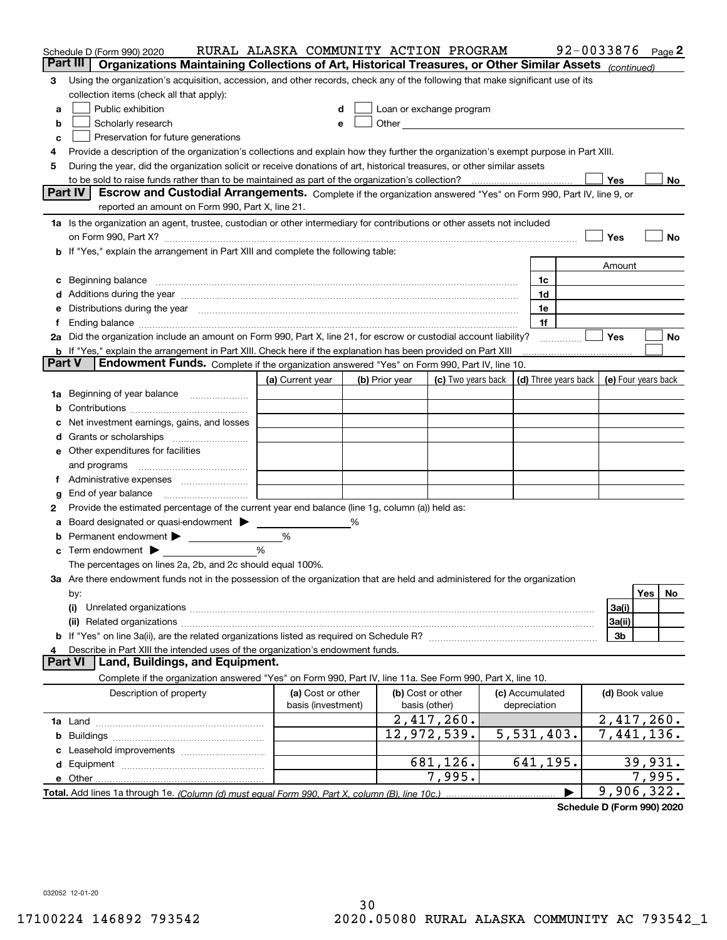|        | Schedule D (Form 990) 2020                                                                                                                                                                                                                                                                                                                           | RURAL ALASKA COMMUNITY ACTION PROGRAM   |   |                |                                                      |  |                                 |  | 92-0033876          |         | Page 2 |
|--------|------------------------------------------------------------------------------------------------------------------------------------------------------------------------------------------------------------------------------------------------------------------------------------------------------------------------------------------------------|-----------------------------------------|---|----------------|------------------------------------------------------|--|---------------------------------|--|---------------------|---------|--------|
|        | Part III<br>Organizations Maintaining Collections of Art, Historical Treasures, or Other Similar Assets (continued)                                                                                                                                                                                                                                  |                                         |   |                |                                                      |  |                                 |  |                     |         |        |
| 3      | Using the organization's acquisition, accession, and other records, check any of the following that make significant use of its                                                                                                                                                                                                                      |                                         |   |                |                                                      |  |                                 |  |                     |         |        |
|        | collection items (check all that apply):                                                                                                                                                                                                                                                                                                             |                                         |   |                |                                                      |  |                                 |  |                     |         |        |
| a      | Public exhibition                                                                                                                                                                                                                                                                                                                                    | d                                       |   |                | Loan or exchange program                             |  |                                 |  |                     |         |        |
| b      | Scholarly research                                                                                                                                                                                                                                                                                                                                   | e                                       |   |                | Other <b>Committee Committee Committee Committee</b> |  |                                 |  |                     |         |        |
| c      | Preservation for future generations                                                                                                                                                                                                                                                                                                                  |                                         |   |                |                                                      |  |                                 |  |                     |         |        |
| 4      | Provide a description of the organization's collections and explain how they further the organization's exempt purpose in Part XIII.                                                                                                                                                                                                                 |                                         |   |                |                                                      |  |                                 |  |                     |         |        |
| 5      | During the year, did the organization solicit or receive donations of art, historical treasures, or other similar assets                                                                                                                                                                                                                             |                                         |   |                |                                                      |  |                                 |  |                     |         |        |
|        | to be sold to raise funds rather than to be maintained as part of the organization's collection?                                                                                                                                                                                                                                                     |                                         |   |                |                                                      |  |                                 |  | Yes                 |         | No     |
|        | <b>Part IV</b><br>Escrow and Custodial Arrangements. Complete if the organization answered "Yes" on Form 990, Part IV, line 9, or                                                                                                                                                                                                                    |                                         |   |                |                                                      |  |                                 |  |                     |         |        |
|        | reported an amount on Form 990, Part X, line 21.                                                                                                                                                                                                                                                                                                     |                                         |   |                |                                                      |  |                                 |  |                     |         |        |
|        | 1a Is the organization an agent, trustee, custodian or other intermediary for contributions or other assets not included                                                                                                                                                                                                                             |                                         |   |                |                                                      |  |                                 |  |                     |         |        |
|        | on Form 990, Part X? [11] matter and the contract of the contract of the contract of the contract of the contract of the contract of the contract of the contract of the contract of the contract of the contract of the contr                                                                                                                       |                                         |   |                |                                                      |  |                                 |  | Yes                 |         | No     |
|        | If "Yes," explain the arrangement in Part XIII and complete the following table:                                                                                                                                                                                                                                                                     |                                         |   |                |                                                      |  |                                 |  |                     |         |        |
|        |                                                                                                                                                                                                                                                                                                                                                      |                                         |   |                |                                                      |  |                                 |  | Amount              |         |        |
| c      | Beginning balance                                                                                                                                                                                                                                                                                                                                    |                                         |   |                |                                                      |  | 1c                              |  |                     |         |        |
| d      | Additions during the year manufactured and an annual contract of the year manufactured and a set of the year manufactured and a set of the year manufactured and a set of the year manufactured and a set of the set of the se                                                                                                                       |                                         |   |                |                                                      |  | 1d                              |  |                     |         |        |
| е      | Distributions during the year measurement contains and all the state of the state of the state of the state of                                                                                                                                                                                                                                       |                                         |   |                |                                                      |  | 1e                              |  |                     |         |        |
|        | Ending balance manufactured and contact the contract of the contract of the contract of the contract of the contract of the contract of the contract of the contract of the contract of the contract of the contract of the co<br>2a Did the organization include an amount on Form 990, Part X, line 21, for escrow or custodial account liability? |                                         |   |                |                                                      |  | 1f                              |  | Yes                 |         | No     |
|        | <b>b</b> If "Yes," explain the arrangement in Part XIII. Check here if the explanation has been provided on Part XIII                                                                                                                                                                                                                                |                                         |   |                |                                                      |  |                                 |  |                     |         |        |
| Part V | Endowment Funds. Complete if the organization answered "Yes" on Form 990, Part IV, line 10.                                                                                                                                                                                                                                                          |                                         |   |                |                                                      |  |                                 |  |                     |         |        |
|        |                                                                                                                                                                                                                                                                                                                                                      | (a) Current year                        |   | (b) Prior year | (c) Two years back                                   |  | (d) Three years back            |  | (e) Four years back |         |        |
| 1a     | Beginning of year balance                                                                                                                                                                                                                                                                                                                            |                                         |   |                |                                                      |  |                                 |  |                     |         |        |
| b      |                                                                                                                                                                                                                                                                                                                                                      |                                         |   |                |                                                      |  |                                 |  |                     |         |        |
|        | Net investment earnings, gains, and losses                                                                                                                                                                                                                                                                                                           |                                         |   |                |                                                      |  |                                 |  |                     |         |        |
| a      |                                                                                                                                                                                                                                                                                                                                                      |                                         |   |                |                                                      |  |                                 |  |                     |         |        |
| е      | Other expenditures for facilities                                                                                                                                                                                                                                                                                                                    |                                         |   |                |                                                      |  |                                 |  |                     |         |        |
|        | and programs                                                                                                                                                                                                                                                                                                                                         |                                         |   |                |                                                      |  |                                 |  |                     |         |        |
| 1.     | Administrative expenses                                                                                                                                                                                                                                                                                                                              |                                         |   |                |                                                      |  |                                 |  |                     |         |        |
| g      | End of year balance                                                                                                                                                                                                                                                                                                                                  |                                         |   |                |                                                      |  |                                 |  |                     |         |        |
| 2      | Provide the estimated percentage of the current year end balance (line 1g, column (a)) held as:                                                                                                                                                                                                                                                      |                                         |   |                |                                                      |  |                                 |  |                     |         |        |
|        | Board designated or quasi-endowment > ____                                                                                                                                                                                                                                                                                                           |                                         | % |                |                                                      |  |                                 |  |                     |         |        |
| b      |                                                                                                                                                                                                                                                                                                                                                      | %                                       |   |                |                                                      |  |                                 |  |                     |         |        |
| c      | Term endowment $\blacktriangleright$                                                                                                                                                                                                                                                                                                                 | %                                       |   |                |                                                      |  |                                 |  |                     |         |        |
|        | The percentages on lines 2a, 2b, and 2c should equal 100%.                                                                                                                                                                                                                                                                                           |                                         |   |                |                                                      |  |                                 |  |                     |         |        |
|        | 3a Are there endowment funds not in the possession of the organization that are held and administered for the organization                                                                                                                                                                                                                           |                                         |   |                |                                                      |  |                                 |  |                     |         |        |
|        | by:                                                                                                                                                                                                                                                                                                                                                  |                                         |   |                |                                                      |  |                                 |  |                     | Yes     | No     |
|        | (i)                                                                                                                                                                                                                                                                                                                                                  |                                         |   |                |                                                      |  |                                 |  | 3a(i)               |         |        |
|        | 3a(ii)                                                                                                                                                                                                                                                                                                                                               |                                         |   |                |                                                      |  |                                 |  |                     |         |        |
|        |                                                                                                                                                                                                                                                                                                                                                      |                                         |   |                |                                                      |  |                                 |  | 3b                  |         |        |
|        | Describe in Part XIII the intended uses of the organization's endowment funds.<br>Land, Buildings, and Equipment.<br><b>Part VI</b>                                                                                                                                                                                                                  |                                         |   |                |                                                      |  |                                 |  |                     |         |        |
|        |                                                                                                                                                                                                                                                                                                                                                      |                                         |   |                |                                                      |  |                                 |  |                     |         |        |
|        | Complete if the organization answered "Yes" on Form 990, Part IV, line 11a. See Form 990, Part X, line 10.                                                                                                                                                                                                                                           |                                         |   |                |                                                      |  |                                 |  |                     |         |        |
|        | Description of property                                                                                                                                                                                                                                                                                                                              | (a) Cost or other<br>basis (investment) |   |                | (b) Cost or other<br>basis (other)                   |  | (c) Accumulated<br>depreciation |  | (d) Book value      |         |        |
|        |                                                                                                                                                                                                                                                                                                                                                      |                                         |   |                | 2,417,260.                                           |  |                                 |  | 2,417,260.          |         |        |
| b      |                                                                                                                                                                                                                                                                                                                                                      |                                         |   |                | 12,972,539.                                          |  | 5,531,403.                      |  | 7,441,136.          |         |        |
|        |                                                                                                                                                                                                                                                                                                                                                      |                                         |   |                |                                                      |  |                                 |  |                     |         |        |
|        |                                                                                                                                                                                                                                                                                                                                                      |                                         |   |                | 681,126.                                             |  | 641,195.                        |  |                     | 39,931. |        |
|        | e Other                                                                                                                                                                                                                                                                                                                                              |                                         |   |                | 7,995.                                               |  |                                 |  |                     | 7,995.  |        |
|        | Total. Add lines 1a through 1e. (Column (d) must equal Form 990. Part X, column (B), line 10c.)                                                                                                                                                                                                                                                      |                                         |   |                |                                                      |  |                                 |  | 9,906,322.          |         |        |

**Schedule D (Form 990) 2020**

032052 12-01-20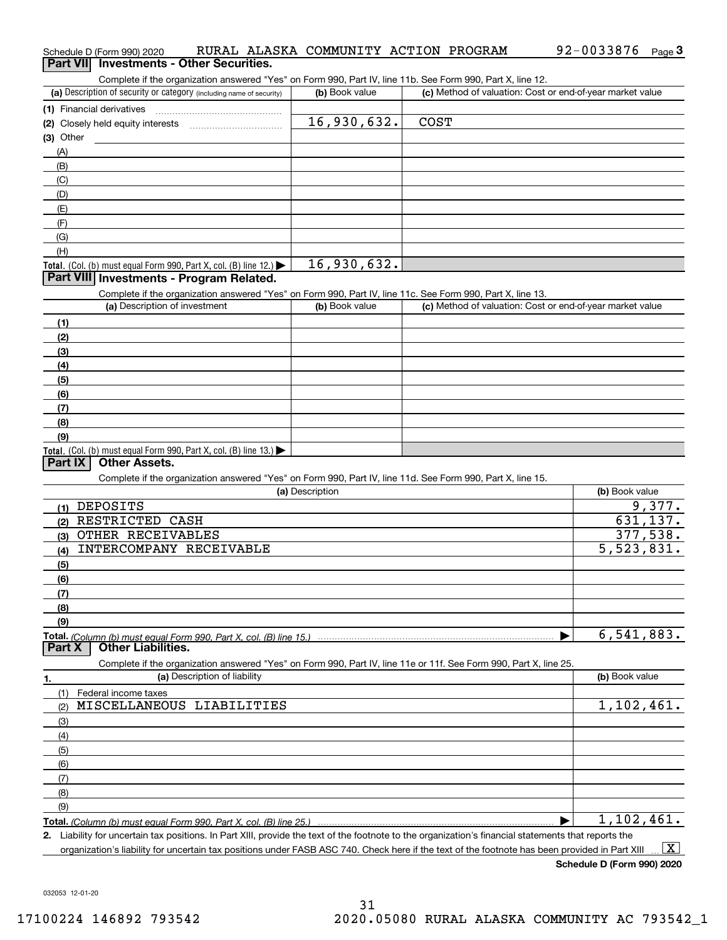| Complete if the organization answered "Yes" on Form 990, Part IV, line 11b. See Form 990, Part X, line 12.        |                 |                                                           |                         |
|-------------------------------------------------------------------------------------------------------------------|-----------------|-----------------------------------------------------------|-------------------------|
| (a) Description of security or category (including name of security)                                              | (b) Book value  | (c) Method of valuation: Cost or end-of-year market value |                         |
| (1) Financial derivatives                                                                                         |                 |                                                           |                         |
| (2) Closely held equity interests [11] [2] Closely held equity interests                                          | 16,930,632.     | <b>COST</b>                                               |                         |
| $(3)$ Other                                                                                                       |                 |                                                           |                         |
| (A)                                                                                                               |                 |                                                           |                         |
| (B)                                                                                                               |                 |                                                           |                         |
| (C)                                                                                                               |                 |                                                           |                         |
| (D)                                                                                                               |                 |                                                           |                         |
| (E)                                                                                                               |                 |                                                           |                         |
| (F)                                                                                                               |                 |                                                           |                         |
| (G)                                                                                                               |                 |                                                           |                         |
| (H)                                                                                                               |                 |                                                           |                         |
| Total. (Col. (b) must equal Form 990, Part X, col. (B) line 12.) $\blacktriangleright$                            | 16,930,632.     |                                                           |                         |
| Part VIII Investments - Program Related.                                                                          |                 |                                                           |                         |
| Complete if the organization answered "Yes" on Form 990, Part IV, line 11c. See Form 990, Part X, line 13.        |                 |                                                           |                         |
| (a) Description of investment                                                                                     | (b) Book value  | (c) Method of valuation: Cost or end-of-year market value |                         |
| (1)                                                                                                               |                 |                                                           |                         |
| (2)                                                                                                               |                 |                                                           |                         |
| (3)                                                                                                               |                 |                                                           |                         |
| (4)                                                                                                               |                 |                                                           |                         |
| (5)                                                                                                               |                 |                                                           |                         |
| (6)                                                                                                               |                 |                                                           |                         |
|                                                                                                                   |                 |                                                           |                         |
| (7)                                                                                                               |                 |                                                           |                         |
| (8)                                                                                                               |                 |                                                           |                         |
| (9)                                                                                                               |                 |                                                           |                         |
| Total. (Col. (b) must equal Form 990, Part X, col. (B) line 13.)<br><b>Other Assets.</b><br>Part $ X $            |                 |                                                           |                         |
|                                                                                                                   |                 |                                                           |                         |
| Complete if the organization answered "Yes" on Form 990, Part IV, line 11d. See Form 990, Part X, line 15.        | (a) Description |                                                           | (b) Book value          |
|                                                                                                                   |                 |                                                           |                         |
| (1) DEPOSITS                                                                                                      |                 |                                                           | 9,377.                  |
| (2) RESTRICTED CASH                                                                                               |                 |                                                           | 631, 137.               |
| (3) OTHER RECEIVABLES                                                                                             |                 |                                                           | 377,538.                |
| INTERCOMPANY RECEIVABLE<br>(4)                                                                                    |                 |                                                           | $\overline{5,523,831.}$ |
| (5)                                                                                                               |                 |                                                           |                         |
| (6)                                                                                                               |                 |                                                           |                         |
| (7)                                                                                                               |                 |                                                           |                         |
| (8)                                                                                                               |                 |                                                           |                         |
| (9)                                                                                                               |                 |                                                           |                         |
|                                                                                                                   |                 |                                                           | 6, 541, 883.            |
| <b>Other Liabilities.</b><br>Part X                                                                               |                 |                                                           |                         |
| Complete if the organization answered "Yes" on Form 990, Part IV, line 11e or 11f. See Form 990, Part X, line 25. |                 |                                                           |                         |
| (a) Description of liability<br>1.                                                                                |                 |                                                           | (b) Book value          |
| (1)<br>Federal income taxes                                                                                       |                 |                                                           |                         |
| MISCELLANEOUS LIABILITIES<br>(2)                                                                                  |                 |                                                           | 1,102,461.              |
| (3)                                                                                                               |                 |                                                           |                         |
| (4)                                                                                                               |                 |                                                           |                         |
| (5)                                                                                                               |                 |                                                           |                         |
| (6)                                                                                                               |                 |                                                           |                         |
|                                                                                                                   |                 |                                                           |                         |
| (7)                                                                                                               |                 |                                                           |                         |
| (8)                                                                                                               |                 |                                                           |                         |
|                                                                                                                   |                 |                                                           |                         |
| (9)                                                                                                               |                 |                                                           | 1,102,461.              |

organization's liability for uncertain tax positions under FASB ASC 740. Check here if the text of the footnote has been provided in Part XIII.  $\boxed{\text{X}}$ 

**Schedule D (Form 990) 2020**

032053 12-01-20

| Schedule D (Form 990) 2020                      |  | RURAL ALASKA COMMUNITY ACTION PROGRAM |  | 92-0033876 | $P$ aqe $3$ |
|-------------------------------------------------|--|---------------------------------------|--|------------|-------------|
| <b>Part VII</b> Investments - Other Securities. |  |                                       |  |            |             |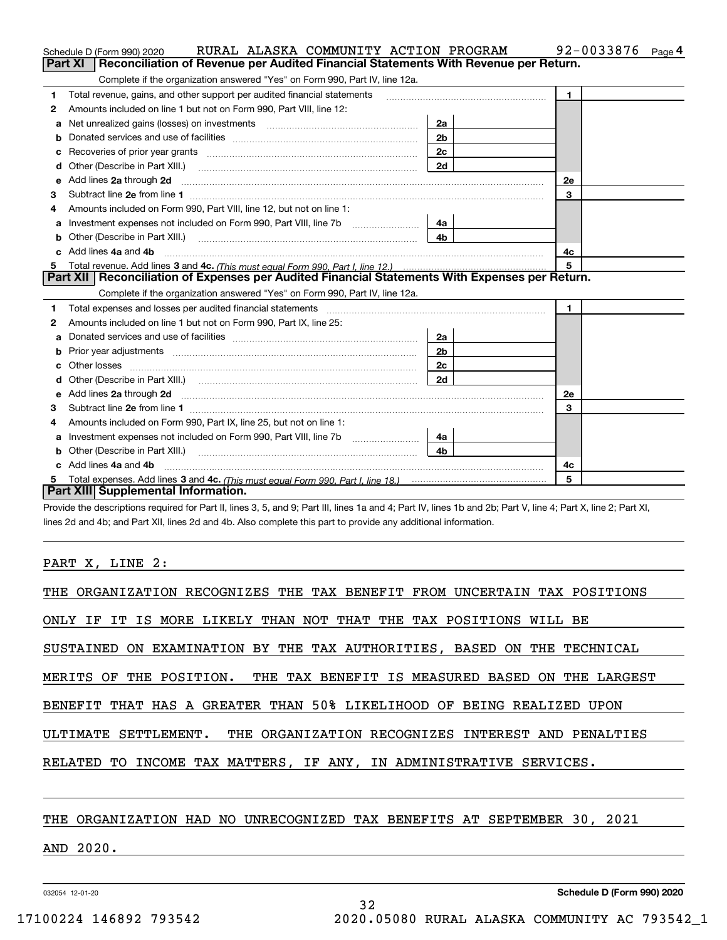|    | RURAL ALASKA COMMUNITY ACTION PROGRAM<br>Schedule D (Form 990) 2020                                                    |                | 92-0033876<br>Page 4 |  |  |  |  |  |
|----|------------------------------------------------------------------------------------------------------------------------|----------------|----------------------|--|--|--|--|--|
|    | Reconciliation of Revenue per Audited Financial Statements With Revenue per Return.<br>Part XI                         |                |                      |  |  |  |  |  |
|    | Complete if the organization answered "Yes" on Form 990, Part IV, line 12a.                                            |                |                      |  |  |  |  |  |
| 1  | Total revenue, gains, and other support per audited financial statements                                               |                | $\mathbf{1}$         |  |  |  |  |  |
| 2  | Amounts included on line 1 but not on Form 990, Part VIII, line 12:                                                    |                |                      |  |  |  |  |  |
| a  |                                                                                                                        | 2a             |                      |  |  |  |  |  |
|    |                                                                                                                        | 2 <sub>b</sub> |                      |  |  |  |  |  |
|    |                                                                                                                        | 2c             |                      |  |  |  |  |  |
| d  |                                                                                                                        | 2d             |                      |  |  |  |  |  |
| е  | Add lines 2a through 2d                                                                                                |                | <b>2e</b>            |  |  |  |  |  |
| 3  |                                                                                                                        |                | 3                    |  |  |  |  |  |
| 4  | Amounts included on Form 990, Part VIII, line 12, but not on line 1:                                                   |                |                      |  |  |  |  |  |
|    | Investment expenses not included on Form 990, Part VIII, line 7b [1000000000000000000000000000000000                   | 4a             |                      |  |  |  |  |  |
| b  |                                                                                                                        | 4 <sub>b</sub> |                      |  |  |  |  |  |
| c. | Add lines 4a and 4b                                                                                                    |                | 4с                   |  |  |  |  |  |
| 5  |                                                                                                                        |                | 5                    |  |  |  |  |  |
|    | Part XII   Reconciliation of Expenses per Audited Financial Statements With Expenses per Return.                       |                |                      |  |  |  |  |  |
|    | Complete if the organization answered "Yes" on Form 990, Part IV, line 12a.                                            |                |                      |  |  |  |  |  |
| 1  |                                                                                                                        |                | $\mathbf{1}$         |  |  |  |  |  |
| 2  | Amounts included on line 1 but not on Form 990, Part IX, line 25:                                                      |                |                      |  |  |  |  |  |
| а  |                                                                                                                        | 2a             |                      |  |  |  |  |  |
| b  |                                                                                                                        | 2 <sub>b</sub> |                      |  |  |  |  |  |
|    |                                                                                                                        | 2c             |                      |  |  |  |  |  |
|    |                                                                                                                        | 2d             |                      |  |  |  |  |  |
| е  | Add lines 2a through 2d <b>contained a contained a contained a contained a</b> contained a contained a contact the set |                | 2e                   |  |  |  |  |  |
| з  |                                                                                                                        |                | 3                    |  |  |  |  |  |
| 4  | Amounts included on Form 990, Part IX, line 25, but not on line 1:                                                     |                |                      |  |  |  |  |  |
| a  |                                                                                                                        | 4a             |                      |  |  |  |  |  |
| b  |                                                                                                                        | 4b.            |                      |  |  |  |  |  |
|    | Add lines 4a and 4b                                                                                                    |                | 4c                   |  |  |  |  |  |
| 5  |                                                                                                                        |                | 5                    |  |  |  |  |  |
|    | Part XIII Supplemental Information.                                                                                    |                |                      |  |  |  |  |  |

Provide the descriptions required for Part II, lines 3, 5, and 9; Part III, lines 1a and 4; Part IV, lines 1b and 2b; Part V, line 4; Part X, line 2; Part XI, lines 2d and 4b; and Part XII, lines 2d and 4b. Also complete this part to provide any additional information.

#### PART X, LINE 2:

| THE ORGANIZATION RECOGNIZES THE TAX BENEFIT FROM UNCERTAIN TAX POSITIONS |  |  |  |  |  |
|--------------------------------------------------------------------------|--|--|--|--|--|
| ONLY IF IT IS MORE LIKELY THAN NOT THAT THE TAX POSITIONS WILL BE        |  |  |  |  |  |
| SUSTAINED ON EXAMINATION BY THE TAX AUTHORITIES, BASED ON THE TECHNICAL  |  |  |  |  |  |
| MERITS OF THE POSITION. THE TAX BENEFIT IS MEASURED BASED ON THE LARGEST |  |  |  |  |  |
| BENEFIT THAT HAS A GREATER THAN 50% LIKELIHOOD OF BEING REALIZED UPON    |  |  |  |  |  |
| ULTIMATE SETTLEMENT. THE ORGANIZATION RECOGNIZES INTEREST AND PENALTIES  |  |  |  |  |  |
| RELATED TO INCOME TAX MATTERS, IF ANY, IN ADMINISTRATIVE SERVICES.       |  |  |  |  |  |
|                                                                          |  |  |  |  |  |

### THE ORGANIZATION HAD NO UNRECOGNIZED TAX BENEFITS AT SEPTEMBER 30, 2021

### AND 2020.

032054 12-01-20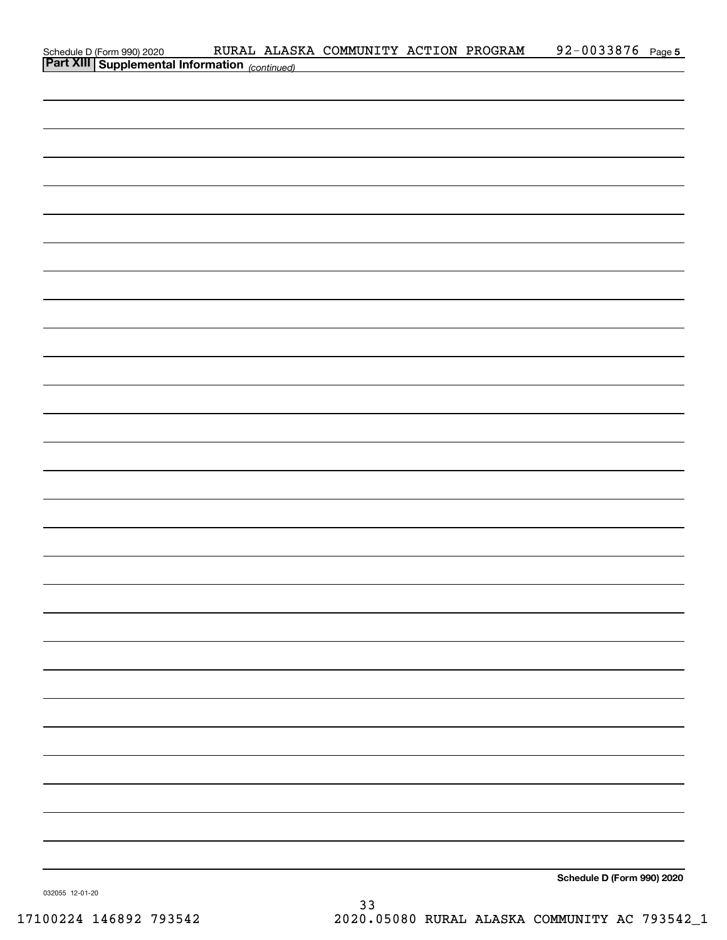| Schedule D (Form 990) 2020 RURAL ALASI<br><b>Part XIII   Supplemental Information</b> (continued)<br>Schedule D (Form 990) 2020 | RURAL ALASKA COMMUNITY ACTION PROGRAM |  | 92-0033876 Page 5 |  |
|---------------------------------------------------------------------------------------------------------------------------------|---------------------------------------|--|-------------------|--|
|                                                                                                                                 |                                       |  |                   |  |
|                                                                                                                                 |                                       |  |                   |  |
|                                                                                                                                 |                                       |  |                   |  |
|                                                                                                                                 |                                       |  |                   |  |
|                                                                                                                                 |                                       |  |                   |  |
|                                                                                                                                 |                                       |  |                   |  |
|                                                                                                                                 |                                       |  |                   |  |
|                                                                                                                                 |                                       |  |                   |  |
|                                                                                                                                 |                                       |  |                   |  |
|                                                                                                                                 |                                       |  |                   |  |
|                                                                                                                                 |                                       |  |                   |  |
|                                                                                                                                 |                                       |  |                   |  |
|                                                                                                                                 |                                       |  |                   |  |
|                                                                                                                                 |                                       |  |                   |  |
|                                                                                                                                 |                                       |  |                   |  |
|                                                                                                                                 |                                       |  |                   |  |
|                                                                                                                                 |                                       |  |                   |  |
|                                                                                                                                 |                                       |  |                   |  |
|                                                                                                                                 |                                       |  |                   |  |
|                                                                                                                                 |                                       |  |                   |  |
|                                                                                                                                 |                                       |  |                   |  |
|                                                                                                                                 |                                       |  |                   |  |
|                                                                                                                                 |                                       |  |                   |  |
|                                                                                                                                 |                                       |  |                   |  |
|                                                                                                                                 |                                       |  |                   |  |
|                                                                                                                                 |                                       |  |                   |  |
|                                                                                                                                 |                                       |  |                   |  |
|                                                                                                                                 |                                       |  |                   |  |
|                                                                                                                                 |                                       |  |                   |  |
|                                                                                                                                 |                                       |  |                   |  |
|                                                                                                                                 |                                       |  |                   |  |
|                                                                                                                                 |                                       |  |                   |  |
|                                                                                                                                 |                                       |  |                   |  |
|                                                                                                                                 |                                       |  |                   |  |
|                                                                                                                                 |                                       |  |                   |  |
|                                                                                                                                 |                                       |  |                   |  |
|                                                                                                                                 |                                       |  |                   |  |
|                                                                                                                                 |                                       |  |                   |  |
|                                                                                                                                 |                                       |  |                   |  |
|                                                                                                                                 |                                       |  |                   |  |
|                                                                                                                                 |                                       |  |                   |  |
|                                                                                                                                 |                                       |  |                   |  |
|                                                                                                                                 |                                       |  |                   |  |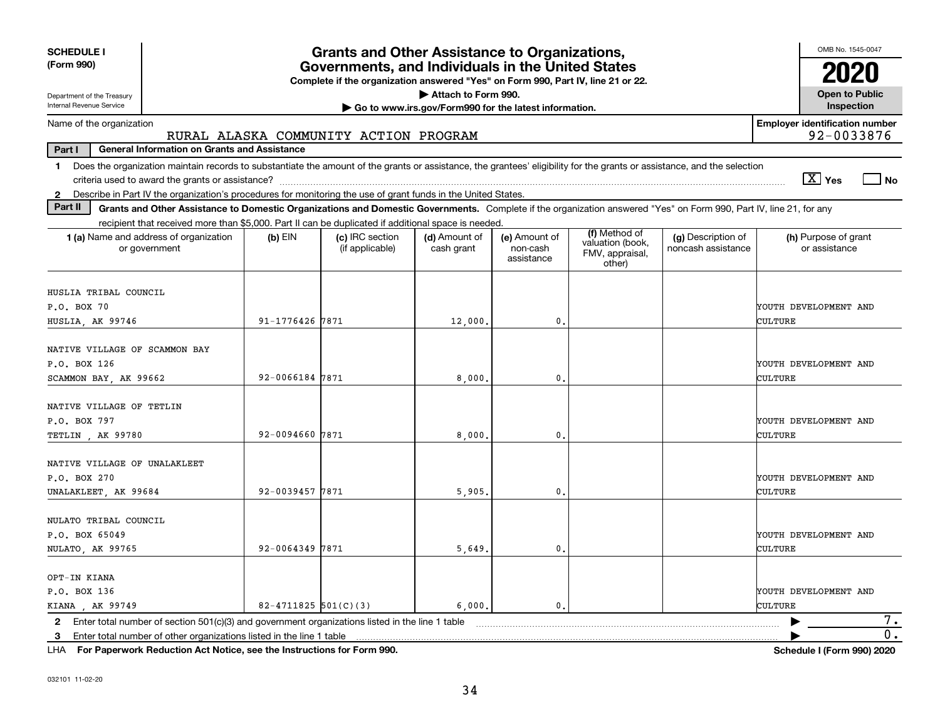| <b>SCHEDULE I</b>                                                                                                                                                                                                                                                         |                                                                                                                                       | <b>Grants and Other Assistance to Organizations,</b> |                                                       |                                         |                                                                |                                          | OMB No. 1545-0047                     |  |  |  |
|---------------------------------------------------------------------------------------------------------------------------------------------------------------------------------------------------------------------------------------------------------------------------|---------------------------------------------------------------------------------------------------------------------------------------|------------------------------------------------------|-------------------------------------------------------|-----------------------------------------|----------------------------------------------------------------|------------------------------------------|---------------------------------------|--|--|--|
| (Form 990)                                                                                                                                                                                                                                                                | Governments, and Individuals in the United States<br>Complete if the organization answered "Yes" on Form 990, Part IV, line 21 or 22. |                                                      |                                                       |                                         |                                                                |                                          |                                       |  |  |  |
| Department of the Treasury                                                                                                                                                                                                                                                | Attach to Form 990.<br><b>Open to Public</b>                                                                                          |                                                      |                                                       |                                         |                                                                |                                          |                                       |  |  |  |
| Internal Revenue Service                                                                                                                                                                                                                                                  |                                                                                                                                       |                                                      | Go to www.irs.gov/Form990 for the latest information. |                                         |                                                                |                                          | Inspection                            |  |  |  |
| Name of the organization                                                                                                                                                                                                                                                  | <b>Employer identification number</b><br>92-0033876<br>RURAL ALASKA COMMUNITY ACTION PROGRAM                                          |                                                      |                                                       |                                         |                                                                |                                          |                                       |  |  |  |
| Part I<br><b>General Information on Grants and Assistance</b>                                                                                                                                                                                                             |                                                                                                                                       |                                                      |                                                       |                                         |                                                                |                                          |                                       |  |  |  |
| Does the organization maintain records to substantiate the amount of the grants or assistance, the grantees' eligibility for the grants or assistance, and the selection<br>1.                                                                                            |                                                                                                                                       |                                                      |                                                       |                                         |                                                                |                                          | $\boxed{\text{X}}$ Yes<br>  No        |  |  |  |
| Describe in Part IV the organization's procedures for monitoring the use of grant funds in the United States.<br>$\mathbf{2}$<br>Part II                                                                                                                                  |                                                                                                                                       |                                                      |                                                       |                                         |                                                                |                                          |                                       |  |  |  |
| Grants and Other Assistance to Domestic Organizations and Domestic Governments. Complete if the organization answered "Yes" on Form 990, Part IV, line 21, for any<br>recipient that received more than \$5,000. Part II can be duplicated if additional space is needed. |                                                                                                                                       |                                                      |                                                       |                                         |                                                                |                                          |                                       |  |  |  |
| 1 (a) Name and address of organization<br>or government                                                                                                                                                                                                                   | $(b)$ EIN                                                                                                                             | (c) IRC section<br>(if applicable)                   | (d) Amount of<br>cash grant                           | (e) Amount of<br>non-cash<br>assistance | (f) Method of<br>valuation (book,<br>FMV, appraisal,<br>other) | (g) Description of<br>noncash assistance | (h) Purpose of grant<br>or assistance |  |  |  |
| HUSLIA TRIBAL COUNCIL                                                                                                                                                                                                                                                     |                                                                                                                                       |                                                      |                                                       |                                         |                                                                |                                          |                                       |  |  |  |
| P.O. BOX 70                                                                                                                                                                                                                                                               |                                                                                                                                       |                                                      |                                                       |                                         |                                                                |                                          | YOUTH DEVELOPMENT AND                 |  |  |  |
| HUSLIA, AK 99746                                                                                                                                                                                                                                                          | 91-1776426 7871                                                                                                                       |                                                      | 12,000.                                               | 0.                                      |                                                                |                                          | CULTURE                               |  |  |  |
| NATIVE VILLAGE OF SCAMMON BAY<br>P.O. BOX 126<br>SCAMMON BAY, AK 99662                                                                                                                                                                                                    | 92-0066184 7871                                                                                                                       |                                                      | 8,000                                                 | $\mathbf{0}$ .                          |                                                                |                                          | YOUTH DEVELOPMENT AND<br>CULTURE      |  |  |  |
| NATIVE VILLAGE OF TETLIN<br>P.O. BOX 797<br>TETLIN, AK 99780                                                                                                                                                                                                              | 92-0094660 7871                                                                                                                       |                                                      | 8,000                                                 | 0.                                      |                                                                |                                          | YOUTH DEVELOPMENT AND<br>CULTURE      |  |  |  |
| NATIVE VILLAGE OF UNALAKLEET<br>P.O. BOX 270<br>UNALAKLEET, AK 99684                                                                                                                                                                                                      | 92-0039457 7871                                                                                                                       |                                                      | 5,905                                                 | $\mathbf{0}$ .                          |                                                                |                                          | YOUTH DEVELOPMENT AND<br>CULTURE      |  |  |  |
| NULATO TRIBAL COUNCIL<br>P.O. BOX 65049<br>NULATO, AK 99765                                                                                                                                                                                                               | 92-0064349 7871                                                                                                                       |                                                      | 5,649                                                 | $\mathbf{0}$ .                          |                                                                |                                          | YOUTH DEVELOPMENT AND<br>CULTURE      |  |  |  |
| OPT-IN KIANA<br>P.O. BOX 136<br>KIANA, AK 99749                                                                                                                                                                                                                           | $82 - 4711825$ 501(C)(3)                                                                                                              |                                                      | 6,000.                                                | $\mathbf{0}$ .                          |                                                                |                                          | YOUTH DEVELOPMENT AND<br>CULTURE      |  |  |  |
| 7.<br>$\mathbf{2}$<br>$0$ .<br>3 Enter total number of other organizations listed in the line 1 table                                                                                                                                                                     |                                                                                                                                       |                                                      |                                                       |                                         |                                                                |                                          |                                       |  |  |  |

**For Paperwork Reduction Act Notice, see the Instructions for Form 990. Schedule I (Form 990) 2020** LHA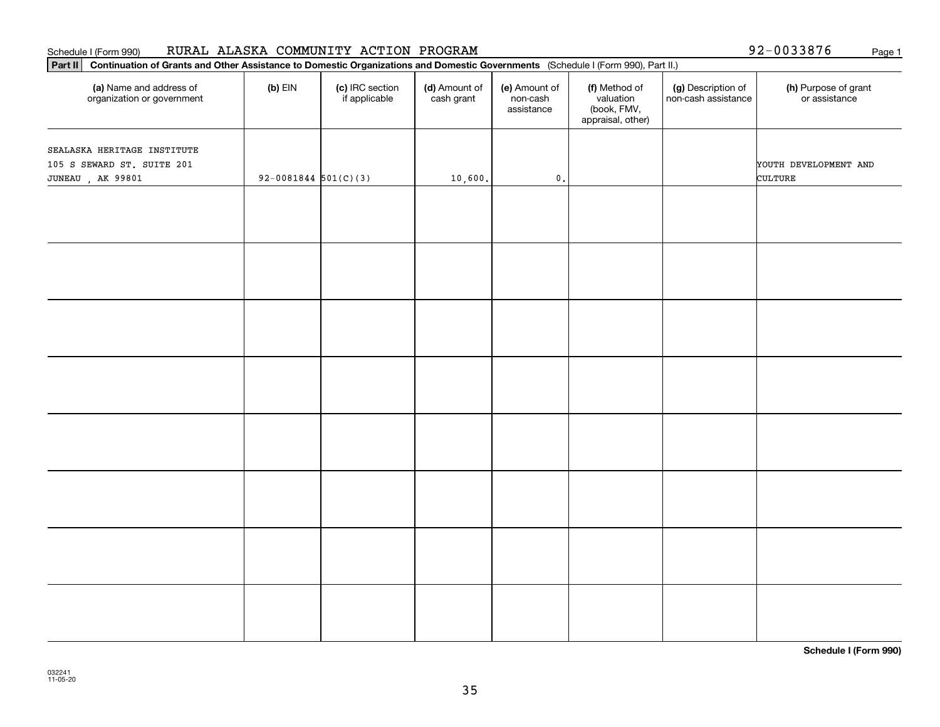# **Part II Continuation of Grants and Other Assistance to Domestic Organizations and Domestic Governments**  (Schedule I (Form 990), Part II.) **(a) (b) (c) (d) (e) (f) (g) (h)** Name and address of organization or government  $(b)$  EIN  $(c)$  IRC section if applicable (d) Amount of cash grant (e) Amount of non-cash assistance(f) Method of valuation (book, FMV, appraisal, other) (g) Description of non-cash assistance (h) Purpose of grant or assistance SEALASKA HERITAGE INSTITUTE 105 S SEWARD ST. SUITE 201 YOUTH DEVELOPMENT AND JUNEAU , AK 99801  $\begin{vmatrix} 92-0081844 & 501(C)(3) & 10,600 \end{vmatrix}$  0.

Schedule I (Form 990) Page 1 RURAL ALASKA COMMUNITY ACTION PROGRAM

**Schedule I (Form 990)**

92-0033876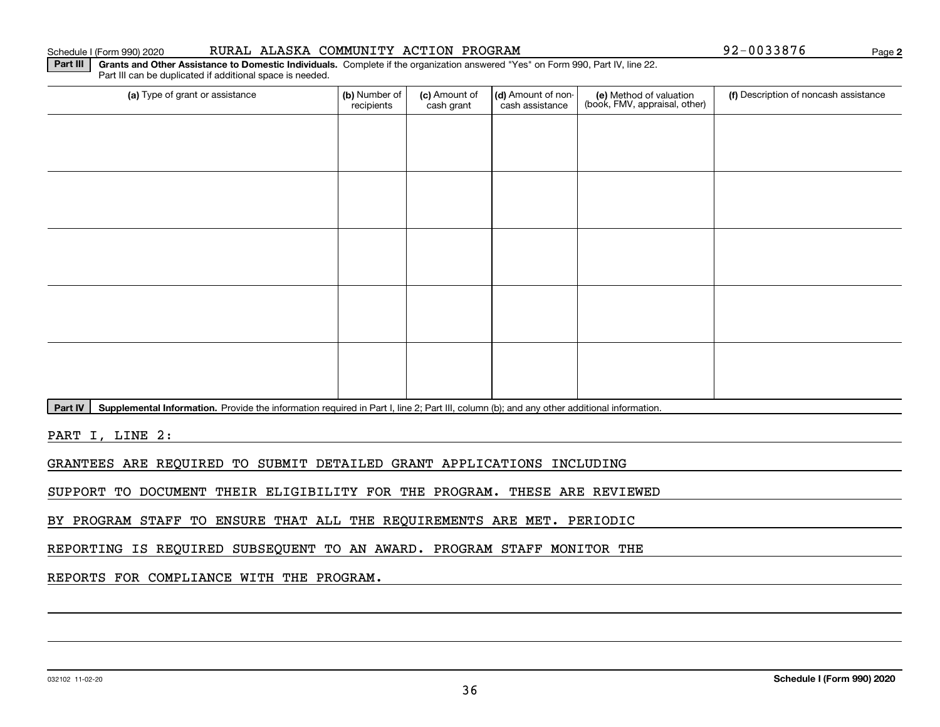#### Schedule I (Form 990) 2020 RURAL ALASKA COMMUNITY ACTION PROGRAM 9 2-0 0 3 3 8 7 6 Page

**2**

**Part III | Grants and Other Assistance to Domestic Individuals. Complete if the organization answered "Yes" on Form 990, Part IV, line 22.** Part III can be duplicated if additional space is needed.

| (a) Type of grant or assistance | (b) Number of<br>recipients | (c) Amount of<br>cash grant | (d) Amount of non-<br>cash assistance | (e) Method of valuation<br>(book, FMV, appraisal, other) | (f) Description of noncash assistance |
|---------------------------------|-----------------------------|-----------------------------|---------------------------------------|----------------------------------------------------------|---------------------------------------|
|                                 |                             |                             |                                       |                                                          |                                       |
|                                 |                             |                             |                                       |                                                          |                                       |
|                                 |                             |                             |                                       |                                                          |                                       |
|                                 |                             |                             |                                       |                                                          |                                       |
|                                 |                             |                             |                                       |                                                          |                                       |
|                                 |                             |                             |                                       |                                                          |                                       |
|                                 |                             |                             |                                       |                                                          |                                       |
|                                 |                             |                             |                                       |                                                          |                                       |
|                                 |                             |                             |                                       |                                                          |                                       |
|                                 |                             |                             |                                       |                                                          |                                       |

Part IV | Supplemental Information. Provide the information required in Part I, line 2; Part III, column (b); and any other additional information.

PART I, LINE 2:

GRANTEES ARE REQUIRED TO SUBMIT DETAILED GRANT APPLICATIONS INCLUDING

SUPPORT TO DOCUMENT THEIR ELIGIBILITY FOR THE PROGRAM. THESE ARE REVIEWED

BY PROGRAM STAFF TO ENSURE THAT ALL THE REQUIREMENTS ARE MET. PERIODIC

REPORTING IS REQUIRED SUBSEQUENT TO AN AWARD. PROGRAM STAFF MONITOR THE

REPORTS FOR COMPLIANCE WITH THE PROGRAM.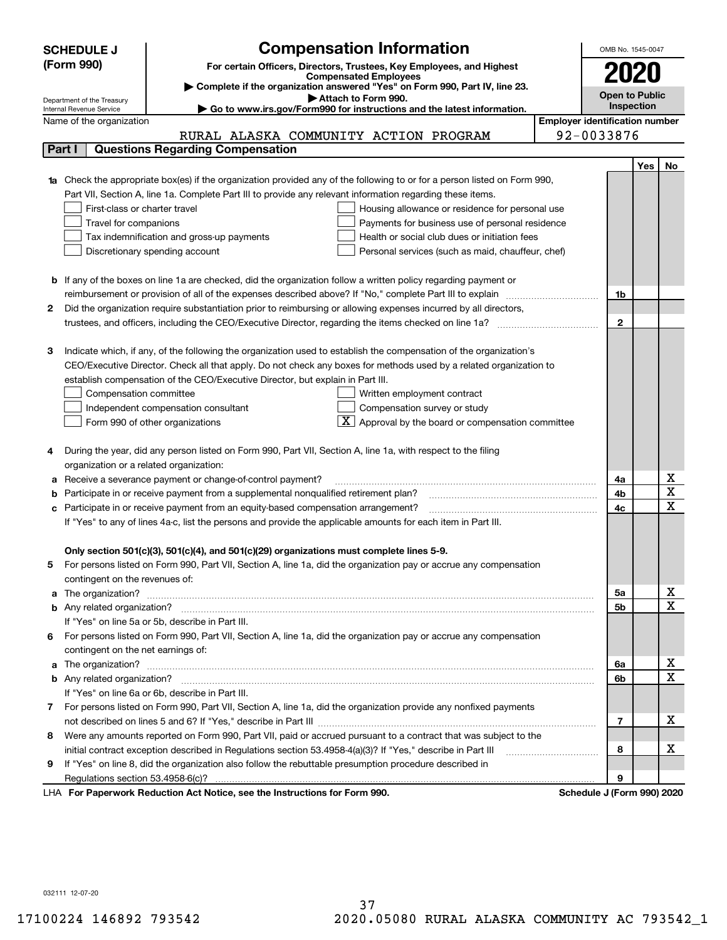|    | <b>Compensation Information</b><br><b>SCHEDULE J</b>                                                                                                    |                          | OMB No. 1545-0047     |                                       |                         |  |  |
|----|---------------------------------------------------------------------------------------------------------------------------------------------------------|--------------------------|-----------------------|---------------------------------------|-------------------------|--|--|
|    | (Form 990)<br>For certain Officers, Directors, Trustees, Key Employees, and Highest                                                                     |                          |                       |                                       |                         |  |  |
|    | <b>Compensated Employees</b>                                                                                                                            |                          | 2020                  |                                       |                         |  |  |
|    | Complete if the organization answered "Yes" on Form 990, Part IV, line 23.                                                                              |                          | <b>Open to Public</b> |                                       |                         |  |  |
|    | Attach to Form 990.<br>Department of the Treasury<br>Go to www.irs.gov/Form990 for instructions and the latest information.<br>Internal Revenue Service |                          |                       | <b>Inspection</b>                     |                         |  |  |
|    | Name of the organization                                                                                                                                |                          |                       | <b>Employer identification number</b> |                         |  |  |
|    | RURAL ALASKA COMMUNITY ACTION PROGRAM                                                                                                                   | 92-0033876               |                       |                                       |                         |  |  |
|    | <b>Questions Regarding Compensation</b><br>Part I                                                                                                       |                          |                       |                                       |                         |  |  |
|    |                                                                                                                                                         |                          |                       | Yes                                   | No                      |  |  |
|    | <b>1a</b> Check the appropriate box(es) if the organization provided any of the following to or for a person listed on Form 990,                        |                          |                       |                                       |                         |  |  |
|    | Part VII, Section A, line 1a. Complete Part III to provide any relevant information regarding these items.                                              |                          |                       |                                       |                         |  |  |
|    | First-class or charter travel<br>Housing allowance or residence for personal use                                                                        |                          |                       |                                       |                         |  |  |
|    | Payments for business use of personal residence<br>Travel for companions                                                                                |                          |                       |                                       |                         |  |  |
|    | Tax indemnification and gross-up payments<br>Health or social club dues or initiation fees                                                              |                          |                       |                                       |                         |  |  |
|    | Discretionary spending account<br>Personal services (such as maid, chauffeur, chef)                                                                     |                          |                       |                                       |                         |  |  |
|    |                                                                                                                                                         |                          |                       |                                       |                         |  |  |
|    |                                                                                                                                                         |                          |                       |                                       |                         |  |  |
|    | <b>b</b> If any of the boxes on line 1a are checked, did the organization follow a written policy regarding payment or                                  |                          |                       |                                       |                         |  |  |
|    | reimbursement or provision of all of the expenses described above? If "No," complete Part III to explain                                                |                          | 1b                    |                                       |                         |  |  |
| 2  | Did the organization require substantiation prior to reimbursing or allowing expenses incurred by all directors,                                        |                          |                       |                                       |                         |  |  |
|    | trustees, and officers, including the CEO/Executive Director, regarding the items checked on line 1a?                                                   |                          | $\mathbf{2}$          |                                       |                         |  |  |
|    |                                                                                                                                                         |                          |                       |                                       |                         |  |  |
| З  | Indicate which, if any, of the following the organization used to establish the compensation of the organization's                                      |                          |                       |                                       |                         |  |  |
|    | CEO/Executive Director. Check all that apply. Do not check any boxes for methods used by a related organization to                                      |                          |                       |                                       |                         |  |  |
|    | establish compensation of the CEO/Executive Director, but explain in Part III.                                                                          |                          |                       |                                       |                         |  |  |
|    | Compensation committee<br>Written employment contract                                                                                                   |                          |                       |                                       |                         |  |  |
|    | Compensation survey or study<br>Independent compensation consultant                                                                                     |                          |                       |                                       |                         |  |  |
|    | $\overline{\textbf{X}}$ Approval by the board or compensation committee<br>Form 990 of other organizations                                              |                          |                       |                                       |                         |  |  |
|    |                                                                                                                                                         |                          |                       |                                       |                         |  |  |
|    | During the year, did any person listed on Form 990, Part VII, Section A, line 1a, with respect to the filing                                            |                          |                       |                                       |                         |  |  |
|    | organization or a related organization:                                                                                                                 |                          |                       |                                       |                         |  |  |
| а  | Receive a severance payment or change-of-control payment?                                                                                               |                          | 4a                    |                                       | х                       |  |  |
| b  | Participate in or receive payment from a supplemental nonqualified retirement plan?                                                                     |                          | 4b                    |                                       | $\overline{\texttt{x}}$ |  |  |
| с  | Participate in or receive payment from an equity-based compensation arrangement?                                                                        |                          | 4c                    |                                       | $\overline{\text{x}}$   |  |  |
|    | If "Yes" to any of lines 4a-c, list the persons and provide the applicable amounts for each item in Part III.                                           |                          |                       |                                       |                         |  |  |
|    |                                                                                                                                                         |                          |                       |                                       |                         |  |  |
|    | Only section 501(c)(3), 501(c)(4), and 501(c)(29) organizations must complete lines 5-9.                                                                |                          |                       |                                       |                         |  |  |
|    | For persons listed on Form 990, Part VII, Section A, line 1a, did the organization pay or accrue any compensation                                       |                          |                       |                                       |                         |  |  |
|    | contingent on the revenues of:                                                                                                                          |                          |                       |                                       |                         |  |  |
| a  |                                                                                                                                                         |                          | 5а                    |                                       | x                       |  |  |
|    |                                                                                                                                                         |                          | <b>5b</b>             |                                       | $\overline{\text{x}}$   |  |  |
|    | If "Yes" on line 5a or 5b, describe in Part III.                                                                                                        |                          |                       |                                       |                         |  |  |
| 6. | For persons listed on Form 990, Part VII, Section A, line 1a, did the organization pay or accrue any compensation                                       |                          |                       |                                       |                         |  |  |
|    | contingent on the net earnings of:                                                                                                                      |                          |                       |                                       |                         |  |  |
| a  |                                                                                                                                                         |                          | 6a                    |                                       | x                       |  |  |
|    |                                                                                                                                                         |                          | 6b                    |                                       | $\overline{\text{x}}$   |  |  |
|    | If "Yes" on line 6a or 6b, describe in Part III.                                                                                                        |                          |                       |                                       |                         |  |  |
|    | 7 For persons listed on Form 990, Part VII, Section A, line 1a, did the organization provide any nonfixed payments                                      |                          |                       |                                       |                         |  |  |
|    |                                                                                                                                                         |                          | 7                     |                                       | х                       |  |  |
| 8  | Were any amounts reported on Form 990, Part VII, paid or accrued pursuant to a contract that was subject to the                                         |                          |                       |                                       |                         |  |  |
|    | initial contract exception described in Regulations section 53.4958-4(a)(3)? If "Yes," describe in Part III                                             |                          | 8                     |                                       | x                       |  |  |
| 9  | If "Yes" on line 8, did the organization also follow the rebuttable presumption procedure described in                                                  |                          |                       |                                       |                         |  |  |
|    |                                                                                                                                                         |                          | 9                     |                                       |                         |  |  |
|    | sucely Deduction Act Nation, one the Instructions for Form 000                                                                                          | <b>Cohodule I</b> (Found |                       |                                       |                         |  |  |

LHA For Paperwork Reduction Act Notice, see the Instructions for Form 990. Schedule J (Form 990) 2020

032111 12-07-20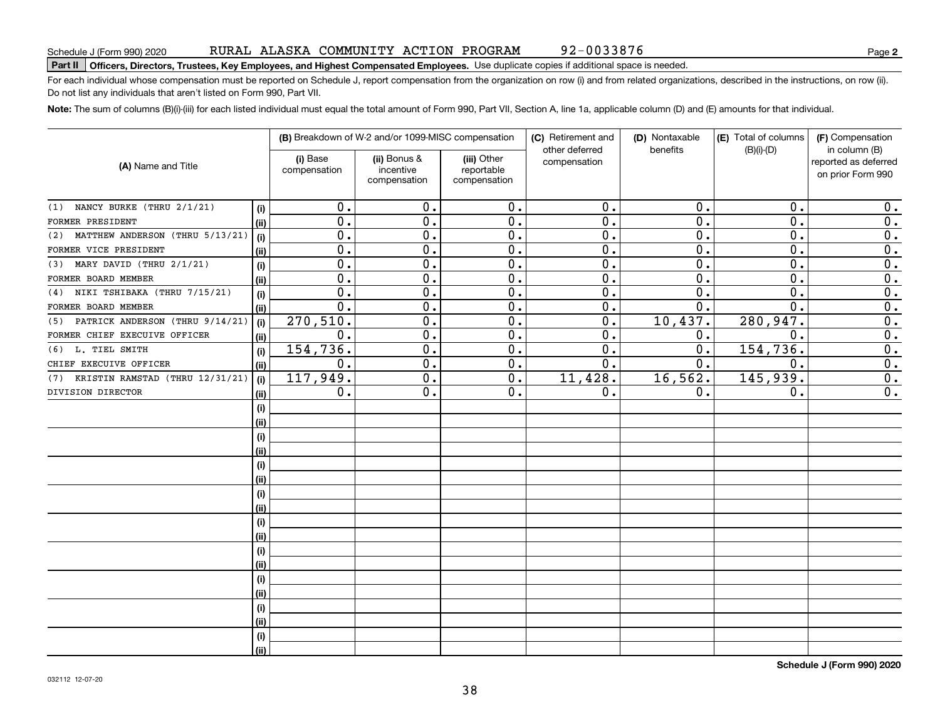92-0033876

# **Part II Officers, Directors, Trustees, Key Employees, and Highest Compensated Employees.**  Schedule J (Form 990) 2020 Page Use duplicate copies if additional space is needed.

For each individual whose compensation must be reported on Schedule J, report compensation from the organization on row (i) and from related organizations, described in the instructions, on row (ii). Do not list any individuals that aren't listed on Form 990, Part VII.

**Note:**  The sum of columns (B)(i)-(iii) for each listed individual must equal the total amount of Form 990, Part VII, Section A, line 1a, applicable column (D) and (E) amounts for that individual.

| (A) Name and Title                     |      |                          | (B) Breakdown of W-2 and/or 1099-MISC compensation |                                           | (C) Retirement and<br>other deferred | (D) Nontaxable<br>benefits | (E) Total of columns | (F) Compensation<br>in column (B)         |  |  |
|----------------------------------------|------|--------------------------|----------------------------------------------------|-------------------------------------------|--------------------------------------|----------------------------|----------------------|-------------------------------------------|--|--|
|                                        |      | (i) Base<br>compensation | (ii) Bonus &<br>incentive<br>compensation          | (iii) Other<br>reportable<br>compensation | compensation                         |                            | $(B)(i)-(D)$         | reported as deferred<br>on prior Form 990 |  |  |
| NANCY BURKE (THRU 2/1/21)<br>(1)       | (i)  | 0.                       | 0.                                                 | 0.                                        | 0.                                   | 0.                         | 0.                   | 0.                                        |  |  |
| FORMER PRESIDENT                       | (ii) | 0.                       | 0.                                                 | 0.                                        | 0.                                   | $\mathbf 0$ .              | 0.                   | $\mathbf 0$ .                             |  |  |
| MATTHEW ANDERSON (THRU 5/13/21)<br>(2) | (i)  | 0.                       | 0.                                                 | 0.                                        | 0.                                   | $\mathbf{0}$ .             | 0.                   | 0.                                        |  |  |
| FORMER VICE PRESIDENT                  | (ii) | $\overline{0}$ .         | $\overline{0}$ .                                   | $\overline{0}$ .                          | $\overline{0}$ .                     | $\overline{0}$ .           | $\overline{0}$ .     | $\overline{0}$ .                          |  |  |
| $(3)$ MARY DAVID (THRU $2/1/21$ )      | (i)  | $\overline{0}$ .         | $\overline{0}$ .                                   | $\overline{0}$ .                          | 0.                                   | $\overline{0}$ .           | $\overline{0}$ .     | $\overline{0}$ .                          |  |  |
| FORMER BOARD MEMBER                    | (ii) | 0.                       | 0.                                                 | 0.                                        | 0.                                   | $\mathbf 0$ .              | 0.                   | $\overline{0}$ .                          |  |  |
| (4) NIKI TSHIBAKA (THRU 7/15/21)       | (i)  | 0.                       | 0.                                                 | 0.                                        | 0.                                   | $\mathbf 0$ .              | 0.                   | $\overline{0}$ .                          |  |  |
| FORMER BOARD MEMBER                    | (ii) | 0.                       | 0.                                                 | 0.                                        | 0.                                   | 0.                         | 0.                   | $\overline{0}$ .                          |  |  |
| PATRICK ANDERSON (THRU 9/14/21)<br>(5) | (i)  | 270,510.                 | 0.                                                 | 0.                                        | 0.                                   | 10,437.                    | 280, 947.            | 0.                                        |  |  |
| FORMER CHIEF EXECUIVE OFFICER          | (ii) | $0$ .                    | 0.                                                 | 0.                                        | $\mathbf 0$ .                        | 0.                         | $\mathbf 0$ .        | 0.                                        |  |  |
| (6) L. TIEL SMITH                      | (i)  | 154,736.                 | $\overline{0}$ .                                   | $\overline{0}$ .                          | 0.                                   | $\mathbf{0}$ .             | 154,736.             | $\overline{0}$ .                          |  |  |
| CHIEF EXECUIVE OFFICER                 | (ii) | 0.                       | $\overline{0}$ .                                   | 0.                                        | 0.                                   | $\mathbf{0}$ .             | 0.                   | $\overline{0}$ .                          |  |  |
| KRISTIN RAMSTAD (THRU 12/31/21)<br>(7) | (i)  | 117,949.                 | 0.                                                 | 0.                                        | 11,428.                              | 16, 562.                   | 145,939.             | $\overline{0}$ .                          |  |  |
| DIVISION DIRECTOR                      | (ii) | 0.                       | 0.                                                 | 0.                                        | 0.                                   | 0.                         | 0.                   | $\overline{0}$ .                          |  |  |
|                                        | (i)  |                          |                                                    |                                           |                                      |                            |                      |                                           |  |  |
|                                        | (ii) |                          |                                                    |                                           |                                      |                            |                      |                                           |  |  |
|                                        | (i)  |                          |                                                    |                                           |                                      |                            |                      |                                           |  |  |
|                                        | (ii) |                          |                                                    |                                           |                                      |                            |                      |                                           |  |  |
|                                        | (i)  |                          |                                                    |                                           |                                      |                            |                      |                                           |  |  |
|                                        | (ii) |                          |                                                    |                                           |                                      |                            |                      |                                           |  |  |
|                                        | (i)  |                          |                                                    |                                           |                                      |                            |                      |                                           |  |  |
|                                        | (ii) |                          |                                                    |                                           |                                      |                            |                      |                                           |  |  |
|                                        | (i)  |                          |                                                    |                                           |                                      |                            |                      |                                           |  |  |
|                                        | (ii) |                          |                                                    |                                           |                                      |                            |                      |                                           |  |  |
|                                        | (i)  |                          |                                                    |                                           |                                      |                            |                      |                                           |  |  |
|                                        | (ii) |                          |                                                    |                                           |                                      |                            |                      |                                           |  |  |
|                                        | (i)  |                          |                                                    |                                           |                                      |                            |                      |                                           |  |  |
|                                        | (ii) |                          |                                                    |                                           |                                      |                            |                      |                                           |  |  |
|                                        | (i)  |                          |                                                    |                                           |                                      |                            |                      |                                           |  |  |
|                                        | (ii) |                          |                                                    |                                           |                                      |                            |                      |                                           |  |  |
|                                        | (i)  |                          |                                                    |                                           |                                      |                            |                      |                                           |  |  |
|                                        | (ii) |                          |                                                    |                                           |                                      |                            |                      |                                           |  |  |

**Schedule J (Form 990) 2020**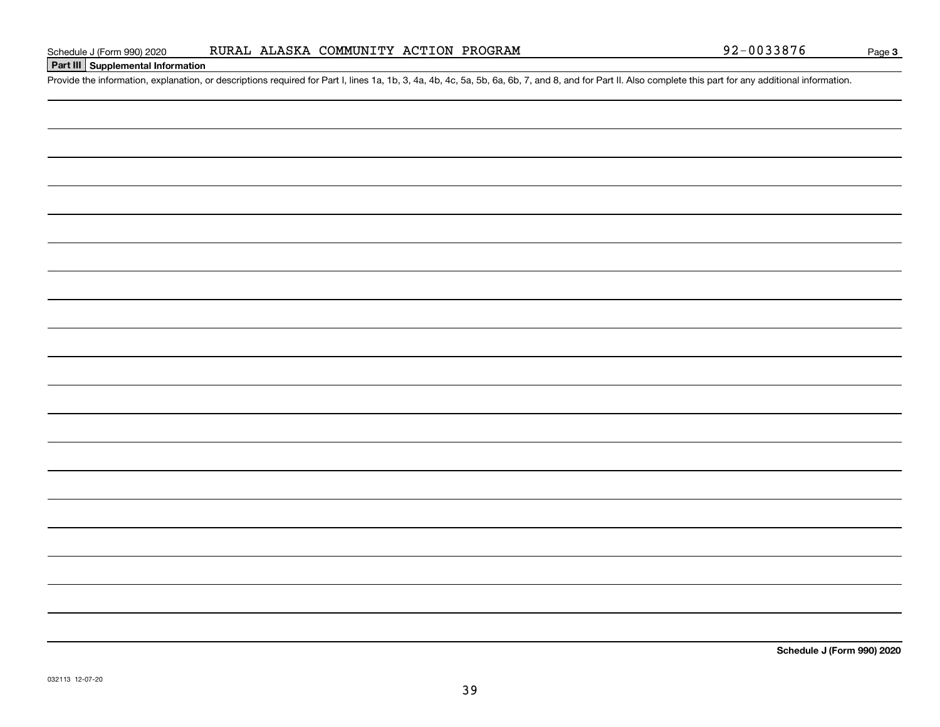### RURAL ALASKA COMMUNITY ACTION PROGRAM

Schedule J (Form 990) 2020 RURAL ALASKA COMMUNITY ACTION PROGRAM<br>Part III Supplemental Information<br>Provide the information, explanation, or descriptions required for Part I, lines 1a, 1b, 3, 4a, 4b, 4c, 5a, 5b, 6a, 6b, 7,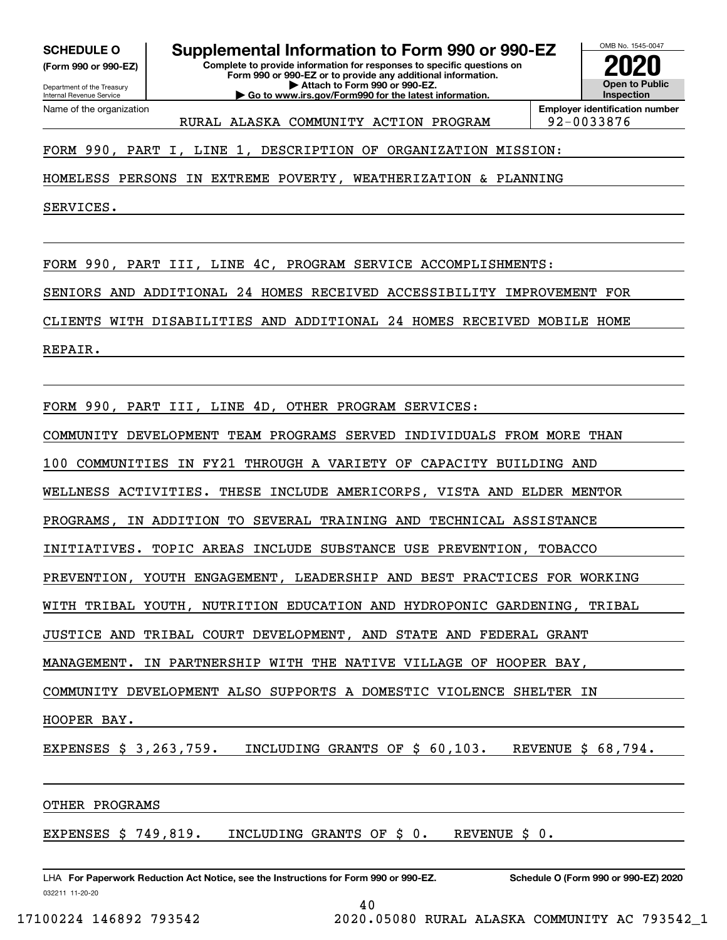**(Form 990 or 990-EZ)**

Department of the Treasury Internal Revenue Service Name of the organization

# **SCHEDULE O Supplemental Information to Form 990 or 990-EZ**

**Complete to provide information for responses to specific questions on Form 990 or 990-EZ or to provide any additional information. | Attach to Form 990 or 990-EZ. | Go to www.irs.gov/Form990 for the latest information.**



**Employer identification number** RURAL ALASKA COMMUNITY ACTION PROGRAM | 92-0033876

FORM 990, PART I, LINE 1, DESCRIPTION OF ORGANIZATION MISSION:

HOMELESS PERSONS IN EXTREME POVERTY, WEATHERIZATION & PLANNING

SERVICES.

FORM 990, PART III, LINE 4C, PROGRAM SERVICE ACCOMPLISHMENTS:

SENIORS AND ADDITIONAL 24 HOMES RECEIVED ACCESSIBILITY IMPROVEMENT FOR

CLIENTS WITH DISABILITIES AND ADDITIONAL 24 HOMES RECEIVED MOBILE HOME

REPAIR.

FORM 990, PART III, LINE 4D, OTHER PROGRAM SERVICES:

COMMUNITY DEVELOPMENT TEAM PROGRAMS SERVED INDIVIDUALS FROM MORE THAN

100 COMMUNITIES IN FY21 THROUGH A VARIETY OF CAPACITY BUILDING AND

WELLNESS ACTIVITIES. THESE INCLUDE AMERICORPS, VISTA AND ELDER MENTOR

PROGRAMS, IN ADDITION TO SEVERAL TRAINING AND TECHNICAL ASSISTANCE

INITIATIVES. TOPIC AREAS INCLUDE SUBSTANCE USE PREVENTION, TOBACCO

PREVENTION, YOUTH ENGAGEMENT, LEADERSHIP AND BEST PRACTICES FOR WORKING

WITH TRIBAL YOUTH, NUTRITION EDUCATION AND HYDROPONIC GARDENING, TRIBAL

JUSTICE AND TRIBAL COURT DEVELOPMENT, AND STATE AND FEDERAL GRANT

MANAGEMENT. IN PARTNERSHIP WITH THE NATIVE VILLAGE OF HOOPER BAY,

COMMUNITY DEVELOPMENT ALSO SUPPORTS A DOMESTIC VIOLENCE SHELTER IN

HOOPER BAY.

EXPENSES \$ 3,263,759. INCLUDING GRANTS OF \$ 60,103. REVENUE \$ 68,794.

40

OTHER PROGRAMS

EXPENSES \$ 749,819. INCLUDING GRANTS OF \$ 0. REVENUE \$ 0.

032211 11-20-20 LHA For Paperwork Reduction Act Notice, see the Instructions for Form 990 or 990-EZ. Schedule O (Form 990 or 990-EZ) 2020

17100224 146892 793542 2020.05080 RURAL ALASKA COMMUNITY AC 793542\_1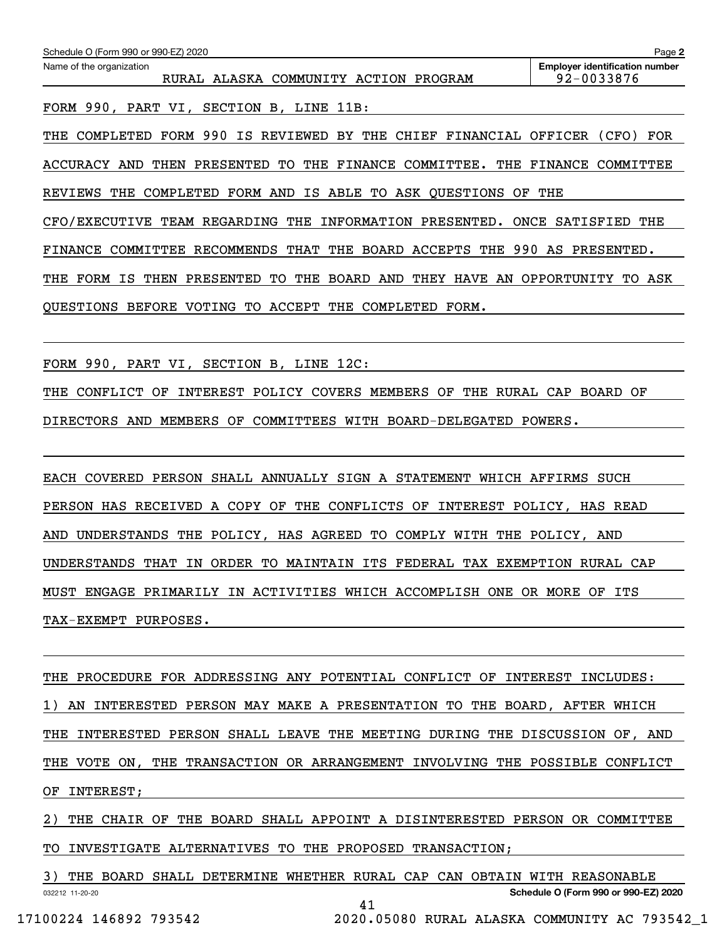| Schedule O (Form 990 or 990-EZ) 2020                                                              | Page 2                                              |
|---------------------------------------------------------------------------------------------------|-----------------------------------------------------|
| Name of the organization<br>RURAL ALASKA COMMUNITY ACTION<br>PROGRAM                              | <b>Employer identification number</b><br>92-0033876 |
| FORM 990, PART VI, SECTION B, LINE 11B:                                                           |                                                     |
| 990<br>FORM<br>IS<br>REVIEWED BY THE CHIEF FINANCIAL OFFICER<br>COMPLETED<br>THE                  | (CFO)<br>FOR                                        |
| COMMITTEE.<br>ACCURACY AND<br>THEN<br>PRESENTED<br>TO.<br>THE FINANCE<br>THE                      | <b>FINANCE</b><br>COMMITTEE                         |
| COMPLETED<br>FORM AND<br>IS ABLE TO<br>ASK QUESTIONS<br><b>REVIEWS</b><br>THE<br>OF               | THE                                                 |
| THE<br><b>INFORMATION</b><br>CFO/EXECUTIVE<br><b>TEAM REGARDING</b><br>PRESENTED.<br>ONCE         | SATISFIED<br>THE                                    |
| 990<br>BOARD<br>ACCEPTS<br>RECOMMENDS<br>THAT<br>THE<br>THE<br>FINANCE<br>COMMITTEE               | AS<br>PRESENTED.                                    |
| FORM<br>PRESENTED<br>BOARD<br>AND<br>THEY<br><b>HAVE</b><br>ΙS<br>THEN<br>TO.<br>THE<br>AN<br>THE | OPPORTUNITY<br>TO.<br>ASK                           |
| ACCEPT<br>THE<br>OUESTIONS<br><b>BEFORE</b><br>VOTING<br>TO.<br>COMPLETED<br>FORM.                |                                                     |

FORM 990, PART VI, SECTION B, LINE 12C:

THE CONFLICT OF INTEREST POLICY COVERS MEMBERS OF THE RURAL CAP BOARD OF DIRECTORS AND MEMBERS OF COMMITTEES WITH BOARD-DELEGATED POWERS.

EACH COVERED PERSON SHALL ANNUALLY SIGN A STATEMENT WHICH AFFIRMS SUCH PERSON HAS RECEIVED A COPY OF THE CONFLICTS OF INTEREST POLICY, HAS READ AND UNDERSTANDS THE POLICY, HAS AGREED TO COMPLY WITH THE POLICY, AND UNDERSTANDS THAT IN ORDER TO MAINTAIN ITS FEDERAL TAX EXEMPTION RURAL CAP MUST ENGAGE PRIMARILY IN ACTIVITIES WHICH ACCOMPLISH ONE OR MORE OF ITS TAX-EXEMPT PURPOSES.

THE PROCEDURE FOR ADDRESSING ANY POTENTIAL CONFLICT OF INTEREST INCLUDES: 1) AN INTERESTED PERSON MAY MAKE A PRESENTATION TO THE BOARD, AFTER WHICH THE INTERESTED PERSON SHALL LEAVE THE MEETING DURING THE DISCUSSION OF, AND THE VOTE ON, THE TRANSACTION OR ARRANGEMENT INVOLVING THE POSSIBLE CONFLICT OF INTEREST;

2) THE CHAIR OF THE BOARD SHALL APPOINT A DISINTERESTED PERSON OR COMMITTEE TO INVESTIGATE ALTERNATIVES TO THE PROPOSED TRANSACTION;

032212 11-20-20 **Schedule O (Form 990 or 990-EZ) 2020** 3) THE BOARD SHALL DETERMINE WHETHER RURAL CAP CAN OBTAIN WITH REASONABLE 41 17100224 146892 793542 2020.05080 RURAL ALASKA COMMUNITY AC 793542\_1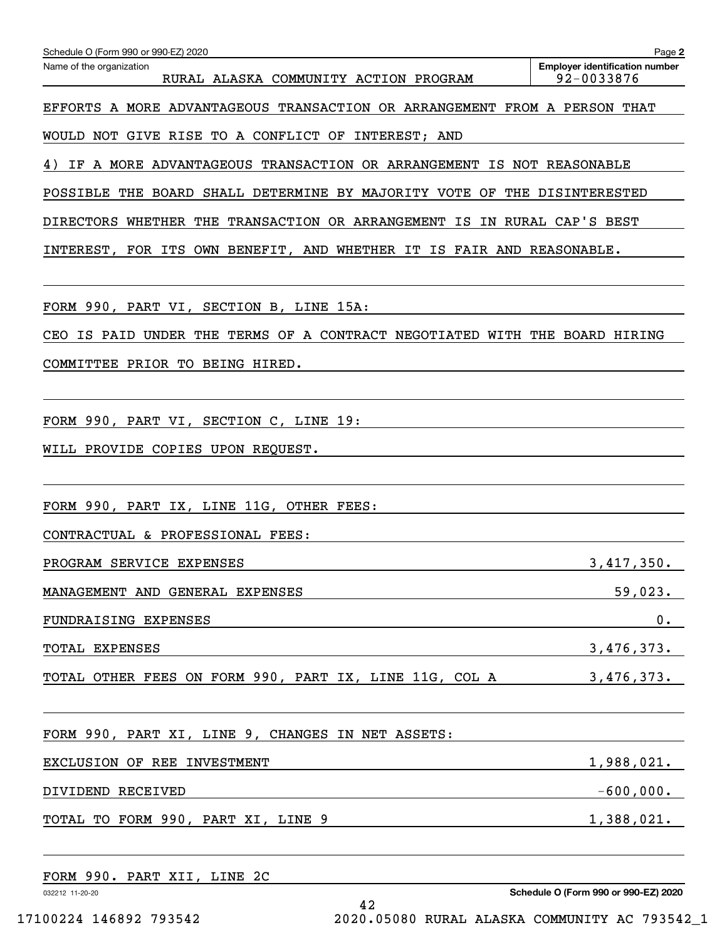| Schedule O (Form 990 or 990-EZ) 2020                                       | Page 2                                              |
|----------------------------------------------------------------------------|-----------------------------------------------------|
| Name of the organization<br>RURAL ALASKA COMMUNITY ACTION PROGRAM          | <b>Employer identification number</b><br>92-0033876 |
| EFFORTS A MORE ADVANTAGEOUS TRANSACTION OR ARRANGEMENT FROM A PERSON THAT  |                                                     |
| WOULD NOT GIVE RISE TO A CONFLICT OF INTEREST; AND                         |                                                     |
| 4) IF A MORE ADVANTAGEOUS TRANSACTION OR ARRANGEMENT IS NOT REASONABLE     |                                                     |
| POSSIBLE THE BOARD SHALL DETERMINE BY MAJORITY VOTE OF THE DISINTERESTED   |                                                     |
| DIRECTORS WHETHER THE TRANSACTION OR ARRANGEMENT IS IN RURAL CAP'S BEST    |                                                     |
| INTEREST, FOR ITS OWN BENEFIT, AND WHETHER IT IS FAIR AND REASONABLE.      |                                                     |
|                                                                            |                                                     |
| FORM 990, PART VI, SECTION B, LINE 15A:                                    |                                                     |
| CEO IS PAID UNDER THE TERMS OF A CONTRACT NEGOTIATED WITH THE BOARD HIRING |                                                     |
| COMMITTEE PRIOR TO BEING HIRED.                                            |                                                     |
|                                                                            |                                                     |
| FORM 990, PART VI, SECTION C, LINE 19:                                     |                                                     |
| WILL PROVIDE COPIES UPON REQUEST.                                          |                                                     |
|                                                                            |                                                     |
| FORM 990, PART IX, LINE 11G, OTHER FEES:                                   |                                                     |
| CONTRACTUAL & PROFESSIONAL FEES:                                           |                                                     |
| PROGRAM SERVICE EXPENSES                                                   | 3,417,350.                                          |
| MANAGEMENT AND GENERAL EXPENSES                                            | 59,023.                                             |
| FUNDRAISING EXPENSES                                                       | 0.                                                  |
| TOTAL EXPENSES                                                             | 3,476,373.                                          |
| TOTAL OTHER FEES ON FORM 990, PART IX, LINE 11G, COL A 3,476,373.          |                                                     |
|                                                                            |                                                     |
| FORM 990, PART XI, LINE 9, CHANGES IN NET ASSETS:                          |                                                     |
| EXCLUSION OF REE INVESTMENT                                                | 1,988,021.                                          |
| DIVIDEND RECEIVED                                                          | $-600,000$ .                                        |
| TOTAL TO FORM 990, PART XI, LINE 9                                         | 1,388,021.                                          |
|                                                                            |                                                     |
| FORM 990. PART XII, LINE 2C                                                |                                                     |
| 032212 11-20-20                                                            | Schedule O (Form 990 or 990-EZ) 2020                |

42 17100224 146892 793542 2020.05080 RURAL ALASKA COMMUNITY AC 793542\_1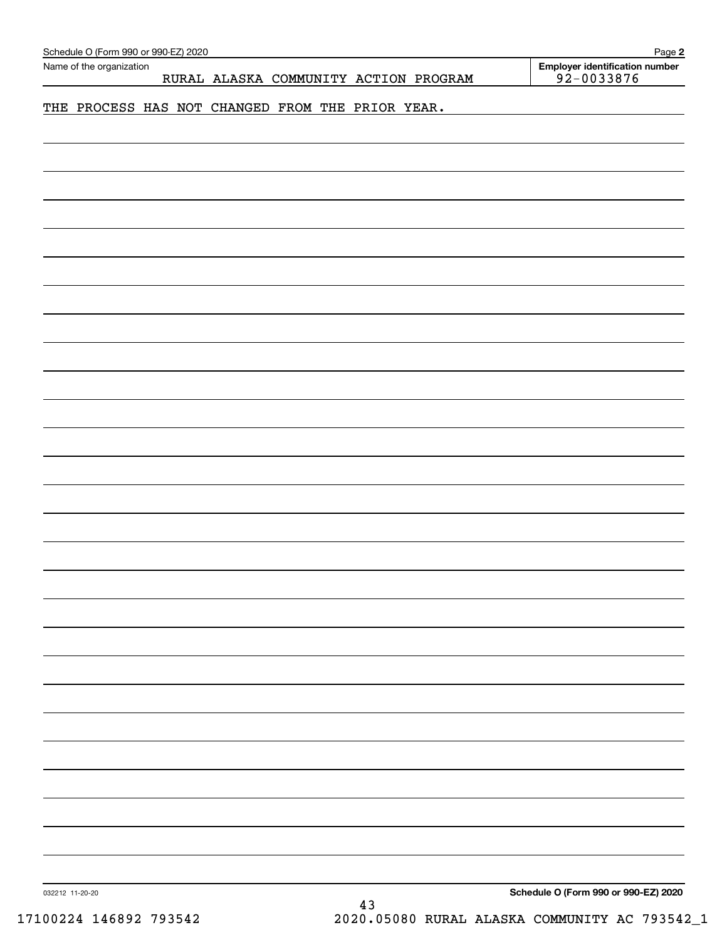| <b>Employer identification number</b><br>Name of the organization<br>$92 - 0033876$<br>RURAL ALASKA COMMUNITY ACTION PROGRAM<br>THE PROCESS HAS NOT CHANGED FROM THE PRIOR YEAR. |  |
|----------------------------------------------------------------------------------------------------------------------------------------------------------------------------------|--|
|                                                                                                                                                                                  |  |
|                                                                                                                                                                                  |  |
|                                                                                                                                                                                  |  |
|                                                                                                                                                                                  |  |
|                                                                                                                                                                                  |  |
|                                                                                                                                                                                  |  |
|                                                                                                                                                                                  |  |
|                                                                                                                                                                                  |  |
|                                                                                                                                                                                  |  |
|                                                                                                                                                                                  |  |
|                                                                                                                                                                                  |  |
|                                                                                                                                                                                  |  |
|                                                                                                                                                                                  |  |
|                                                                                                                                                                                  |  |
|                                                                                                                                                                                  |  |
|                                                                                                                                                                                  |  |
|                                                                                                                                                                                  |  |
|                                                                                                                                                                                  |  |
|                                                                                                                                                                                  |  |
|                                                                                                                                                                                  |  |
|                                                                                                                                                                                  |  |
|                                                                                                                                                                                  |  |
|                                                                                                                                                                                  |  |
|                                                                                                                                                                                  |  |
|                                                                                                                                                                                  |  |
|                                                                                                                                                                                  |  |
|                                                                                                                                                                                  |  |
|                                                                                                                                                                                  |  |
|                                                                                                                                                                                  |  |
|                                                                                                                                                                                  |  |
|                                                                                                                                                                                  |  |
|                                                                                                                                                                                  |  |
|                                                                                                                                                                                  |  |
|                                                                                                                                                                                  |  |
|                                                                                                                                                                                  |  |
|                                                                                                                                                                                  |  |
|                                                                                                                                                                                  |  |
|                                                                                                                                                                                  |  |
|                                                                                                                                                                                  |  |
|                                                                                                                                                                                  |  |
|                                                                                                                                                                                  |  |
| Schedule O (Form 990 or 990-EZ) 2020<br>032212 11-20-20<br>43                                                                                                                    |  |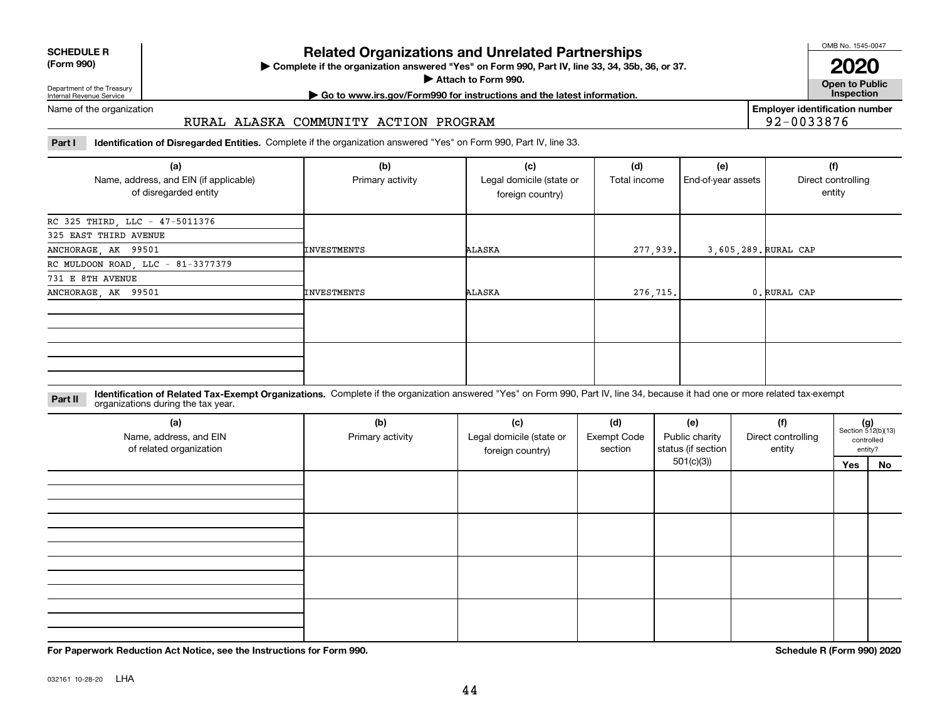| <b>SCHEDULE R</b>          |  |
|----------------------------|--|
| $(T - m \cdot \mathbf{A})$ |  |

**(Form 990)**

### **Related Organizations and Unrelated Partnerships**

**Complete if the organization answered "Yes" on Form 990, Part IV, line 33, 34, 35b, 36, or 37.** |

**Attach to Form 990.**  |

OMB No. 1545-0047

**Open to Public 2020**

**Employer identification number**

92-0033876

Department of the Treasury Internal Revenue Service

## **| Go to www.irs.gov/Form990 for instructions and the latest information. Inspection**

#### Name of the organization

#### RURAL ALASKA COMMUNITY ACTION PROGRAM

**Part I Identification of Disregarded Entities.**  Complete if the organization answered "Yes" on Form 990, Part IV, line 33.

| (a)<br>Name, address, and EIN (if applicable)<br>of disregarded entity | (b)<br>Primary activity | (c)<br>Legal domicile (state or<br>foreign country) | (d)<br>Total income | (e)<br>End-of-year assets | (f)<br>Direct controlling<br>entity |
|------------------------------------------------------------------------|-------------------------|-----------------------------------------------------|---------------------|---------------------------|-------------------------------------|
| RC 325 THIRD, LLC - 47-5011376                                         |                         |                                                     |                     |                           |                                     |
| 325 EAST THIRD AVENUE                                                  |                         |                                                     |                     |                           |                                     |
| ANCHORAGE, AK 99501                                                    | INVESTMENTS             | ALASKA                                              | 277,939.            | 3,605,289. RURAL CAP      |                                     |
| RC MULDOON ROAD, LLC - 81-3377379                                      |                         |                                                     |                     |                           |                                     |
| 731 E 8TH AVENUE                                                       |                         |                                                     |                     |                           |                                     |
| ANCHORAGE, AK 99501                                                    | INVESTMENTS             | ALASKA                                              | 276,715.            |                           | 0. RURAL CAP                        |
|                                                                        |                         |                                                     |                     |                           |                                     |
|                                                                        |                         |                                                     |                     |                           |                                     |

**Identification of Related Tax-Exempt Organizations.** Complete if the organization answered "Yes" on Form 990, Part IV, line 34, because it had one or more related tax-exempt **Part II** organizations during the tax year.

| (a)<br>Name, address, and EIN<br>of related organization | (b)<br>Primary activity | (c)<br>Legal domicile (state or<br>foreign country) | (d)<br><b>Exempt Code</b><br>section | (e)<br>Public charity<br>status (if section | (f)<br>Direct controlling<br>entity | $(g)$<br>Section 512(b)(13) | controlled<br>entity? |
|----------------------------------------------------------|-------------------------|-----------------------------------------------------|--------------------------------------|---------------------------------------------|-------------------------------------|-----------------------------|-----------------------|
|                                                          |                         |                                                     |                                      | 501(c)(3)                                   |                                     | Yes                         | No                    |
|                                                          |                         |                                                     |                                      |                                             |                                     |                             |                       |
|                                                          |                         |                                                     |                                      |                                             |                                     |                             |                       |
|                                                          |                         |                                                     |                                      |                                             |                                     |                             |                       |

**For Paperwork Reduction Act Notice, see the Instructions for Form 990. Schedule R (Form 990) 2020**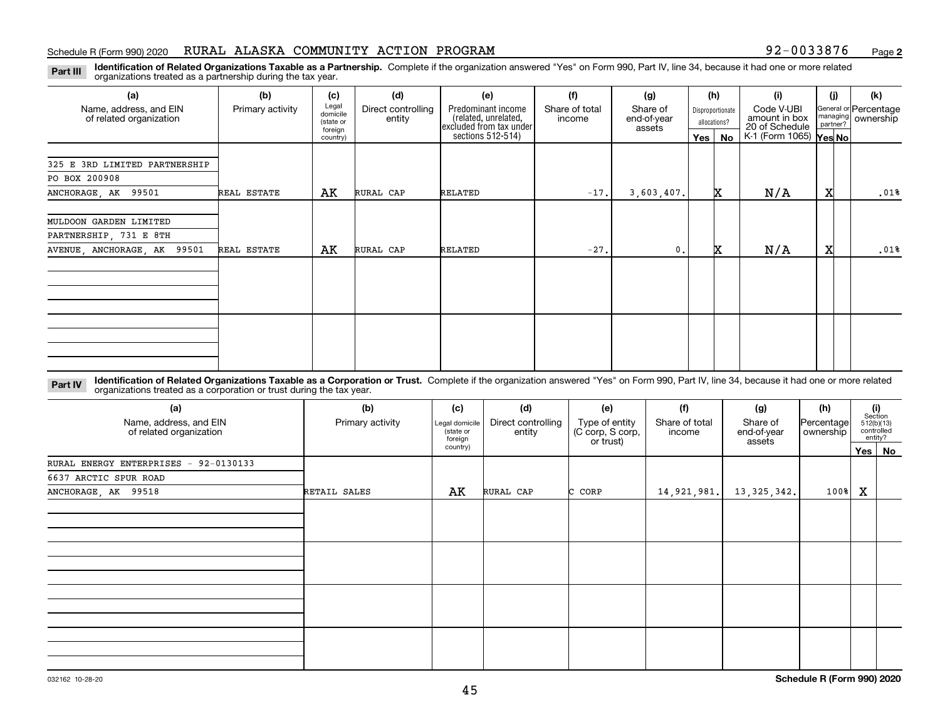#### Schedule R (Form 990) 2020 RURAL ALASKA COMMUNITY ACTION PROGRAM 92-0033876 <sub>Page</sub>

**2**

**Identification of Related Organizations Taxable as a Partnership.** Complete if the organization answered "Yes" on Form 990, Part IV, line 34, because it had one or more related **Part III** organizations treated as a partnership during the tax year.

| (a)                           | (b)              | (c)                  | (d)                | (e)                                          | (f)            | (g)                   |         | (h)              | (i)                         | (i)              | (k)                   |
|-------------------------------|------------------|----------------------|--------------------|----------------------------------------------|----------------|-----------------------|---------|------------------|-----------------------------|------------------|-----------------------|
| Name, address, and EIN        | Primary activity | Legal<br>domicile    | Direct controlling | Predominant income<br>(related, unrelated,   | Share of total | Share of              |         | Disproportionate | Code V-UBI<br>amount in box | managing $\vert$ | General or Percentage |
| of related organization       |                  | (state or<br>foreign | entity             | excluded from tax under<br>sections 512-514) | income         | end-of-year<br>assets |         | allocations?     | 20 of Schedule              | partner?         | ownership             |
|                               |                  | country)             |                    |                                              |                |                       | Yes $ $ | No               | K-1 (Form 1065) Yes No      |                  |                       |
|                               |                  |                      |                    |                                              |                |                       |         |                  |                             |                  |                       |
| 325 E 3RD LIMITED PARTNERSHIP |                  |                      |                    |                                              |                |                       |         |                  |                             |                  |                       |
| PO BOX 200908                 |                  |                      |                    |                                              |                |                       |         |                  |                             |                  |                       |
| ANCHORAGE, AK 99501           | REAL ESTATE      | АK                   | RURAL CAP          | RELATED                                      | $-17.$         | 3,603,407.            |         | x                | N/A                         | X                | .01%                  |
|                               |                  |                      |                    |                                              |                |                       |         |                  |                             |                  |                       |
| MULDOON GARDEN LIMITED        |                  |                      |                    |                                              |                |                       |         |                  |                             |                  |                       |
| PARTNERSHIP, 731 E 8TH        |                  |                      |                    |                                              |                |                       |         |                  |                             |                  |                       |
| AVENUE, ANCHORAGE, AK 99501   | REAL ESTATE      | AK                   | RURAL CAP          | RELATED                                      | $-27.$         | $\mathbf{0}$ .        |         | x                | N/A                         | X                | .01%                  |
|                               |                  |                      |                    |                                              |                |                       |         |                  |                             |                  |                       |
|                               |                  |                      |                    |                                              |                |                       |         |                  |                             |                  |                       |
|                               |                  |                      |                    |                                              |                |                       |         |                  |                             |                  |                       |
|                               |                  |                      |                    |                                              |                |                       |         |                  |                             |                  |                       |
|                               |                  |                      |                    |                                              |                |                       |         |                  |                             |                  |                       |
|                               |                  |                      |                    |                                              |                |                       |         |                  |                             |                  |                       |
|                               |                  |                      |                    |                                              |                |                       |         |                  |                             |                  |                       |
|                               |                  |                      |                    |                                              |                |                       |         |                  |                             |                  |                       |
|                               |                  |                      |                    |                                              |                |                       |         |                  |                             |                  |                       |

**Identification of Related Organizations Taxable as a Corporation or Trust.** Complete if the organization answered "Yes" on Form 990, Part IV, line 34, because it had one or more related **Part IV** organizations treated as a corporation or trust during the tax year.

| (a)<br>Name, address, and EIN<br>of related organization | (b)<br>Primary activity | (c)<br>Legal domicile<br>(state or<br>foreign | (d)<br>Direct controlling<br>entity | (e)<br>Type of entity<br>(C corp, S corp,<br>or trust) | (f)<br>Share of total<br>income | (g)<br>Share of<br>end-of-year<br>assets | (h)<br> Percentage <br>ownership |     | (i)<br>Section<br>512(b)(13)<br>controlled<br>entity? |
|----------------------------------------------------------|-------------------------|-----------------------------------------------|-------------------------------------|--------------------------------------------------------|---------------------------------|------------------------------------------|----------------------------------|-----|-------------------------------------------------------|
|                                                          |                         | country)                                      |                                     |                                                        |                                 |                                          |                                  | Yes | No                                                    |
| RURAL ENERGY ENTERPRISES<br>$-92-0130133$                |                         |                                               |                                     |                                                        |                                 |                                          |                                  |     |                                                       |
| 6637 ARCTIC SPUR ROAD                                    |                         |                                               |                                     |                                                        |                                 |                                          |                                  |     |                                                       |
| ANCHORAGE, AK 99518                                      | RETAIL SALES            | AK                                            | RURAL CAP                           | C CORP                                                 | 14,921,981.                     | 13,325,342.                              | $100$ <sup>8</sup>               | X   |                                                       |
|                                                          |                         |                                               |                                     |                                                        |                                 |                                          |                                  |     |                                                       |
|                                                          |                         |                                               |                                     |                                                        |                                 |                                          |                                  |     |                                                       |
|                                                          |                         |                                               |                                     |                                                        |                                 |                                          |                                  |     |                                                       |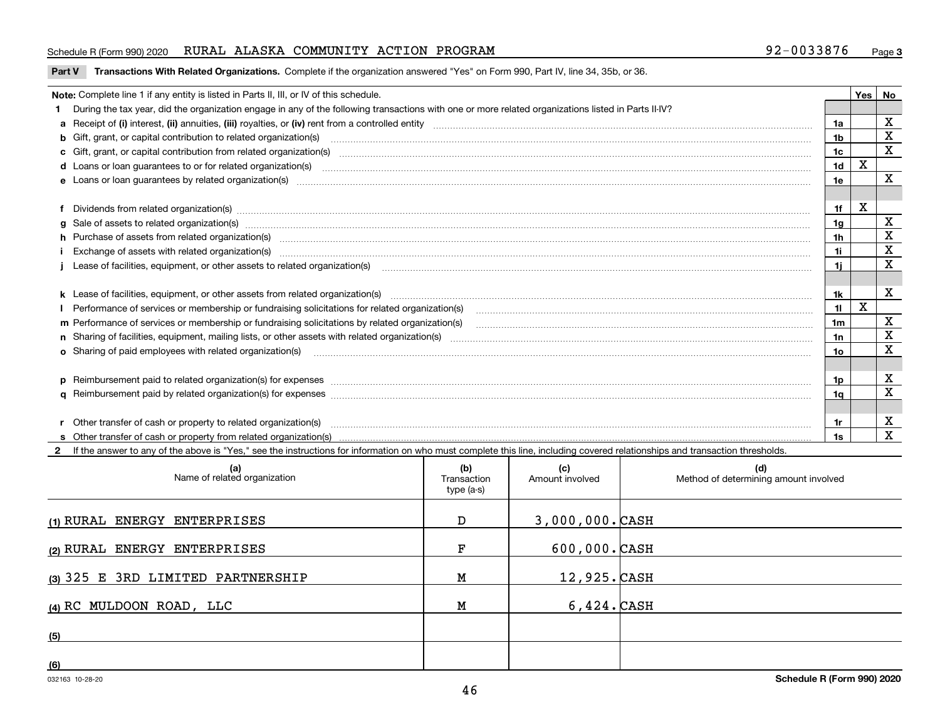#### Schedule R (Form 990) 2020 RURAL ALASKA COMMUNITY ACTION PROGRAM 92-0033876 <sub>Page</sub>

**Part V** T**ransactions With Related Organizations.** Complete if the organization answered "Yes" on Form 990, Part IV, line 34, 35b, or 36.

| Note: Complete line 1 if any entity is listed in Parts II, III, or IV of this schedule. |                                                                                                                                                                                                                                |                |   |             |  |
|-----------------------------------------------------------------------------------------|--------------------------------------------------------------------------------------------------------------------------------------------------------------------------------------------------------------------------------|----------------|---|-------------|--|
|                                                                                         | 1 During the tax year, did the organization engage in any of the following transactions with one or more related organizations listed in Parts II-IV?                                                                          |                |   |             |  |
|                                                                                         |                                                                                                                                                                                                                                |                |   | $\mathbf X$ |  |
|                                                                                         | b Gift, grant, or capital contribution to related organization(s) material contracts and contribution to related organization(s)                                                                                               | 1b             |   | $\mathbf X$ |  |
|                                                                                         | c Gift, grant, or capital contribution from related organization(s) material contents and contribution from related organization(s) material contents and content of the content of the content of content of content of the c | 1c             |   | $\mathbf X$ |  |
|                                                                                         | d Loans or loan guarantees to or for related organization(s) committion contracts are constructed as a control or contract or contract or contract or contract or contract or contract or contract or contract or contract or  | 1 <sub>d</sub> | х |             |  |
|                                                                                         |                                                                                                                                                                                                                                | 1e             |   | $\mathbf X$ |  |
|                                                                                         |                                                                                                                                                                                                                                |                |   |             |  |
|                                                                                         | f Dividends from related organization(s) manufactured and contract and contract of the contract of the contract of the contract of the contract of the contract of the contract of the contract of the contract of the contrac | 1f             | х |             |  |
|                                                                                         | g Sale of assets to related organization(s) www.assettion.com/www.assettion.com/www.assettion.com/www.assettion.com/www.assettion.com/www.assettion.com/www.assettion.com/www.assettion.com/www.assettion.com/www.assettion.co | 1g             |   | х           |  |
|                                                                                         | h Purchase of assets from related organization(s) www.assettion.com/www.assettion.com/www.assettion.com/www.assettion.com/www.assettion.com/www.assettion.com/www.assettion.com/www.assettion.com/www.assettion.com/www.assett | 1 <sub>h</sub> |   | X           |  |
|                                                                                         | Exchange of assets with related organization(s) www.array.com/www.array.com/www.array.com/www.array.com/www.array.com/www.array.com/www.array.com/www.array.com/www.array.com/www.array.com/www.array.com/www.array.com/www.ar | 1i.            |   | X           |  |
|                                                                                         |                                                                                                                                                                                                                                | 11             |   | х           |  |
|                                                                                         |                                                                                                                                                                                                                                |                |   |             |  |
|                                                                                         |                                                                                                                                                                                                                                | 1k             |   | х           |  |
|                                                                                         |                                                                                                                                                                                                                                | 11             | X |             |  |
|                                                                                         | m Performance of services or membership or fundraising solicitations by related organization(s)                                                                                                                                | 1m             |   | х           |  |
|                                                                                         |                                                                                                                                                                                                                                | 1n             |   | X           |  |
|                                                                                         | <b>o</b> Sharing of paid employees with related organization(s)                                                                                                                                                                | 10             |   | X           |  |
|                                                                                         |                                                                                                                                                                                                                                |                |   |             |  |
|                                                                                         | p Reimbursement paid to related organization(s) for expenses [11111] [12] manufacture manufacture manufacture manufacture manufacture manufacture manufacture manufacture manufacture manufacture manufacture manufacture manu | 1p.            |   | х           |  |
|                                                                                         |                                                                                                                                                                                                                                | 1q             |   | $\mathbf x$ |  |
|                                                                                         |                                                                                                                                                                                                                                |                |   |             |  |
|                                                                                         | r Other transfer of cash or property to related organization(s)                                                                                                                                                                | 1r             |   | х           |  |
|                                                                                         |                                                                                                                                                                                                                                | 1s             |   | X           |  |
|                                                                                         | 2 If the answer to any of the above is "Yes," see the instructions for information on who must complete this line, including covered relationships and transaction thresholds.                                                 |                |   |             |  |

| (a)<br>Name of related organization | (b)<br>Transaction<br>type (a-s) | (c)<br>Amount involved | (d)<br>Method of determining amount involved |
|-------------------------------------|----------------------------------|------------------------|----------------------------------------------|
| (1) RURAL ENERGY ENTERPRISES        | D                                | $3,000,000.$ CASH      |                                              |
| (2) RURAL ENERGY ENTERPRISES        | F                                | $600,000.$ CASH        |                                              |
| (3) 325 E 3RD LIMITED PARTNERSHIP   | M                                | $12,925.$ CASH         |                                              |
| (4) RC MULDOON ROAD, LLC            | М                                | $6,424.$ CASH          |                                              |
| (5)                                 |                                  |                        |                                              |
| (6)                                 |                                  |                        |                                              |

 $\overline{\phantom{a}}$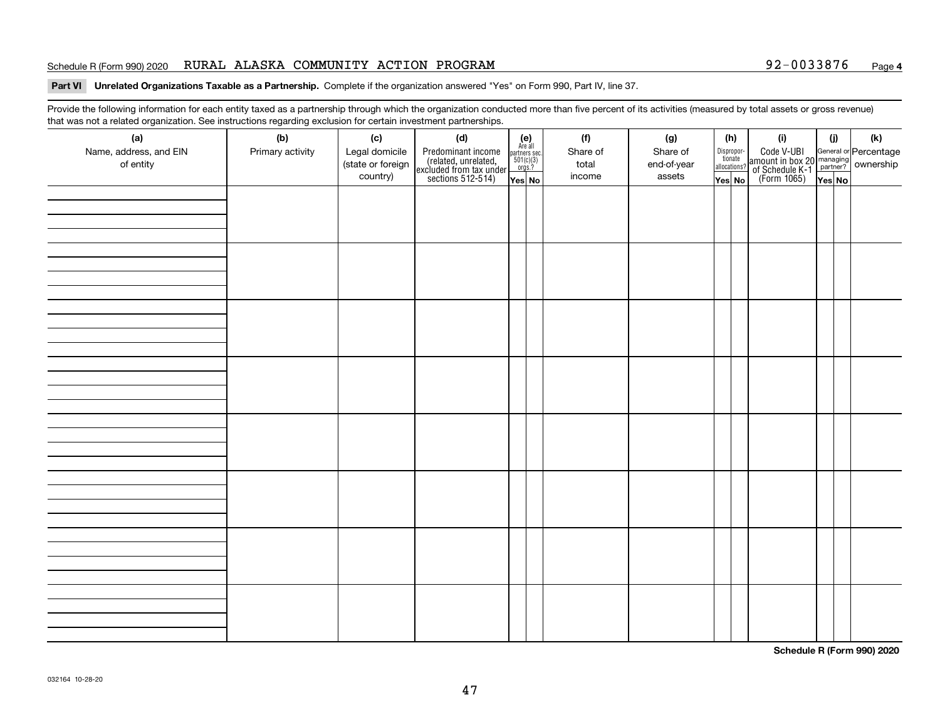#### Schedule R (Form 990) 2020 RURAL ALASKA COMMUNITY ACTION PROGRAM 92-0033876 <sub>Page</sub>

#### **4**

#### **Part VI Unrelated Organizations Taxable as a Partnership. Complete if the organization answered "Yes" on Form 990, Part IV, line 37.**

Provide the following information for each entity taxed as a partnership through which the organization conducted more than five percent of its activities (measured by total assets or gross revenue) that was not a related organization. See instructions regarding exclusion for certain investment partnerships.

| (a)<br>Name, address, and EIN<br>of entity | (b)<br>Primary activity | (c)<br>Legal domicile<br>(state or foreign<br>country) | (d)<br>Predominant income<br>(related, unrelated,<br>excluded from tax under<br>sections 512-514) | $(e)$<br>Are all<br>partners sec.<br>$501(c)(3)$<br>orgs.?<br>$\sqrt{\mathsf{Yes}}$ No | (f)<br>Share of<br>total<br>income | (g)<br>Share of<br>end-of-year<br>assets | (h)<br>tionate<br>allocations?<br>$\sqrt{\mathsf{Yes}}$ No | Dispropor- | (i)<br>Code V-UBI<br>amount in box 20 managing<br>of Schedule K-1<br>(Form 1065)<br>$\overline{Yes}$ No | (i)<br>Yes No | (k) |
|--------------------------------------------|-------------------------|--------------------------------------------------------|---------------------------------------------------------------------------------------------------|----------------------------------------------------------------------------------------|------------------------------------|------------------------------------------|------------------------------------------------------------|------------|---------------------------------------------------------------------------------------------------------|---------------|-----|
|                                            |                         |                                                        |                                                                                                   |                                                                                        |                                    |                                          |                                                            |            |                                                                                                         |               |     |
|                                            |                         |                                                        |                                                                                                   |                                                                                        |                                    |                                          |                                                            |            |                                                                                                         |               |     |
|                                            |                         |                                                        |                                                                                                   |                                                                                        |                                    |                                          |                                                            |            |                                                                                                         |               |     |
|                                            |                         |                                                        |                                                                                                   |                                                                                        |                                    |                                          |                                                            |            |                                                                                                         |               |     |
|                                            |                         |                                                        |                                                                                                   |                                                                                        |                                    |                                          |                                                            |            |                                                                                                         |               |     |
|                                            |                         |                                                        |                                                                                                   |                                                                                        |                                    |                                          |                                                            |            |                                                                                                         |               |     |
|                                            |                         |                                                        |                                                                                                   |                                                                                        |                                    |                                          |                                                            |            |                                                                                                         |               |     |
|                                            |                         |                                                        |                                                                                                   |                                                                                        |                                    |                                          |                                                            |            |                                                                                                         |               |     |

**Schedule R (Form 990) 2020**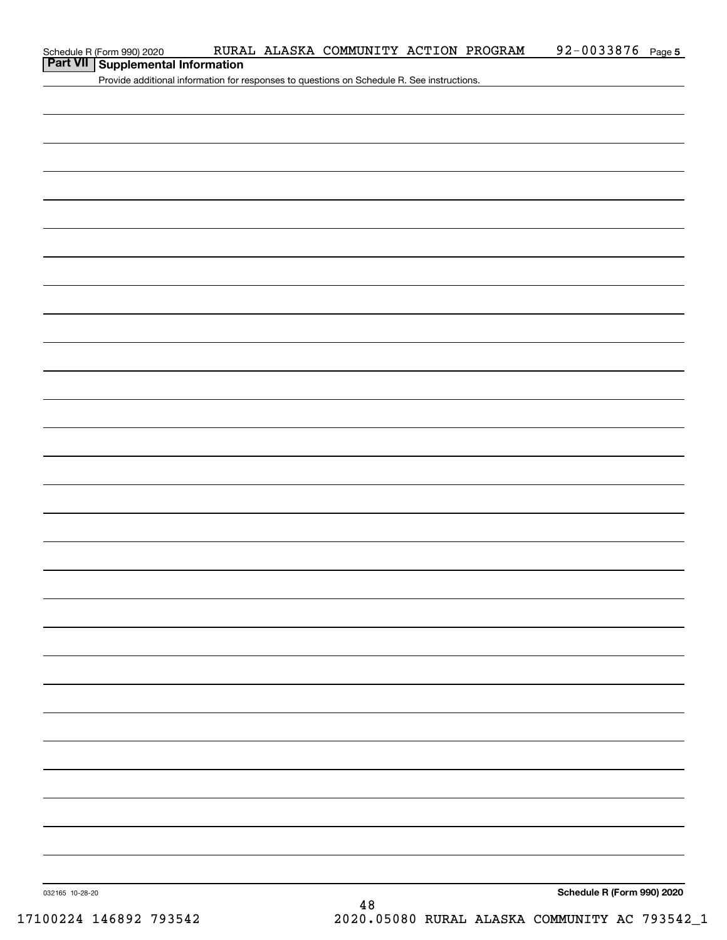| Schedule R (Form 990) 2020 |  |
|----------------------------|--|
|                            |  |

### **Part VII Supplemental Information**

Provide additional information for responses to questions on Schedule R. See instructions.

**Schedule R (Form 990) 2020**

032165 10-28-20